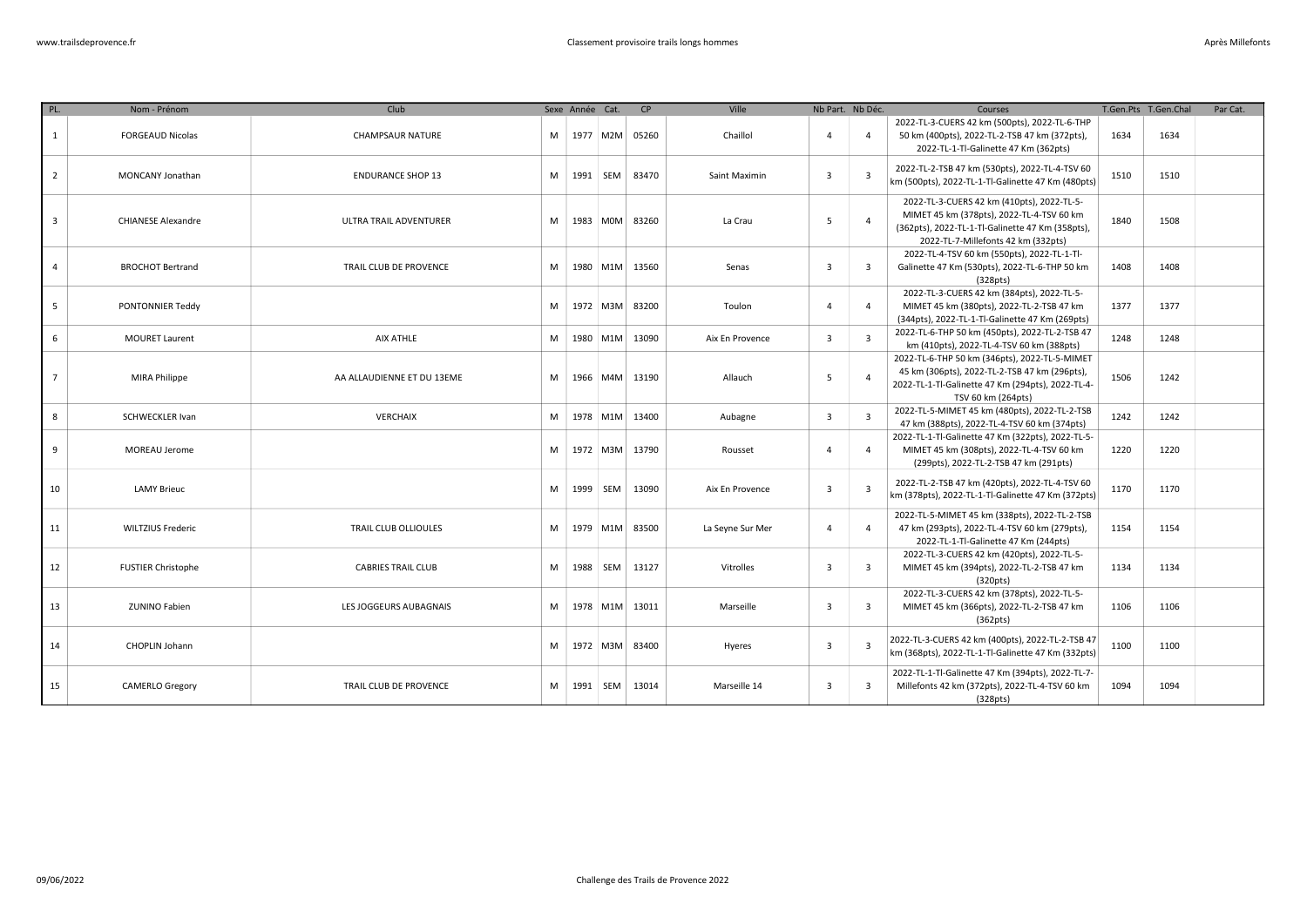| PL.            | Nom - Prénom              | Club                       |   | Sexe Année Cat. |            | CP                 | Ville            | Nb Part. Nb Déc.        |                         | Courses                                                                                                                                                                            |      | T.Gen.Pts T.Gen.Chal | Par Cat. |
|----------------|---------------------------|----------------------------|---|-----------------|------------|--------------------|------------------|-------------------------|-------------------------|------------------------------------------------------------------------------------------------------------------------------------------------------------------------------------|------|----------------------|----------|
| $\mathbf{1}$   | <b>FORGEAUD Nicolas</b>   | <b>CHAMPSAUR NATURE</b>    | M |                 |            | 1977 M2M 05260     | Chaillol         | $\Delta$                | $\overline{4}$          | 2022-TL-3-CUERS 42 km (500pts), 2022-TL-6-THP<br>50 km (400pts), 2022-TL-2-TSB 47 km (372pts),<br>2022-TL-1-Tl-Galinette 47 Km (362pts)                                            | 1634 | 1634                 |          |
| $\overline{2}$ | MONCANY Jonathan          | <b>ENDURANCE SHOP 13</b>   | M |                 | 1991   SEM | 83470              | Saint Maximin    | $\overline{3}$          | $\overline{\mathbf{3}}$ | 2022-TL-2-TSB 47 km (530pts), 2022-TL-4-TSV 60<br>km (500pts), 2022-TL-1-Tl-Galinette 47 Km (480pts)                                                                               | 1510 | 1510                 |          |
| $\overline{3}$ | <b>CHIANESE Alexandre</b> | ULTRA TRAIL ADVENTURER     | M |                 |            | 1983 MOM 83260     | La Crau          | 5                       | $\overline{4}$          | 2022-TL-3-CUERS 42 km (410pts), 2022-TL-5-<br>MIMET 45 km (378pts), 2022-TL-4-TSV 60 km<br>(362pts), 2022-TL-1-Tl-Galinette 47 Km (358pts),<br>2022-TL-7-Millefonts 42 km (332pts) | 1840 | 1508                 |          |
| $\overline{4}$ | <b>BROCHOT Bertrand</b>   | TRAIL CLUB DE PROVENCE     | M |                 |            | 1980 M1M 13560     | Senas            | $\overline{\mathbf{3}}$ | $\overline{\mathbf{3}}$ | 2022-TL-4-TSV 60 km (550pts), 2022-TL-1-Tl-<br>Galinette 47 Km (530pts), 2022-TL-6-THP 50 km<br>(328pts)                                                                           | 1408 | 1408                 |          |
| 5              | PONTONNIER Teddy          |                            | M |                 |            | 1972   M3M   83200 | Toulon           | 4                       | $\overline{4}$          | 2022-TL-3-CUERS 42 km (384pts), 2022-TL-5-<br>MIMET 45 km (380pts), 2022-TL-2-TSB 47 km<br>(344pts), 2022-TL-1-Tl-Galinette 47 Km (269pts)                                         | 1377 | 1377                 |          |
| 6              | <b>MOURET Laurent</b>     | AIX ATHLE                  | M |                 |            | 1980   M1M   13090 | Aix En Provence  | $\overline{3}$          | $\overline{\mathbf{3}}$ | 2022-TL-6-THP 50 km (450pts), 2022-TL-2-TSB 47<br>km (410pts), 2022-TL-4-TSV 60 km (388pts)                                                                                        | 1248 | 1248                 |          |
| $\overline{7}$ | MIRA Philippe             | AA ALLAUDIENNE ET DU 13EME | M |                 |            | 1966 M4M 13190     | Allauch          | 5                       | $\overline{4}$          | 2022-TL-6-THP 50 km (346pts), 2022-TL-5-MIMET<br>45 km (306pts), 2022-TL-2-TSB 47 km (296pts),<br>2022-TL-1-Tl-Galinette 47 Km (294pts), 2022-TL-4-<br>TSV 60 km (264pts)          | 1506 | 1242                 |          |
| 8              | <b>SCHWECKLER Ivan</b>    | <b>VERCHAIX</b>            | M |                 |            | 1978 M1M 13400     | Aubagne          | $\overline{3}$          | $\overline{\mathbf{3}}$ | 2022-TL-5-MIMET 45 km (480pts), 2022-TL-2-TSB<br>47 km (388pts), 2022-TL-4-TSV 60 km (374pts)                                                                                      | 1242 | 1242                 |          |
| 9              | MOREAU Jerome             |                            | M |                 |            | 1972   M3M   13790 | Rousset          | 4                       | $\overline{4}$          | 2022-TL-1-Tl-Galinette 47 Km (322pts), 2022-TL-5-<br>MIMET 45 km (308pts), 2022-TL-4-TSV 60 km<br>(299pts), 2022-TL-2-TSB 47 km (291pts)                                           | 1220 | 1220                 |          |
| 10             | <b>LAMY Brieuc</b>        |                            | M |                 | 1999 SEM   | 13090              | Aix En Provence  | 3                       | $\overline{\mathbf{3}}$ | 2022-TL-2-TSB 47 km (420pts), 2022-TL-4-TSV 60<br>km (378pts), 2022-TL-1-Tl-Galinette 47 Km (372pts)                                                                               | 1170 | 1170                 |          |
| 11             | <b>WILTZIUS Frederic</b>  | TRAIL CLUB OLLIOULES       | M |                 |            | 1979   M1M   83500 | La Seyne Sur Mer | 4                       | $\overline{4}$          | 2022-TL-5-MIMET 45 km (338pts), 2022-TL-2-TSB<br>47 km (293pts), 2022-TL-4-TSV 60 km (279pts),<br>2022-TL-1-Tl-Galinette 47 Km (244pts)                                            | 1154 | 1154                 |          |
| 12             | <b>FUSTIER Christophe</b> | <b>CABRIES TRAIL CLUB</b>  | M |                 | 1988 SEM   | 13127              | Vitrolles        | $\overline{\mathbf{3}}$ | $\overline{3}$          | 2022-TL-3-CUERS 42 km (420pts), 2022-TL-5-<br>MIMET 45 km (394pts), 2022-TL-2-TSB 47 km<br>(320pts)                                                                                | 1134 | 1134                 |          |
| 13             | <b>ZUNINO Fabien</b>      | LES JOGGEURS AUBAGNAIS     | M |                 |            | 1978 M1M 13011     | Marseille        | $\overline{\mathbf{3}}$ | $\overline{3}$          | 2022-TL-3-CUERS 42 km (378pts), 2022-TL-5-<br>MIMET 45 km (366pts), 2022-TL-2-TSB 47 km<br>(362pts)                                                                                | 1106 | 1106                 |          |
| 14             | CHOPLIN Johann            |                            | M |                 |            | 1972 M3M 83400     | Hyeres           | $\overline{\mathbf{3}}$ | $\overline{\mathbf{3}}$ | 2022-TL-3-CUERS 42 km (400pts), 2022-TL-2-TSB 47<br>km (368pts), 2022-TL-1-Tl-Galinette 47 Km (332pts)                                                                             | 1100 | 1100                 |          |
| 15             | <b>CAMERLO Gregory</b>    | TRAIL CLUB DE PROVENCE     | M |                 | 1991 SEM   | 13014              | Marseille 14     | $\overline{3}$          | $\overline{3}$          | 2022-TL-1-Tl-Galinette 47 Km (394pts), 2022-TL-7-<br>Millefonts 42 km (372pts), 2022-TL-4-TSV 60 km<br>(328pts)                                                                    | 1094 | 1094                 |          |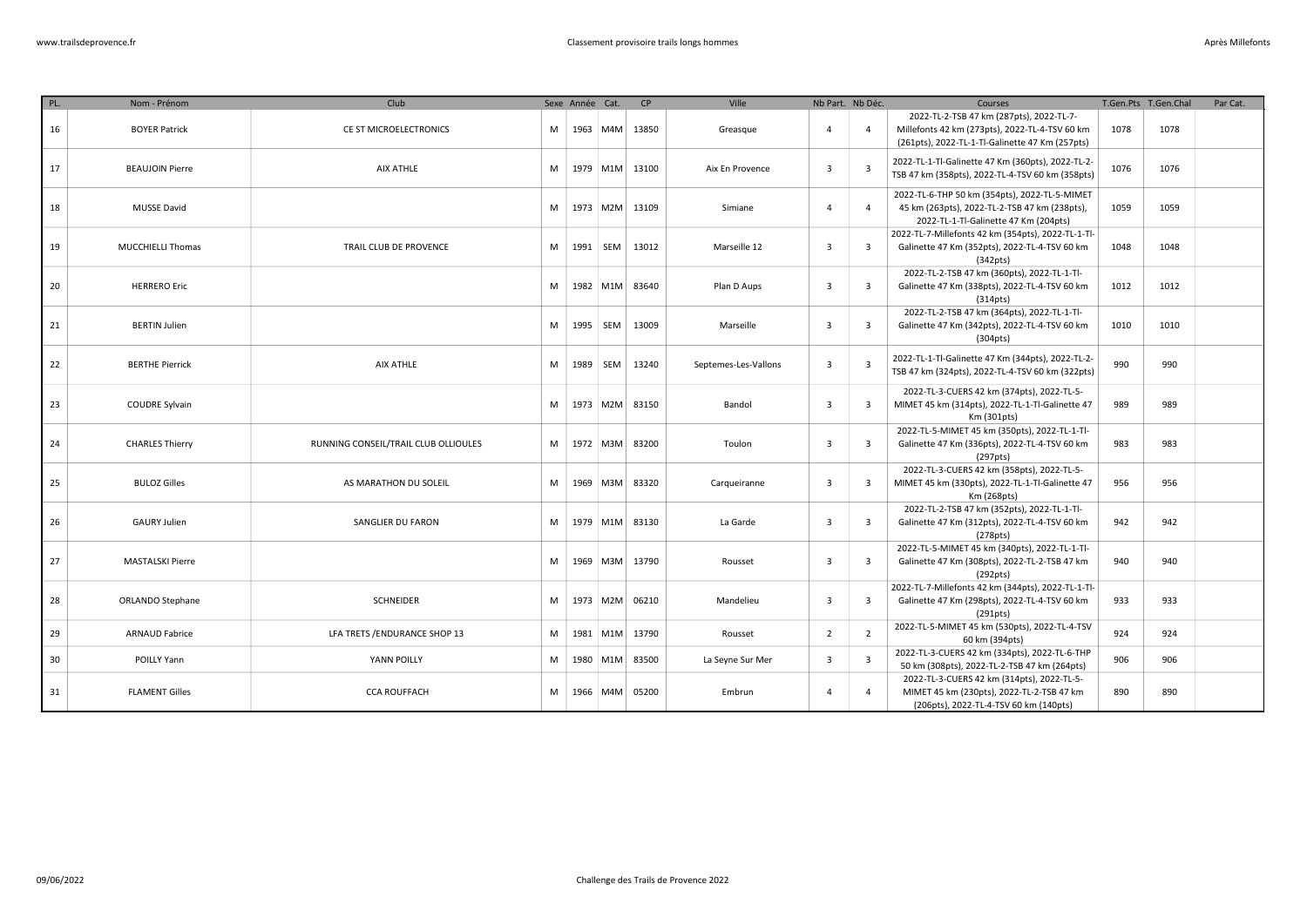| PL. | Nom - Prénom            | Club                                 |   | Sexe Année Cat. |          | CP             | Ville                | Nb Part. Nb Déc.        |                         | Courses                                                                                                                                       |      | T.Gen.Pts T.Gen.Chal | Par Cat. |
|-----|-------------------------|--------------------------------------|---|-----------------|----------|----------------|----------------------|-------------------------|-------------------------|-----------------------------------------------------------------------------------------------------------------------------------------------|------|----------------------|----------|
| 16  | <b>BOYER Patrick</b>    | CE ST MICROELECTRONICS               | M |                 | 1963 M4M | 13850          | Greasque             | 4                       | $\overline{4}$          | 2022-TL-2-TSB 47 km (287pts), 2022-TL-7-<br>Millefonts 42 km (273pts), 2022-TL-4-TSV 60 km<br>(261pts), 2022-TL-1-Tl-Galinette 47 Km (257pts) | 1078 | 1078                 |          |
| 17  | <b>BEAUJOIN Pierre</b>  | AIX ATHLE                            | M |                 | 1979 M1M | 13100          | Aix En Provence      | $\overline{\mathbf{3}}$ | $\overline{\mathbf{3}}$ | 2022-TL-1-Tl-Galinette 47 Km (360pts), 2022-TL-2-<br>TSB 47 km (358pts), 2022-TL-4-TSV 60 km (358pts)                                         | 1076 | 1076                 |          |
| 18  | <b>MUSSE David</b>      |                                      | M |                 | 1973 M2M | 13109          | Simiane              | $\overline{4}$          | $\overline{a}$          | 2022-TL-6-THP 50 km (354pts), 2022-TL-5-MIMET<br>45 km (263pts), 2022-TL-2-TSB 47 km (238pts),<br>2022-TL-1-Tl-Galinette 47 Km (204pts)       | 1059 | 1059                 |          |
| 19  | MUCCHIELLI Thomas       | TRAIL CLUB DE PROVENCE               | M | 1991 SEM        |          | 13012          | Marseille 12         | $\overline{3}$          | $\overline{\mathbf{3}}$ | 2022-TL-7-Millefonts 42 km (354pts), 2022-TL-1-Tl-<br>Galinette 47 Km (352pts), 2022-TL-4-TSV 60 km<br>(342pts)                               | 1048 | 1048                 |          |
| 20  | <b>HERRERO Eric</b>     |                                      | M |                 | 1982 M1M | 83640          | Plan D Aups          | $\overline{3}$          | $\overline{\mathbf{3}}$ | 2022-TL-2-TSB 47 km (360pts), 2022-TL-1-Tl-<br>Galinette 47 Km (338pts), 2022-TL-4-TSV 60 km<br>(314pts)                                      | 1012 | 1012                 |          |
| 21  | <b>BERTIN Julien</b>    |                                      | M |                 | 1995 SEM | 13009          | Marseille            | $\overline{3}$          | $\overline{\mathbf{3}}$ | 2022-TL-2-TSB 47 km (364pts), 2022-TL-1-Tl-<br>Galinette 47 Km (342pts), 2022-TL-4-TSV 60 km<br>(304pts)                                      | 1010 | 1010                 |          |
| 22  | <b>BERTHE Pierrick</b>  | AIX ATHLE                            | M |                 | 1989 SEM | 13240          | Septemes-Les-Vallons | $\overline{\mathbf{3}}$ | $\overline{3}$          | 2022-TL-1-Tl-Galinette 47 Km (344pts), 2022-TL-2-<br>TSB 47 km (324pts), 2022-TL-4-TSV 60 km (322pts)                                         | 990  | 990                  |          |
| 23  | <b>COUDRE Sylvain</b>   |                                      | M |                 | 1973 M2M | 83150          | Bandol               | $\overline{3}$          | $\overline{\mathbf{3}}$ | 2022-TL-3-CUERS 42 km (374pts), 2022-TL-5-<br>MIMET 45 km (314pts), 2022-TL-1-Tl-Galinette 47<br>Km (301pts)                                  | 989  | 989                  |          |
| 24  | <b>CHARLES Thierry</b>  | RUNNING CONSEIL/TRAIL CLUB OLLIOULES | M |                 | 1972 M3M | 83200          | Toulon               | $\overline{3}$          | $\overline{\mathbf{3}}$ | 2022-TL-5-MIMET 45 km (350pts), 2022-TL-1-Tl-<br>Galinette 47 Km (336pts), 2022-TL-4-TSV 60 km<br>(297 <sub>pts</sub> )                       | 983  | 983                  |          |
| 25  | <b>BULOZ Gilles</b>     | AS MARATHON DU SOLEIL                | M |                 | 1969 M3M | 83320          | Carqueiranne         | $\overline{\mathbf{3}}$ | $\overline{\mathbf{3}}$ | 2022-TL-3-CUERS 42 km (358pts), 2022-TL-5-<br>MIMET 45 km (330pts), 2022-TL-1-Tl-Galinette 47<br>Km (268pts)                                  | 956  | 956                  |          |
| 26  | <b>GAURY Julien</b>     | SANGLIER DU FARON                    | M |                 | 1979 M1M | 83130          | La Garde             | $\overline{\mathbf{3}}$ | $\overline{\mathbf{3}}$ | 2022-TL-2-TSB 47 km (352pts), 2022-TL-1-Tl-<br>Galinette 47 Km (312pts), 2022-TL-4-TSV 60 km<br>(278 <sub>pts</sub> )                         | 942  | 942                  |          |
| 27  | <b>MASTALSKI Pierre</b> |                                      | M |                 |          | 1969 M3M 13790 | Rousset              | $\overline{3}$          | $\overline{\mathbf{3}}$ | 2022-TL-5-MIMET 45 km (340pts), 2022-TL-1-Tl-<br>Galinette 47 Km (308pts), 2022-TL-2-TSB 47 km<br>(292pts)                                    | 940  | 940                  |          |
| 28  | ORLANDO Stephane        | <b>SCHNEIDER</b>                     | M |                 |          | 1973 M2M 06210 | Mandelieu            | $\overline{3}$          | $\overline{3}$          | 2022-TL-7-Millefonts 42 km (344pts), 2022-TL-1-Tl-<br>Galinette 47 Km (298pts), 2022-TL-4-TSV 60 km<br>(291pts)                               | 933  | 933                  |          |
| 29  | <b>ARNAUD Fabrice</b>   | LFA TRETS / ENDURANCE SHOP 13        | M |                 | 1981 M1M | 13790          | Rousset              | $\overline{2}$          | $\overline{2}$          | 2022-TL-5-MIMET 45 km (530pts), 2022-TL-4-TSV<br>60 km (394pts)                                                                               | 924  | 924                  |          |
| 30  | POILLY Yann             | YANN POILLY                          | M |                 | 1980 M1M | 83500          | La Seyne Sur Mer     | $\overline{\mathbf{3}}$ | $\overline{\mathbf{3}}$ | 2022-TL-3-CUERS 42 km (334pts), 2022-TL-6-THP<br>50 km (308pts), 2022-TL-2-TSB 47 km (264pts)                                                 | 906  | 906                  |          |
| 31  | <b>FLAMENT Gilles</b>   | <b>CCA ROUFFACH</b>                  | M |                 | 1966 M4M | 05200          | Embrun               | $\overline{4}$          | $\overline{4}$          | 2022-TL-3-CUERS 42 km (314pts), 2022-TL-5-<br>MIMET 45 km (230pts), 2022-TL-2-TSB 47 km<br>(206pts), 2022-TL-4-TSV 60 km (140pts)             | 890  | 890                  |          |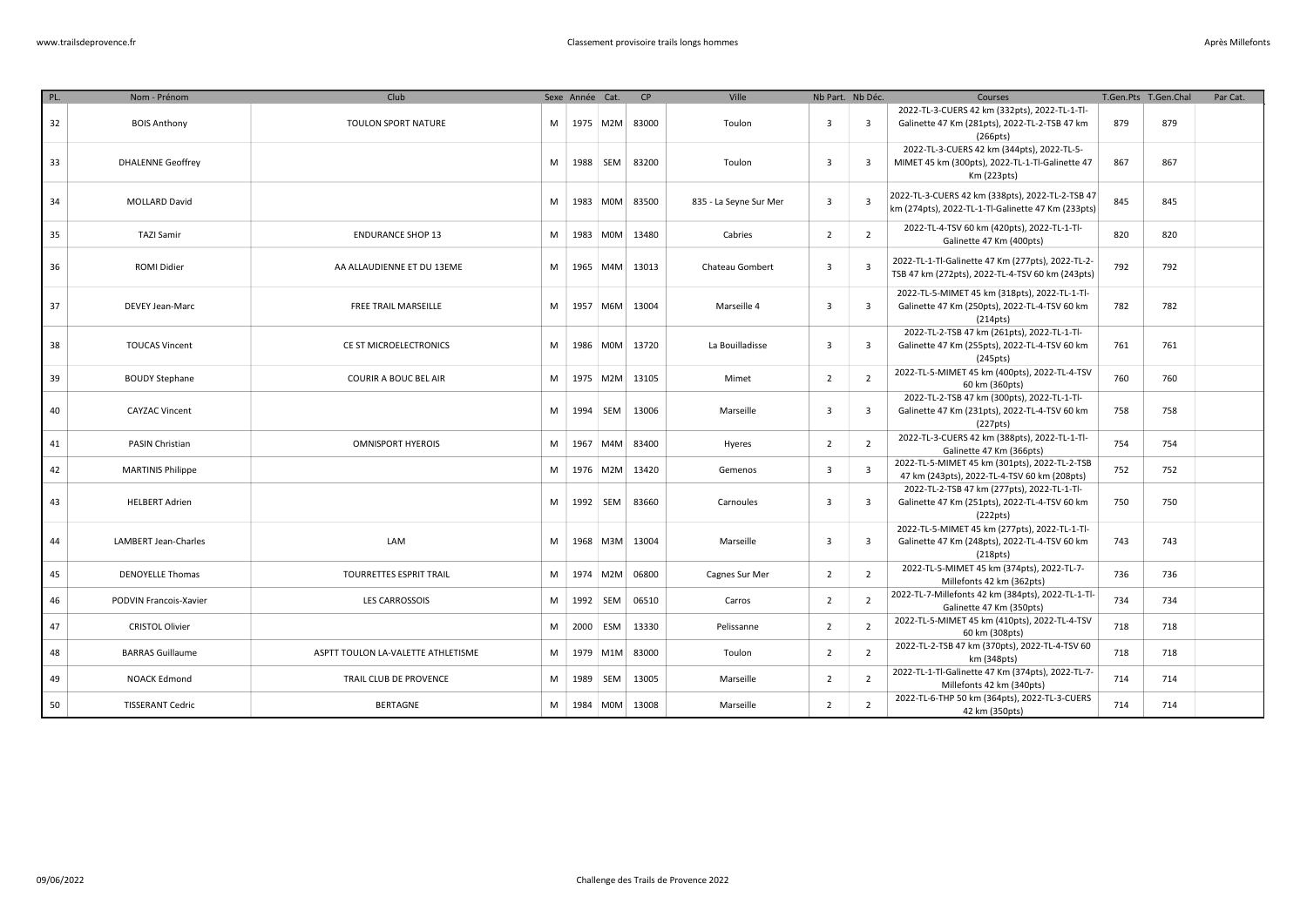| PL. | Nom - Prénom                | Club                               |   | Sexe Année Cat. |          | CP    | Ville                  | Nb Part. Nb Déc. |                         | Courses                                                                                                                 |     | T.Gen.Pts T.Gen.Chal | Par Cat. |
|-----|-----------------------------|------------------------------------|---|-----------------|----------|-------|------------------------|------------------|-------------------------|-------------------------------------------------------------------------------------------------------------------------|-----|----------------------|----------|
| 32  | <b>BOIS Anthony</b>         | TOULON SPORT NATURE                | M | 1975 M2M        |          | 83000 | Toulon                 | $\overline{3}$   | $\overline{\mathbf{3}}$ | 2022-TL-3-CUERS 42 km (332pts), 2022-TL-1-Tl-<br>Galinette 47 Km (281pts), 2022-TL-2-TSB 47 km<br>(266pts)              | 879 | 879                  |          |
| 33  | <b>DHALENNE Geoffrey</b>    |                                    | M | 1988            | SEM      | 83200 | Toulon                 | $\overline{3}$   | $\overline{\mathbf{3}}$ | 2022-TL-3-CUERS 42 km (344pts), 2022-TL-5-<br>MIMET 45 km (300pts), 2022-TL-1-Tl-Galinette 47<br>Km (223pts)            | 867 | 867                  |          |
| 34  | <b>MOLLARD David</b>        |                                    | M |                 | 1983 M0M | 83500 | 835 - La Seyne Sur Mer | $\overline{3}$   | $\overline{\mathbf{3}}$ | 2022-TL-3-CUERS 42 km (338pts), 2022-TL-2-TSB 47<br>km (274pts), 2022-TL-1-Tl-Galinette 47 Km (233pts)                  | 845 | 845                  |          |
| 35  | <b>TAZI Samir</b>           | <b>ENDURANCE SHOP 13</b>           | M | 1983            | M0M      | 13480 | Cabries                | $\overline{2}$   | $\overline{2}$          | 2022-TL-4-TSV 60 km (420pts), 2022-TL-1-Tl-<br>Galinette 47 Km (400pts)                                                 | 820 | 820                  |          |
| 36  | <b>ROMI Didier</b>          | AA ALLAUDIENNE ET DU 13EME         | M |                 | 1965 M4M | 13013 | Chateau Gombert        | $\overline{3}$   | $\overline{\mathbf{3}}$ | 2022-TL-1-Tl-Galinette 47 Km (277pts), 2022-TL-2-<br>TSB 47 km (272pts), 2022-TL-4-TSV 60 km (243pts)                   | 792 | 792                  |          |
| 37  | DEVEY Jean-Marc             | <b>FREE TRAIL MARSEILLE</b>        | M |                 | 1957 M6M | 13004 | Marseille 4            | $\overline{3}$   | $\overline{3}$          | 2022-TL-5-MIMET 45 km (318pts), 2022-TL-1-Tl-<br>Galinette 47 Km (250pts), 2022-TL-4-TSV 60 km<br>(214pts)              | 782 | 782                  |          |
| 38  | <b>TOUCAS Vincent</b>       | CE ST MICROELECTRONICS             | M |                 | 1986 M0M | 13720 | La Bouilladisse        | $\overline{3}$   | $\overline{\mathbf{3}}$ | 2022-TL-2-TSB 47 km (261pts), 2022-TL-1-Tl-<br>Galinette 47 Km (255pts), 2022-TL-4-TSV 60 km<br>(245pts)                | 761 | 761                  |          |
| 39  | <b>BOUDY Stephane</b>       | <b>COURIR A BOUC BEL AIR</b>       | M |                 | 1975 M2M | 13105 | Mimet                  | $\overline{2}$   | $\overline{2}$          | 2022-TL-5-MIMET 45 km (400pts), 2022-TL-4-TSV<br>60 km (360pts)                                                         | 760 | 760                  |          |
| 40  | <b>CAYZAC Vincent</b>       |                                    | M | 1994            | SEM      | 13006 | Marseille              | $\overline{3}$   | $\overline{\mathbf{3}}$ | 2022-TL-2-TSB 47 km (300pts), 2022-TL-1-Tl-<br>Galinette 47 Km (231pts), 2022-TL-4-TSV 60 km<br>(227pts)                | 758 | 758                  |          |
| 41  | PASIN Christian             | <b>OMNISPORT HYEROIS</b>           | M | 1967            | M4M      | 83400 | Hyeres                 | $\overline{2}$   | $\overline{2}$          | 2022-TL-3-CUERS 42 km (388pts), 2022-TL-1-Tl-<br>Galinette 47 Km (366pts)                                               | 754 | 754                  |          |
| 42  | <b>MARTINIS Philippe</b>    |                                    | M |                 | 1976 M2M | 13420 | Gemenos                | $\overline{3}$   | $\overline{\mathbf{3}}$ | 2022-TL-5-MIMET 45 km (301pts), 2022-TL-2-TSB<br>47 km (243pts), 2022-TL-4-TSV 60 km (208pts)                           | 752 | 752                  |          |
| 43  | <b>HELBERT Adrien</b>       |                                    | M | 1992 SEM        |          | 83660 | Carnoules              | $\overline{3}$   | $\overline{\mathbf{3}}$ | 2022-TL-2-TSB 47 km (277pts), 2022-TL-1-Tl-<br>Galinette 47 Km (251pts), 2022-TL-4-TSV 60 km<br>(222pts)                | 750 | 750                  |          |
| 44  | <b>LAMBERT Jean-Charles</b> | LAM                                | M |                 | 1968 M3M | 13004 | Marseille              | $\overline{3}$   | $\overline{\mathbf{3}}$ | 2022-TL-5-MIMET 45 km (277pts), 2022-TL-1-Tl-<br>Galinette 47 Km (248pts), 2022-TL-4-TSV 60 km<br>(218 <sub>pts</sub> ) | 743 | 743                  |          |
| 45  | <b>DENOYELLE Thomas</b>     | TOURRETTES ESPRIT TRAIL            | M |                 | 1974 M2M | 06800 | Cagnes Sur Mer         | $\overline{2}$   | $\overline{2}$          | 2022-TL-5-MIMET 45 km (374pts), 2022-TL-7-<br>Millefonts 42 km (362pts)                                                 | 736 | 736                  |          |
| 46  | PODVIN Francois-Xavier      | <b>LES CARROSSOIS</b>              | M | 1992            | SEM      | 06510 | Carros                 | $\overline{2}$   | $\overline{2}$          | 2022-TL-7-Millefonts 42 km (384pts), 2022-TL-1-Tl-<br>Galinette 47 Km (350pts)                                          | 734 | 734                  |          |
| 47  | <b>CRISTOL Olivier</b>      |                                    | M | 2000            | ESM      | 13330 | Pelissanne             | $\overline{2}$   | $\overline{2}$          | 2022-TL-5-MIMET 45 km (410pts), 2022-TL-4-TSV<br>60 km (308pts)                                                         | 718 | 718                  |          |
| 48  | <b>BARRAS Guillaume</b>     | ASPTT TOULON LA-VALETTE ATHLETISME | M |                 | 1979 M1M | 83000 | Toulon                 | $\overline{2}$   | $\overline{2}$          | 2022-TL-2-TSB 47 km (370pts), 2022-TL-4-TSV 60<br>km (348pts)                                                           | 718 | 718                  |          |
| 49  | <b>NOACK Edmond</b>         | TRAIL CLUB DE PROVENCE             | M | 1989            | SEM      | 13005 | Marseille              | $\overline{2}$   | $\overline{2}$          | 2022-TL-1-Tl-Galinette 47 Km (374pts), 2022-TL-7-<br>Millefonts 42 km (340pts)                                          | 714 | 714                  |          |
| 50  | <b>TISSERANT Cedric</b>     | <b>BERTAGNE</b>                    | M | 1984 M0M        |          | 13008 | Marseille              | $\overline{2}$   | $\overline{2}$          | 2022-TL-6-THP 50 km (364pts), 2022-TL-3-CUERS<br>42 km (350pts)                                                         | 714 | 714                  |          |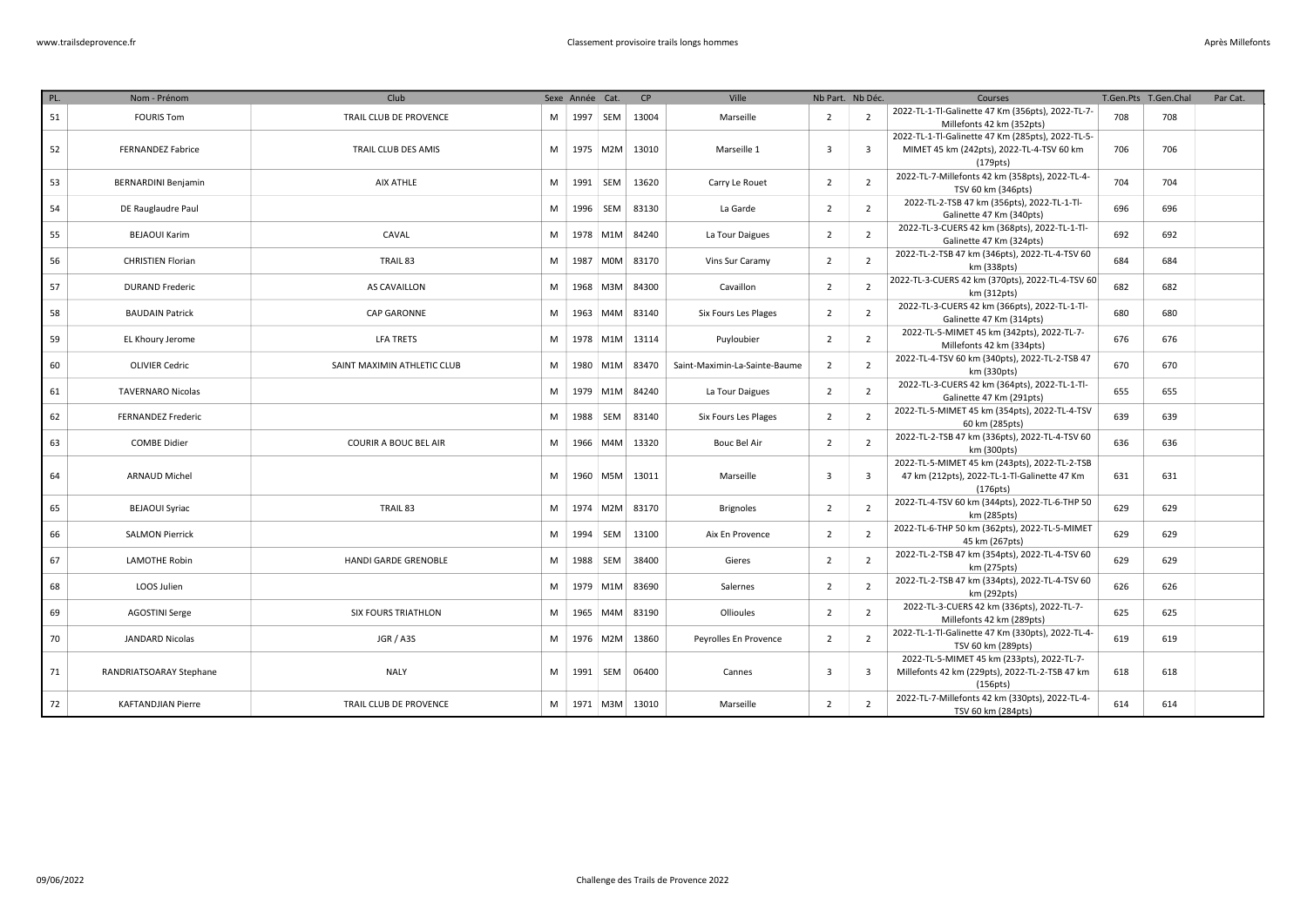| PL. | Nom - Prénom               | Club                        |    | Sexe Année Cat. |                | CP    | <b>Ville</b>                  | Nb Part. Nb Déc. |                         | Courses                                                                                                    |     | T.Gen.Pts T.Gen.Chal | Par Cat. |
|-----|----------------------------|-----------------------------|----|-----------------|----------------|-------|-------------------------------|------------------|-------------------------|------------------------------------------------------------------------------------------------------------|-----|----------------------|----------|
| 51  | <b>FOURIS Tom</b>          | TRAIL CLUB DE PROVENCE      | M. |                 | 1997 SEM       | 13004 | Marseille                     | $\overline{2}$   | $\overline{2}$          | 2022-TL-1-Tl-Galinette 47 Km (356pts), 2022-TL-7-<br>Millefonts 42 km (352pts)                             | 708 | 708                  |          |
| 52  | <b>FERNANDEZ Fabrice</b>   | TRAIL CLUB DES AMIS         | M  |                 | 1975 M2M       | 13010 | Marseille 1                   | $\overline{3}$   | $\overline{\mathbf{3}}$ | 2022-TL-1-Tl-Galinette 47 Km (285pts), 2022-TL-5-<br>MIMET 45 km (242pts), 2022-TL-4-TSV 60 km<br>(179pts) | 706 | 706                  |          |
| 53  | <b>BERNARDINI Benjamin</b> | AIX ATHLE                   | M  |                 | 1991   SEM     | 13620 | Carry Le Rouet                | $\overline{2}$   | $\overline{2}$          | 2022-TL-7-Millefonts 42 km (358pts), 2022-TL-4-<br>TSV 60 km (346pts)                                      | 704 | 704                  |          |
| 54  | DE Rauglaudre Paul         |                             | M  | 1996            | SEM            | 83130 | La Garde                      | $\overline{2}$   | $\overline{2}$          | 2022-TL-2-TSB 47 km (356pts), 2022-TL-1-Tl-<br>Galinette 47 Km (340pts)                                    | 696 | 696                  |          |
| 55  | <b>BEJAOUI Karim</b>       | CAVAL                       | M  |                 | 1978 M1M       | 84240 | La Tour Daigues               | $\overline{2}$   | $\overline{2}$          | 2022-TL-3-CUERS 42 km (368pts), 2022-TL-1-Tl-<br>Galinette 47 Km (324pts)                                  | 692 | 692                  |          |
| 56  | <b>CHRISTIEN Florian</b>   | TRAIL 83                    | M  | 1987            | M0M            | 83170 | Vins Sur Caramy               | $\overline{2}$   | $\overline{2}$          | 2022-TL-2-TSB 47 km (346pts), 2022-TL-4-TSV 60<br>km (338pts)                                              | 684 | 684                  |          |
| 57  | <b>DURAND Frederic</b>     | AS CAVAILLON                | M  |                 | 1968 M3M       | 84300 | Cavaillon                     | $\overline{2}$   | $\overline{2}$          | 2022-TL-3-CUERS 42 km (370pts), 2022-TL-4-TSV 60<br>km (312pts)                                            | 682 | 682                  |          |
| 58  | <b>BAUDAIN Patrick</b>     | CAP GARONNE                 | M  |                 | 1963 M4M       | 83140 | Six Fours Les Plages          | $\overline{2}$   | $\overline{2}$          | 2022-TL-3-CUERS 42 km (366pts), 2022-TL-1-Tl-<br>Galinette 47 Km (314pts)                                  | 680 | 680                  |          |
| 59  | EL Khoury Jerome           | <b>LFA TRETS</b>            | M  |                 | 1978 M1M       | 13114 | Puyloubier                    | $\overline{2}$   | $\overline{2}$          | 2022-TL-5-MIMET 45 km (342pts), 2022-TL-7-<br>Millefonts 42 km (334pts)                                    | 676 | 676                  |          |
| 60  | <b>OLIVIER Cedric</b>      | SAINT MAXIMIN ATHLETIC CLUB | M  |                 | 1980 M1M       | 83470 | Saint-Maximin-La-Sainte-Baume | $\overline{2}$   | $\overline{2}$          | 2022-TL-4-TSV 60 km (340pts), 2022-TL-2-TSB 47<br>km (330pts)                                              | 670 | 670                  |          |
| 61  | <b>TAVERNARO Nicolas</b>   |                             | M  |                 | 1979 M1M       | 84240 | La Tour Daigues               | $\overline{2}$   | $\overline{2}$          | 2022-TL-3-CUERS 42 km (364pts), 2022-TL-1-Tl-<br>Galinette 47 Km (291pts)                                  | 655 | 655                  |          |
| 62  | <b>FERNANDEZ Frederic</b>  |                             | M  |                 | 1988 SEM       | 83140 | Six Fours Les Plages          | $\overline{2}$   | $\overline{2}$          | 2022-TL-5-MIMET 45 km (354pts), 2022-TL-4-TSV<br>60 km (285pts)                                            | 639 | 639                  |          |
| 63  | <b>COMBE Didier</b>        | COURIR A BOUC BEL AIR       | M  | 1966            | M4M            | 13320 | <b>Bouc Bel Air</b>           | $\overline{2}$   | $\overline{2}$          | 2022-TL-2-TSB 47 km (336pts), 2022-TL-4-TSV 60<br>km (300pts)                                              | 636 | 636                  |          |
| 64  | <b>ARNAUD Michel</b>       |                             | M  |                 | 1960   M5M     | 13011 | Marseille                     | $\overline{3}$   | $\overline{\mathbf{3}}$ | 2022-TL-5-MIMET 45 km (243pts), 2022-TL-2-TSB<br>47 km (212pts), 2022-TL-1-Tl-Galinette 47 Km<br>(176pts)  | 631 | 631                  |          |
| 65  | <b>BEJAOUI Syriac</b>      | TRAIL 83                    | M  |                 | 1974 M2M       | 83170 | <b>Brignoles</b>              | $\overline{2}$   | $\overline{2}$          | 2022-TL-4-TSV 60 km (344pts), 2022-TL-6-THP 50<br>km (285pts)                                              | 629 | 629                  |          |
| 66  | <b>SALMON Pierrick</b>     |                             | M  |                 | 1994 SEM       | 13100 | Aix En Provence               | $\overline{2}$   | 2                       | 2022-TL-6-THP 50 km (362pts), 2022-TL-5-MIMET<br>45 km (267pts)                                            | 629 | 629                  |          |
| 67  | <b>LAMOTHE Robin</b>       | HANDI GARDE GRENOBLE        | M  | 1988            | SEM            | 38400 | Gieres                        | $\overline{2}$   | $\overline{2}$          | 2022-TL-2-TSB 47 km (354pts), 2022-TL-4-TSV 60<br>km (275pts)                                              | 629 | 629                  |          |
| 68  | LOOS Julien                |                             | M  |                 | 1979 M1M       | 83690 | Salernes                      | $\overline{2}$   | $\overline{2}$          | 2022-TL-2-TSB 47 km (334pts), 2022-TL-4-TSV 60<br>km (292pts)                                              | 626 | 626                  |          |
| 69  | <b>AGOSTINI Serge</b>      | <b>SIX FOURS TRIATHLON</b>  | M  | 1965            | M4M            | 83190 | Ollioules                     | $\overline{2}$   | $\overline{2}$          | 2022-TL-3-CUERS 42 km (336pts), 2022-TL-7-<br>Millefonts 42 km (289pts)                                    | 625 | 625                  |          |
| 70  | JANDARD Nicolas            | JGR / A3S                   | M  |                 | 1976 M2M       | 13860 | Peyrolles En Provence         | $\overline{2}$   | $\overline{2}$          | 2022-TL-1-Tl-Galinette 47 Km (330pts), 2022-TL-4-<br>TSV 60 km (289pts)                                    | 619 | 619                  |          |
| 71  | RANDRIATSOARAY Stephane    | <b>NALY</b>                 | M  |                 | 1991   SEM     | 06400 | Cannes                        | $\overline{3}$   | $\overline{\mathbf{3}}$ | 2022-TL-5-MIMET 45 km (233pts), 2022-TL-7-<br>Millefonts 42 km (229pts), 2022-TL-2-TSB 47 km<br>(156pts)   | 618 | 618                  |          |
| 72  | <b>KAFTANDJIAN Pierre</b>  | TRAIL CLUB DE PROVENCE      |    |                 | M   1971   M3M | 13010 | Marseille                     | 2                | $\overline{2}$          | 2022-TL-7-Millefonts 42 km (330pts), 2022-TL-4-<br>TSV 60 km (284pts)                                      | 614 | 614                  |          |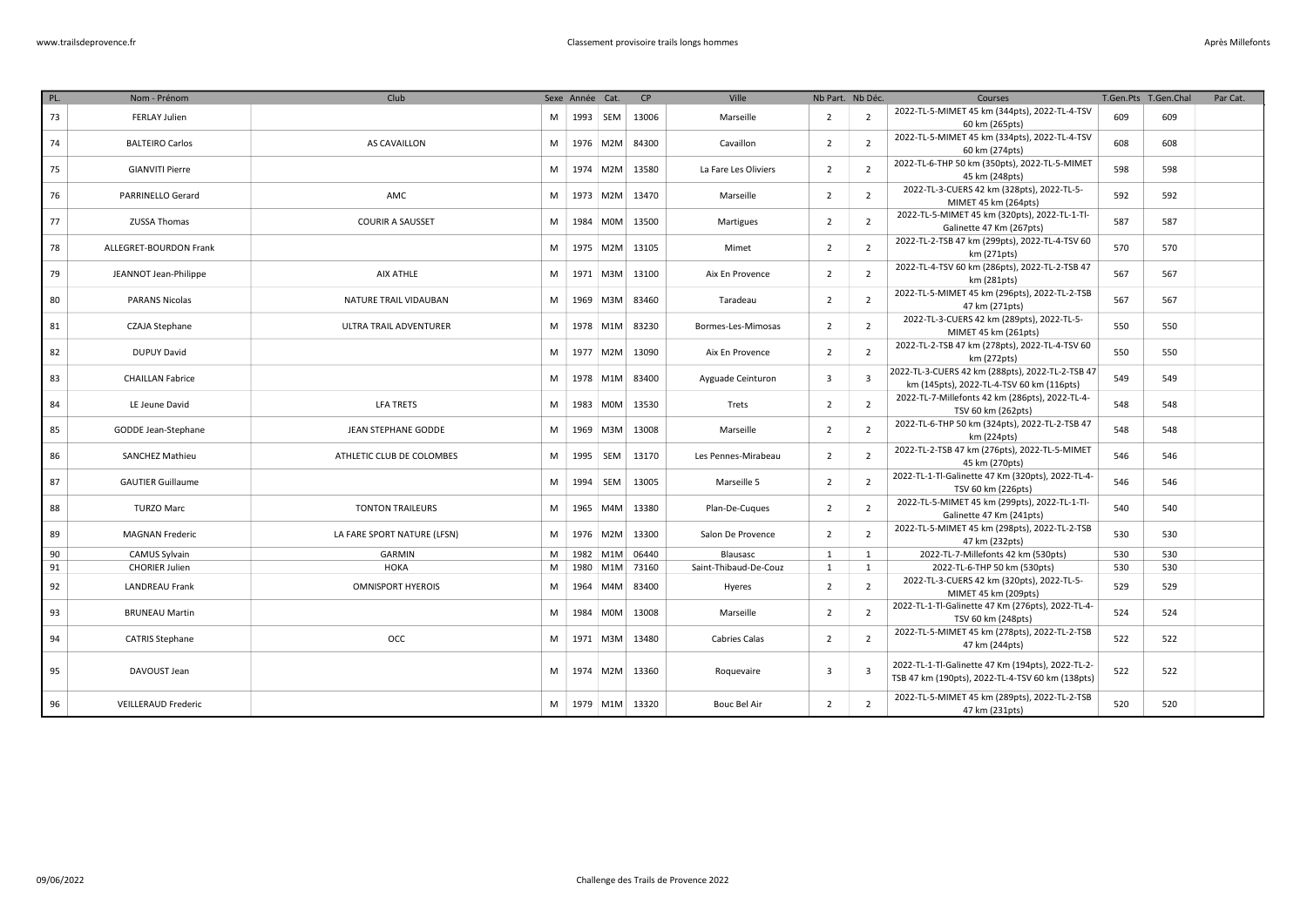| Après Millefonts |  |  |
|------------------|--|--|
|                  |  |  |

| PL. | Nom - Prénom               | Club                        |   | Sexe Année Cat. |            | CP             | Ville                 | Nb Part. Nb Déc. |                         | Courses                                                                                               |     | T.Gen.Pts T.Gen.Chal | Par Cat. |
|-----|----------------------------|-----------------------------|---|-----------------|------------|----------------|-----------------------|------------------|-------------------------|-------------------------------------------------------------------------------------------------------|-----|----------------------|----------|
| 73  | <b>FERLAY Julien</b>       |                             | M | 1993            | SEM        | 13006          | Marseille             | $\overline{2}$   | $\overline{2}$          | 2022-TL-5-MIMET 45 km (344pts), 2022-TL-4-TSV<br>60 km (265pts)                                       | 609 | 609                  |          |
| 74  | <b>BALTEIRO Carlos</b>     | AS CAVAILLON                | M |                 | 1976 M2M   | 84300          | Cavaillon             | $\overline{2}$   | $\overline{2}$          | 2022-TL-5-MIMET 45 km (334pts), 2022-TL-4-TSV<br>60 km (274pts)                                       | 608 | 608                  |          |
| 75  | <b>GIANVITI Pierre</b>     |                             | M |                 | 1974 M2M   | 13580          | La Fare Les Oliviers  | $\overline{2}$   | $\overline{2}$          | 2022-TL-6-THP 50 km (350pts), 2022-TL-5-MIMET<br>45 km (248pts)                                       | 598 | 598                  |          |
| 76  | PARRINELLO Gerard          | AMC                         | M |                 | 1973 M2M   | 13470          | Marseille             | $\overline{2}$   | $\overline{2}$          | 2022-TL-3-CUERS 42 km (328pts), 2022-TL-5-<br>MIMET 45 km (264pts)                                    | 592 | 592                  |          |
| 77  | ZUSSA Thomas               | <b>COURIR A SAUSSET</b>     | M | 1984            | <b>MOM</b> | 13500          | Martigues             | $\overline{2}$   | $\overline{2}$          | 2022-TL-5-MIMET 45 km (320pts), 2022-TL-1-Tl-<br>Galinette 47 Km (267pts)                             | 587 | 587                  |          |
| 78  | ALLEGRET-BOURDON Frank     |                             | M |                 | 1975 M2M   | 13105          | Mimet                 | $\overline{2}$   | $\overline{2}$          | 2022-TL-2-TSB 47 km (299pts), 2022-TL-4-TSV 60<br>km (271pts)                                         | 570 | 570                  |          |
| 79  | JEANNOT Jean-Philippe      | AIX ATHLE                   | M |                 | 1971   M3M | 13100          | Aix En Provence       | $\overline{2}$   | $\overline{2}$          | 2022-TL-4-TSV 60 km (286pts), 2022-TL-2-TSB 47<br>km (281pts)                                         | 567 | 567                  |          |
| 80  | <b>PARANS Nicolas</b>      | NATURE TRAIL VIDAUBAN       | м |                 | 1969 M3M   | 83460          | Taradeau              | 2                | $\overline{2}$          | 2022-TL-5-MIMET 45 km (296pts), 2022-TL-2-TSB<br>47 km (271pts)                                       | 567 | 567                  |          |
| 81  | <b>CZAJA Stephane</b>      | ULTRA TRAIL ADVENTURER      | M |                 | 1978 M1M   | 83230          | Bormes-Les-Mimosas    | $\overline{2}$   | $\overline{2}$          | 2022-TL-3-CUERS 42 km (289pts), 2022-TL-5-<br>MIMET 45 km (261pts)                                    | 550 | 550                  |          |
| 82  | <b>DUPUY David</b>         |                             | M |                 | 1977 M2M   | 13090          | Aix En Provence       | $\overline{2}$   | $\overline{2}$          | 2022-TL-2-TSB 47 km (278pts), 2022-TL-4-TSV 60<br>km (272pts)                                         | 550 | 550                  |          |
| 83  | <b>CHAILLAN Fabrice</b>    |                             | M |                 | 1978 M1M   | 83400          | Ayguade Ceinturon     | 3                | $\overline{\mathbf{3}}$ | 2022-TL-3-CUERS 42 km (288pts), 2022-TL-2-TSB 47<br>km (145pts), 2022-TL-4-TSV 60 km (116pts)         | 549 | 549                  |          |
| 84  | LE Jeune David             | <b>LFA TRETS</b>            | М |                 | 1983 M0M   | 13530          | Trets                 | $\overline{2}$   | $\overline{2}$          | 2022-TL-7-Millefonts 42 km (286pts), 2022-TL-4-<br>TSV 60 km (262pts)                                 | 548 | 548                  |          |
| 85  | GODDE Jean-Stephane        | JEAN STEPHANE GODDE         | M |                 | 1969 M3M   | 13008          | Marseille             | $\overline{2}$   | $\overline{2}$          | 2022-TL-6-THP 50 km (324pts), 2022-TL-2-TSB 47<br>km (224pts)                                         | 548 | 548                  |          |
| 86  | <b>SANCHEZ Mathieu</b>     | ATHLETIC CLUB DE COLOMBES   | M |                 | 1995 SEM   | 13170          | Les Pennes-Mirabeau   | $\overline{2}$   | $\overline{2}$          | 2022-TL-2-TSB 47 km (276pts), 2022-TL-5-MIMET<br>45 km (270pts)                                       | 546 | 546                  |          |
| 87  | <b>GAUTIER Guillaume</b>   |                             | M |                 | 1994 SEM   | 13005          | Marseille 5           | $\overline{2}$   | $\overline{2}$          | 2022-TL-1-Tl-Galinette 47 Km (320pts), 2022-TL-4-<br>TSV 60 km (226pts)                               | 546 | 546                  |          |
| 88  | <b>TURZO Marc</b>          | <b>TONTON TRAILEURS</b>     | м |                 | 1965 M4M   | 13380          | Plan-De-Cuques        | $\overline{2}$   | $\overline{2}$          | 2022-TL-5-MIMET 45 km (299pts), 2022-TL-1-Tl-<br>Galinette 47 Km (241pts)                             | 540 | 540                  |          |
| 89  | <b>MAGNAN Frederic</b>     | LA FARE SPORT NATURE (LFSN) | м |                 | 1976 M2M   | 13300          | Salon De Provence     | $\overline{2}$   | $\overline{2}$          | 2022-TL-5-MIMET 45 km (298pts), 2022-TL-2-TSB<br>47 km (232pts)                                       | 530 | 530                  |          |
| 90  | CAMUS Sylvain              | <b>GARMIN</b>               | M |                 | 1982 M1M   | 06440          | Blausasc              | 1                | <sup>1</sup>            | 2022-TL-7-Millefonts 42 km (530pts)                                                                   | 530 | 530                  |          |
| 91  | <b>CHORIER Julien</b>      | <b>HOKA</b>                 | M |                 |            | 1980 M1M 73160 | Saint-Thibaud-De-Couz | $\mathbf{1}$     | 1                       | 2022-TL-6-THP 50 km (530pts)                                                                          | 530 | 530                  |          |
| 92  | <b>LANDREAU Frank</b>      | <b>OMNISPORT HYEROIS</b>    | M |                 | 1964 M4M   | 83400          | Hyeres                | $\overline{2}$   | $\overline{2}$          | 2022-TL-3-CUERS 42 km (320pts), 2022-TL-5-<br>MIMET 45 km (209pts)                                    | 529 | 529                  |          |
| 93  | <b>BRUNEAU Martin</b>      |                             | M | 1984            | <b>MOM</b> | 13008          | Marseille             | 2                | $\overline{2}$          | 2022-TL-1-Tl-Galinette 47 Km (276pts), 2022-TL-4-<br>TSV 60 km (248pts)                               | 524 | 524                  |          |
| 94  | <b>CATRIS Stephane</b>     | <b>OCC</b>                  | M |                 | 1971 M3M   | 13480          | <b>Cabries Calas</b>  | $\overline{2}$   | $\overline{2}$          | 2022-TL-5-MIMET 45 km (278pts), 2022-TL-2-TSB<br>47 km (244pts)                                       | 522 | 522                  |          |
| 95  | DAVOUST Jean               |                             | M |                 | 1974 M2M   | 13360          | Roquevaire            | 3                | $\overline{3}$          | 2022-TL-1-Tl-Galinette 47 Km (194pts), 2022-TL-2-<br>TSB 47 km (190pts), 2022-TL-4-TSV 60 km (138pts) | 522 | 522                  |          |
| 96  | <b>VEILLERAUD Frederic</b> |                             | м |                 |            | 1979 M1M 13320 | <b>Bouc Bel Air</b>   | $\overline{2}$   | $\overline{2}$          | 2022-TL-5-MIMET 45 km (289pts), 2022-TL-2-TSB<br>47 km (231pts)                                       | 520 | 520                  |          |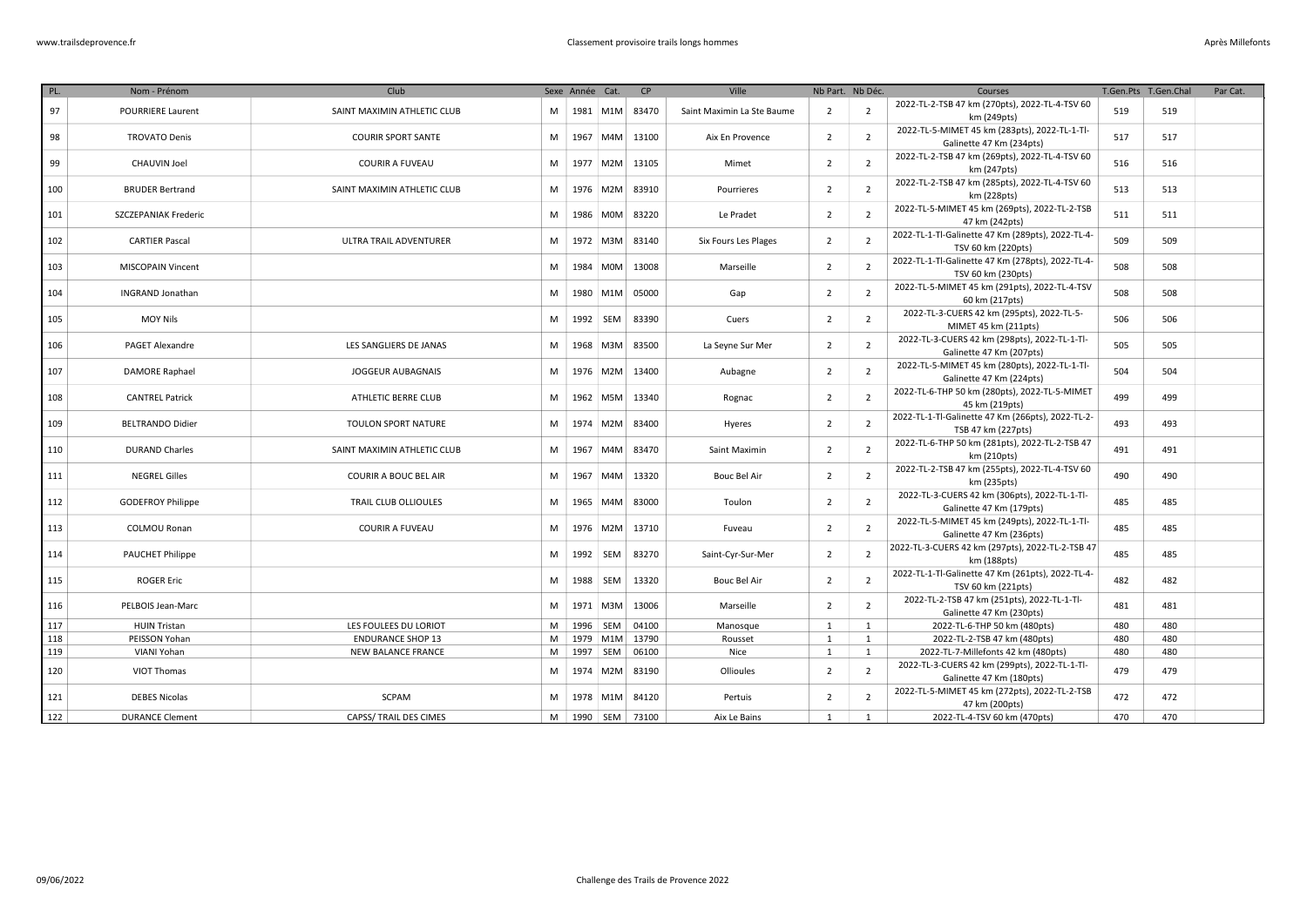| PL. | Nom - Prénom                | Club                        |   | Sexe Année Cat. |                        | <b>CP</b> | Ville                      |                | Nb Part. Nb Déc. | Courses                                                                   |     | T.Gen.Pts T.Gen.Chal | Par Cat. |
|-----|-----------------------------|-----------------------------|---|-----------------|------------------------|-----------|----------------------------|----------------|------------------|---------------------------------------------------------------------------|-----|----------------------|----------|
| 97  | <b>POURRIERE Laurent</b>    | SAINT MAXIMIN ATHLETIC CLUB | M |                 | 1981 M1M               | 83470     | Saint Maximin La Ste Baume | $\overline{2}$ | $\overline{2}$   | 2022-TL-2-TSB 47 km (270pts), 2022-TL-4-TSV 60<br>km (249pts)             | 519 | 519                  |          |
| 98  | <b>TROVATO Denis</b>        | <b>COURIR SPORT SANTE</b>   | M | 1967            | MAM                    | 13100     | Aix En Provence            | $\overline{2}$ | $\overline{2}$   | 2022-TL-5-MIMET 45 km (283pts), 2022-TL-1-Tl-<br>Galinette 47 Km (234pts) | 517 | 517                  |          |
| 99  | <b>CHAUVIN Joel</b>         | <b>COURIR A FUVEAU</b>      | M |                 | 1977 M2M               | 13105     | Mimet                      | $\overline{2}$ | $\overline{2}$   | 2022-TL-2-TSB 47 km (269pts), 2022-TL-4-TSV 60<br>km (247pts)             | 516 | 516                  |          |
| 100 | <b>BRUDER Bertrand</b>      | SAINT MAXIMIN ATHLETIC CLUB | M |                 | 1976 M2M               | 83910     | Pourrieres                 | $\overline{2}$ | $\overline{2}$   | 2022-TL-2-TSB 47 km (285pts), 2022-TL-4-TSV 60<br>km (228pts)             | 513 | 513                  |          |
| 101 | <b>SZCZEPANIAK Frederic</b> |                             | M |                 | 1986 M0M               | 83220     | Le Pradet                  | $\overline{2}$ | $\overline{2}$   | 2022-TL-5-MIMET 45 km (269pts), 2022-TL-2-TSB                             | 511 | 511                  |          |
| 102 | <b>CARTIER Pascal</b>       | ULTRA TRAIL ADVENTURER      | M |                 | 1972 M3M               | 83140     | Six Fours Les Plages       | $\overline{2}$ | $\overline{2}$   | 47 km (242pts)<br>2022-TL-1-Tl-Galinette 47 Km (289pts), 2022-TL-4-       | 509 | 509                  |          |
| 103 | <b>MISCOPAIN Vincent</b>    |                             | M | 1984            | M0M                    | 13008     | Marseille                  | $\overline{2}$ | $\overline{2}$   | TSV 60 km (220pts)<br>2022-TL-1-Tl-Galinette 47 Km (278pts), 2022-TL-4-   | 508 | 508                  |          |
| 104 | <b>INGRAND Jonathan</b>     |                             | M | 1980            | M1M                    | 05000     | Gap                        | $\overline{2}$ | $\overline{2}$   | TSV 60 km (230pts)<br>2022-TL-5-MIMET 45 km (291pts), 2022-TL-4-TSV       | 508 | 508                  |          |
| 105 | <b>MOY Nils</b>             |                             | M | 1992            | SEM                    | 83390     | Cuers                      | $\overline{2}$ | $\overline{2}$   | 60 km (217pts)<br>2022-TL-3-CUERS 42 km (295pts), 2022-TL-5-              | 506 | 506                  |          |
|     |                             |                             |   |                 |                        |           |                            |                |                  | MIMET 45 km (211pts)<br>2022-TL-3-CUERS 42 km (298pts), 2022-TL-1-Tl-     |     |                      |          |
| 106 | <b>PAGET Alexandre</b>      | LES SANGLIERS DE JANAS      | M | 1968            | M3M                    | 83500     | La Seyne Sur Mer           | $\overline{2}$ | $\overline{2}$   | Galinette 47 Km (207pts)<br>2022-TL-5-MIMET 45 km (280pts), 2022-TL-1-Tl- | 505 | 505                  |          |
| 107 | <b>DAMORE Raphael</b>       | JOGGEUR AUBAGNAIS           | M |                 | 1976 M2M               | 13400     | Aubagne                    | $\overline{2}$ | $\overline{2}$   | Galinette 47 Km (224pts)                                                  | 504 | 504                  |          |
| 108 | <b>CANTREL Patrick</b>      | ATHLETIC BERRE CLUB         | M |                 | 1962 M5M               | 13340     | Rognac                     | $\overline{2}$ | $\overline{2}$   | 2022-TL-6-THP 50 km (280pts), 2022-TL-5-MIMET<br>45 km (219pts)           | 499 | 499                  |          |
| 109 | <b>BELTRANDO Didier</b>     | <b>TOULON SPORT NATURE</b>  | M | 1974            | M2M                    | 83400     | Hyeres                     | $\overline{2}$ | $\overline{2}$   | 2022-TL-1-Tl-Galinette 47 Km (266pts), 2022-TL-2-<br>TSB 47 km (227pts)   | 493 | 493                  |          |
| 110 | <b>DURAND Charles</b>       | SAINT MAXIMIN ATHLETIC CLUB | M | 1967            | M4M                    | 83470     | Saint Maximin              | $\overline{2}$ | $\overline{2}$   | 2022-TL-6-THP 50 km (281pts), 2022-TL-2-TSB 47<br>km (210pts)             | 491 | 491                  |          |
| 111 | <b>NEGREL Gilles</b>        | COURIR A BOUC BEL AIR       | M | 1967            | M4M                    | 13320     | Bouc Bel Air               | $\overline{2}$ | $\overline{2}$   | 2022-TL-2-TSB 47 km (255pts), 2022-TL-4-TSV 60<br>km (235pts)             | 490 | 490                  |          |
| 112 | <b>GODEFROY Philippe</b>    | TRAIL CLUB OLLIOULES        | M |                 | 1965 M4M               | 83000     | Toulon                     | $\overline{2}$ | $\overline{2}$   | 2022-TL-3-CUERS 42 km (306pts), 2022-TL-1-Tl-<br>Galinette 47 Km (179pts) | 485 | 485                  |          |
| 113 | <b>COLMOU Ronan</b>         | <b>COURIR A FUVEAU</b>      | M |                 | 1976 M2M               | 13710     | Fuveau                     | $\overline{2}$ | $\overline{2}$   | 2022-TL-5-MIMET 45 km (249pts), 2022-TL-1-Tl-<br>Galinette 47 Km (236pts) | 485 | 485                  |          |
| 114 | <b>PAUCHET Philippe</b>     |                             | M |                 | 1992 SEM               | 83270     | Saint-Cyr-Sur-Mer          | $\overline{2}$ | $\overline{2}$   | 2022-TL-3-CUERS 42 km (297pts), 2022-TL-2-TSB 47<br>km (188pts)           | 485 | 485                  |          |
| 115 | <b>ROGER Eric</b>           |                             | M | 1988            | SEM                    | 13320     | <b>Bouc Bel Air</b>        | 2              | $\overline{2}$   | 2022-TL-1-Tl-Galinette 47 Km (261pts), 2022-TL-4-<br>TSV 60 km (221pts)   | 482 | 482                  |          |
| 116 | PELBOIS Jean-Marc           |                             | M |                 | 1971 M3M               | 13006     | Marseille                  | $\overline{2}$ | $\overline{2}$   | 2022-TL-2-TSB 47 km (251pts), 2022-TL-1-Tl-<br>Galinette 47 Km (230pts)   | 481 | 481                  |          |
| 117 | <b>HUIN Tristan</b>         | LES FOULEES DU LORIOT       | M |                 | 1996   SEM             | 04100     | Manosque                   | 1              | $\mathbf{1}$     | 2022-TL-6-THP 50 km (480pts)                                              | 480 | 480                  |          |
| 118 | PEISSON Yohan               | <b>ENDURANCE SHOP 13</b>    | M |                 | 1979 M1M               | 13790     | Rousset                    | 1              | 1                | 2022-TL-2-TSB 47 km (480pts)                                              | 480 | 480                  |          |
| 119 | VIANI Yohan                 | NEW BALANCE FRANCE          | M |                 | 1997   SEM             | 06100     | Nice                       | 1              | 1                | 2022-TL-7-Millefonts 42 km (480pts)                                       | 480 | 480                  |          |
| 120 | VIOT Thomas                 |                             | M |                 | 1974 M2M               | 83190     | Ollioules                  | $\overline{2}$ | $\overline{2}$   | 2022-TL-3-CUERS 42 km (299pts), 2022-TL-1-Tl-<br>Galinette 47 Km (180pts) | 479 | 479                  |          |
| 121 | <b>DEBES Nicolas</b>        | SCPAM                       | M |                 | 1978 M1M               | 84120     | Pertuis                    | $\overline{2}$ | $\overline{2}$   | 2022-TL-5-MIMET 45 km (272pts), 2022-TL-2-TSB<br>47 km (200pts)           | 472 | 472                  |          |
| 122 | <b>DURANCE Clement</b>      | CAPSS/ TRAIL DES CIMES      |   |                 | M   1990   SEM   73100 |           | Aix Le Bains               | 1              | $\mathbf{1}$     | 2022-TL-4-TSV 60 km (470pts)                                              | 470 | 470                  |          |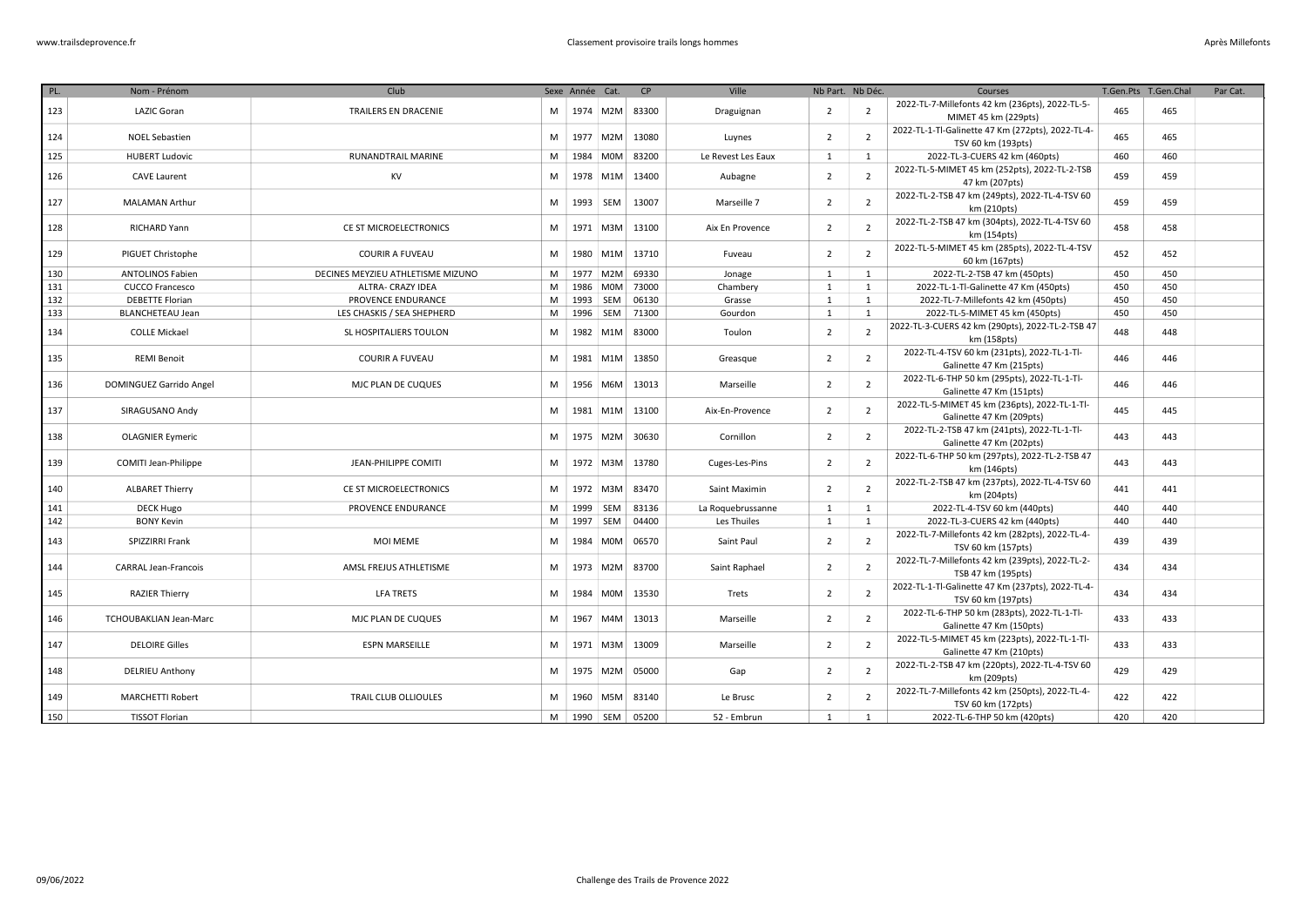| PL.        | Nom - Prénom                          | Club                              |        | Sexe Année Cat. |                  | CP             | Ville                            |                | Nb Part. Nb Déc.  | Courses                                                        | T.Gen.Pts T.Gen.Chal |     | Par Cat. |
|------------|---------------------------------------|-----------------------------------|--------|-----------------|------------------|----------------|----------------------------------|----------------|-------------------|----------------------------------------------------------------|----------------------|-----|----------|
|            | LAZIC Goran                           | TRAILERS EN DRACENIE              | M      |                 | 1974 M2M         | 83300          |                                  | $\overline{2}$ | $\overline{2}$    | 2022-TL-7-Millefonts 42 km (236pts), 2022-TL-5-                | 465                  | 465 |          |
| 123        |                                       |                                   |        |                 |                  |                | Draguignan                       |                |                   | MIMET 45 km (229pts)                                           |                      |     |          |
| 124        | <b>NOEL Sebastien</b>                 |                                   | M      |                 | 1977 M2M         | 13080          | Luynes                           | $\overline{2}$ | $\overline{2}$    | 2022-TL-1-Tl-Galinette 47 Km (272pts), 2022-TL-4-              | 465                  | 465 |          |
|            |                                       |                                   |        |                 |                  |                |                                  |                |                   | TSV 60 km (193pts)                                             |                      |     |          |
| 125        | <b>HUBERT Ludovic</b>                 | <b>RUNANDTRAIL MARINE</b>         | M      |                 | 1984 M0M         | 83200          | Le Revest Les Eaux               | 1              | 1                 | 2022-TL-3-CUERS 42 km (460pts)                                 | 460                  | 460 |          |
| 126        | <b>CAVE Laurent</b>                   | <b>KV</b>                         | M      |                 | 1978 M1M         | 13400          | Aubagne                          | $\overline{2}$ | $\overline{2}$    | 2022-TL-5-MIMET 45 km (252pts), 2022-TL-2-TSB                  | 459                  | 459 |          |
|            |                                       |                                   |        |                 |                  |                |                                  |                |                   | 47 km (207pts)                                                 |                      |     |          |
| 127        | <b>MALAMAN Arthur</b>                 |                                   | M      |                 | 1993 SEM         | 13007          | Marseille 7                      | $\overline{2}$ | $\overline{2}$    | 2022-TL-2-TSB 47 km (249pts), 2022-TL-4-TSV 60                 | 459                  | 459 |          |
|            |                                       |                                   |        |                 |                  |                |                                  |                |                   | km (210pts)                                                    |                      |     |          |
| 128        | RICHARD Yann                          | CE ST MICROELECTRONICS            | M      |                 | 1971 M3M         | 13100          | Aix En Provence                  | $\overline{2}$ | $\overline{2}$    | 2022-TL-2-TSB 47 km (304pts), 2022-TL-4-TSV 60                 | 458                  | 458 |          |
|            |                                       |                                   |        |                 |                  |                |                                  |                |                   | km (154pts)                                                    |                      |     |          |
| 129        | PIGUET Christophe                     | <b>COURIR A FUVEAU</b>            | M      |                 | 1980 M1M         | 13710          | Fuveau                           | $\overline{2}$ | $\overline{2}$    | 2022-TL-5-MIMET 45 km (285pts), 2022-TL-4-TSV                  | 452                  | 452 |          |
|            |                                       |                                   |        |                 |                  |                |                                  |                |                   | 60 km (167pts)                                                 |                      |     |          |
| 130        | <b>ANTOLINOS Fabien</b>               | DECINES MEYZIEU ATHLETISME MIZUNO | M      |                 | 1977 M2M         | 69330          | Jonage                           | 1              | $\mathbf{1}$      | 2022-TL-2-TSB 47 km (450pts)                                   | 450                  | 450 |          |
| 131        | <b>CUCCO Francesco</b>                | ALTRA- CRAZY IDEA                 | M      |                 | 1986 M0M         | 73000          | Chambery                         | 1              | 1                 | 2022-TL-1-Tl-Galinette 47 Km (450pts)                          | 450                  | 450 |          |
| 132        | <b>DEBETTE Florian</b>                | PROVENCE ENDURANCE                | M      |                 | 1993 SEM         | 06130          | Grasse                           | 1              | $\mathbf{1}$      | 2022-TL-7-Millefonts 42 km (450pts)                            | 450                  | 450 |          |
| 133        | <b>BLANCHETEAU Jean</b>               | LES CHASKIS / SEA SHEPHERD        | M      |                 | 1996 SEM         | 71300          | Gourdon                          | 1              | 1                 | 2022-TL-5-MIMET 45 km (450pts)                                 | 450                  | 450 |          |
| 134        | <b>COLLE Mickael</b>                  | SL HOSPITALIERS TOULON            | M      |                 | 1982 M1M         | 83000          | Toulon                           | $\overline{2}$ | $\overline{2}$    | 2022-TL-3-CUERS 42 km (290pts), 2022-TL-2-TSB 47               | 448                  | 448 |          |
|            |                                       |                                   |        |                 |                  |                |                                  |                |                   | km (158pts)                                                    |                      |     |          |
| 135        | <b>REMI Benoit</b>                    | <b>COURIR A FUVEAU</b>            | M      | 1981            | M <sub>1</sub> M | 13850          | Greasque                         | $\overline{2}$ | $\overline{2}$    | 2022-TL-4-TSV 60 km (231pts), 2022-TL-1-Tl-                    | 446                  | 446 |          |
|            |                                       |                                   |        |                 |                  |                |                                  |                |                   | Galinette 47 Km (215pts)                                       |                      |     |          |
| 136        | DOMINGUEZ Garrido Angel               | MJC PLAN DE CUQUES                | M      |                 | 1956 M6M         | 13013          | Marseille                        | $\overline{2}$ | $\overline{2}$    | 2022-TL-6-THP 50 km (295pts), 2022-TL-1-Tl-                    | 446                  | 446 |          |
|            |                                       |                                   |        |                 |                  |                |                                  |                |                   | Galinette 47 Km (151pts)                                       |                      |     |          |
| 137        | SIRAGUSANO Andy                       |                                   | M      | 1981            | M1M              | 13100          | Aix-En-Provence                  | $\overline{2}$ | $\overline{2}$    | 2022-TL-5-MIMET 45 km (236pts), 2022-TL-1-Tl-                  | 445                  | 445 |          |
|            |                                       |                                   |        |                 |                  |                |                                  |                |                   | Galinette 47 Km (209pts)                                       |                      |     |          |
| 138        | <b>OLAGNIER Eymeric</b>               |                                   | M      |                 | 1975 M2M         | 30630          | Cornillon                        | $\overline{2}$ | $\overline{2}$    | 2022-TL-2-TSB 47 km (241pts), 2022-TL-1-Tl-                    | 443                  | 443 |          |
|            |                                       |                                   |        |                 |                  |                |                                  |                |                   | Galinette 47 Km (202pts)                                       |                      |     |          |
| 139        | COMITI Jean-Philippe                  | <b>JEAN-PHILIPPE COMITI</b>       | M      |                 | 1972 M3M         | 13780          | Cuges-Les-Pins                   | $\overline{2}$ | $\overline{2}$    | 2022-TL-6-THP 50 km (297pts), 2022-TL-2-TSB 47                 | 443                  | 443 |          |
|            |                                       |                                   |        |                 |                  |                |                                  |                |                   | km (146pts)                                                    |                      |     |          |
| 140        | <b>ALBARET Thierry</b>                | CE ST MICROELECTRONICS            | M      |                 | 1972 M3M         | 83470          | Saint Maximin                    | $\overline{2}$ | $\overline{2}$    | 2022-TL-2-TSB 47 km (237pts), 2022-TL-4-TSV 60                 | 441                  | 441 |          |
|            |                                       | PROVENCE ENDURANCE                |        |                 | 1999 SEM         |                |                                  |                |                   | km (204pts)                                                    | 440                  | 440 |          |
| 141<br>142 | <b>DECK Hugo</b><br><b>BONY Kevin</b> |                                   | M<br>M | 1997            | SEM              | 83136<br>04400 | La Roquebrussanne<br>Les Thuiles | 1<br>1         | 1<br>$\mathbf{1}$ | 2022-TL-4-TSV 60 km (440pts)<br>2022-TL-3-CUERS 42 km (440pts) | 440                  | 440 |          |
|            |                                       |                                   |        |                 |                  |                |                                  |                |                   | 2022-TL-7-Millefonts 42 km (282pts), 2022-TL-4-                |                      |     |          |
| 143        | SPIZZIRRI Frank                       | <b>MOI MEME</b>                   | M      |                 | 1984 M0M         | 06570          | Saint Paul                       | $\overline{2}$ | $\overline{2}$    | TSV 60 km (157pts)                                             | 439                  | 439 |          |
|            |                                       |                                   |        |                 |                  |                |                                  |                |                   | 2022-TL-7-Millefonts 42 km (239pts), 2022-TL-2-                |                      |     |          |
| 144        | <b>CARRAL Jean-Francois</b>           | AMSL FREJUS ATHLETISME            | M      |                 | 1973 M2M         | 83700          | Saint Raphael                    | $\overline{2}$ | $\overline{2}$    | TSB 47 km (195pts)                                             | 434                  | 434 |          |
|            |                                       |                                   |        |                 |                  |                |                                  |                |                   | 2022-TL-1-Tl-Galinette 47 Km (237pts), 2022-TL-4-              |                      |     |          |
| 145        | <b>RAZIER Thierry</b>                 | <b>LFA TRETS</b>                  | M      | 1984            | M0M              | 13530          | Trets                            | $\overline{2}$ | $\overline{2}$    | TSV 60 km (197pts)                                             | 434                  | 434 |          |
|            |                                       |                                   |        |                 |                  |                |                                  |                |                   | 2022-TL-6-THP 50 km (283pts), 2022-TL-1-Tl-                    |                      |     |          |
| 146        | TCHOUBAKLIAN Jean-Marc                | MJC PLAN DE CUQUES                | M      | 1967            | M4M              | 13013          | Marseille                        | $\overline{2}$ | $\overline{2}$    | Galinette 47 Km (150pts)                                       | 433                  | 433 |          |
|            |                                       |                                   |        |                 |                  |                |                                  |                |                   | 2022-TL-5-MIMET 45 km (223pts), 2022-TL-1-Tl-                  |                      |     |          |
| 147        | <b>DELOIRE Gilles</b>                 | <b>ESPN MARSEILLE</b>             | M      |                 | 1971 M3M         | 13009          | Marseille                        | $\overline{2}$ | $\overline{2}$    | Galinette 47 Km (210pts)                                       | 433                  | 433 |          |
|            |                                       |                                   |        |                 |                  |                |                                  |                |                   | 2022-TL-2-TSB 47 km (220pts), 2022-TL-4-TSV 60                 |                      |     |          |
| 148        | <b>DELRIEU Anthony</b>                |                                   | M      |                 | 1975 M2M         | 05000          | Gap                              | $\overline{2}$ | $\overline{2}$    | km (209pts)                                                    | 429                  | 429 |          |
|            |                                       |                                   |        |                 |                  |                |                                  |                |                   | 2022-TL-7-Millefonts 42 km (250pts), 2022-TL-4-                |                      |     |          |
| 149        | <b>MARCHETTI Robert</b>               | TRAIL CLUB OLLIOULES              | M      | 1960            | M5M              | 83140          | Le Brusc                         | $\overline{2}$ | $\overline{2}$    | TSV 60 km (172pts)                                             | 422                  | 422 |          |
| 150        | <b>TISSOT Florian</b>                 |                                   | M      |                 | 1990 SEM         | 05200          | 52 - Embrun                      | 1              | 1                 | 2022-TL-6-THP 50 km (420pts)                                   | 420                  | 420 |          |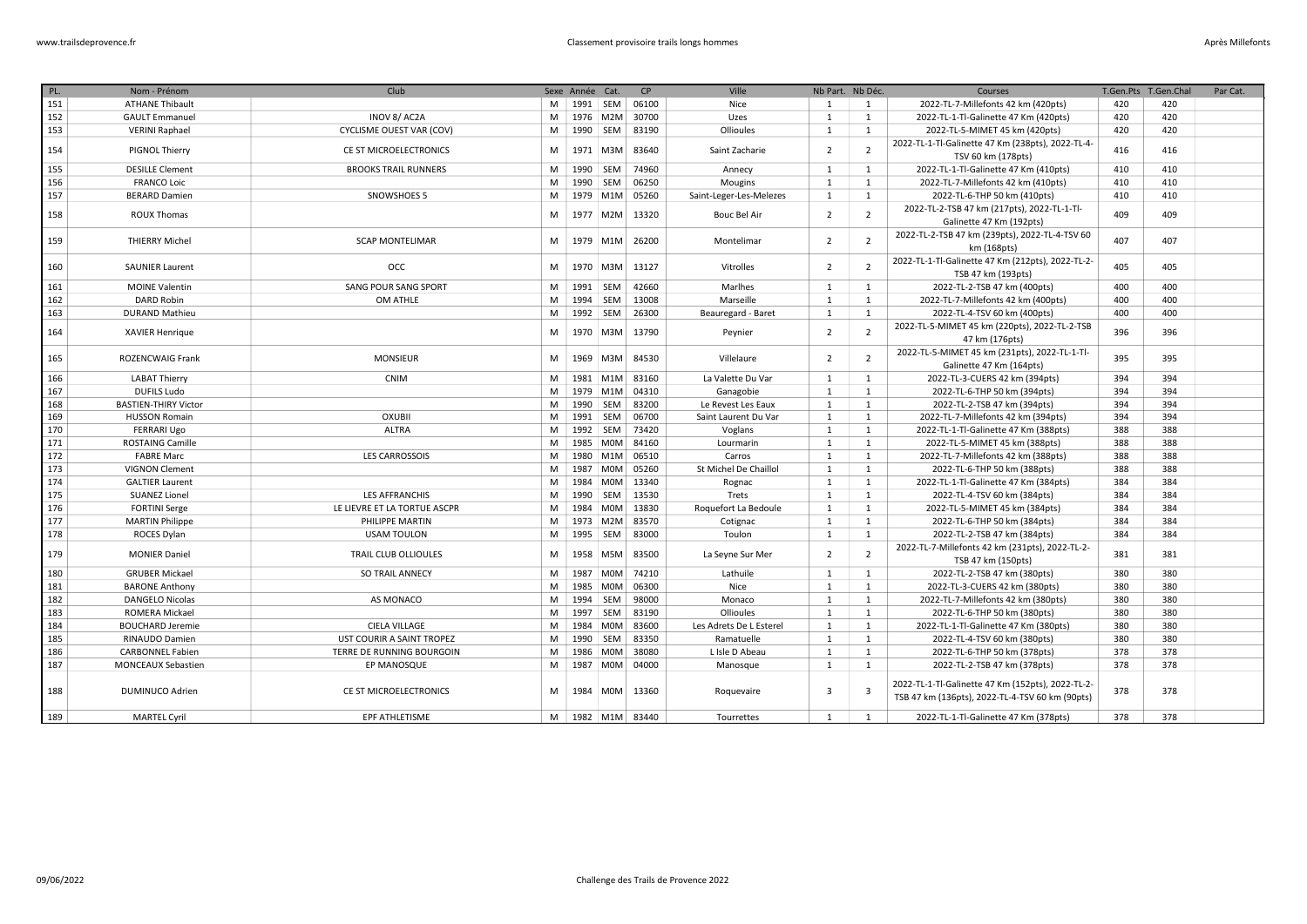| PL. | Nom - Prénom                | Club                         |   | Sexe Année Cat. |            | CP               | Ville                   | Nb Part. Nb Déc. |                         | Courses                                                                                              |     | T.Gen.Pts T.Gen.Chal | Par Cat. |
|-----|-----------------------------|------------------------------|---|-----------------|------------|------------------|-------------------------|------------------|-------------------------|------------------------------------------------------------------------------------------------------|-----|----------------------|----------|
| 151 | <b>ATHANE Thibault</b>      |                              | M | 1991   SEM      |            | 06100            | Nice                    | 1                | <sup>1</sup>            | 2022-TL-7-Millefonts 42 km (420pts)                                                                  | 420 | 420                  |          |
| 152 | <b>GAULT Emmanuel</b>       | INOV 8/AC2A                  | M |                 | 1976 M2M   | 30700            | Uzes                    | 1                | <sup>1</sup>            | 2022-TL-1-Tl-Galinette 47 Km (420pts)                                                                | 420 | 420                  |          |
| 153 | <b>VERINI Raphael</b>       | CYCLISME OUEST VAR (COV)     | M | 1990            | SEM        | 83190            | Ollioules               | $\mathbf{1}$     | <sup>1</sup>            | 2022-TL-5-MIMET 45 km (420pts)                                                                       | 420 | 420                  |          |
| 154 | PIGNOL Thierry              | CE ST MICROELECTRONICS       | M | 1971            | M3M        | 83640            | Saint Zacharie          | 2                | $\overline{2}$          | 2022-TL-1-Tl-Galinette 47 Km (238pts), 2022-TL-4-<br>TSV 60 km (178pts)                              | 416 | 416                  |          |
| 155 | <b>DESILLE Clement</b>      | <b>BROOKS TRAIL RUNNERS</b>  | M | 1990            | SEM        | 74960            | Annecy                  | 1                | 1                       | 2022-TL-1-Tl-Galinette 47 Km (410pts)                                                                | 410 | 410                  |          |
| 156 | <b>FRANCO Loic</b>          |                              | M | 1990            | SEM        | 06250            | Mougins                 | 1                | 1                       | 2022-TL-7-Millefonts 42 km (410pts)                                                                  | 410 | 410                  |          |
| 157 | <b>BERARD Damien</b>        | SNOWSHOES 5                  | M |                 | 1979 M1M   | 05260            | Saint-Leger-Les-Melezes | 1                | 1                       | 2022-TL-6-THP 50 km (410pts)                                                                         | 410 | 410                  |          |
| 158 | <b>ROUX Thomas</b>          |                              | M | 1977 M2M        |            | 13320            | <b>Bouc Bel Air</b>     | $\overline{2}$   | $\overline{2}$          | 2022-TL-2-TSB 47 km (217pts), 2022-TL-1-Tl-<br>Galinette 47 Km (192pts)                              | 409 | 409                  |          |
| 159 | <b>THIERRY Michel</b>       | <b>SCAP MONTELIMAR</b>       | M | 1979            | M1M        | 26200            | Montelimar              | $\overline{2}$   | $\overline{2}$          | 2022-TL-2-TSB 47 km (239pts), 2022-TL-4-TSV 60<br>km (168pts)                                        | 407 | 407                  |          |
| 160 | <b>SAUNIER Laurent</b>      | OCC                          | M | 1970            | M3M        | 13127            | Vitrolles               | $\overline{2}$   | $\overline{2}$          | 2022-TL-1-Tl-Galinette 47 Km (212pts), 2022-TL-2-<br>TSB 47 km (193pts)                              | 405 | 405                  |          |
| 161 | <b>MOINE Valentin</b>       | SANG POUR SANG SPORT         | M | 1991   SEM      |            | 42660            | Marlhes                 | 1                | 1                       | 2022-TL-2-TSB 47 km (400pts)                                                                         | 400 | 400                  |          |
| 162 | <b>DARD Robin</b>           | OM ATHLE                     | M | 1994 SEM        |            | 13008            | Marseille               | 1                | 1                       | 2022-TL-7-Millefonts 42 km (400pts)                                                                  | 400 | 400                  |          |
| 163 | <b>DURAND Mathieu</b>       |                              | M | 1992 SEM        |            | 26300            | Beauregard - Baret      | 1                | 1                       | 2022-TL-4-TSV 60 km (400pts)                                                                         | 400 | 400                  |          |
| 164 | <b>XAVIER Henrique</b>      |                              | M | 1970            | M3M        | 13790            | Peynier                 | $\overline{2}$   | $\overline{2}$          | 2022-TL-5-MIMET 45 km (220pts), 2022-TL-2-TSB<br>47 km (176pts)                                      | 396 | 396                  |          |
| 165 | <b>ROZENCWAIG Frank</b>     | <b>MONSIEUR</b>              | M | 1969            | M3M        | 84530            | Villelaure              | $\overline{2}$   | $\overline{2}$          | 2022-TL-5-MIMET 45 km (231pts), 2022-TL-1-Tl-<br>Galinette 47 Km (164pts)                            | 395 | 395                  |          |
| 166 | <b>LABAT Thierry</b>        | <b>CNIM</b>                  | M |                 | 1981 M1M   | 83160            | La Valette Du Var       | 1                | 1                       | 2022-TL-3-CUERS 42 km (394pts)                                                                       | 394 | 394                  |          |
| 167 | <b>DUFILS Ludo</b>          |                              | M |                 | 1979 M1M   | 04310            | Ganagobie               | 1                | <sup>1</sup>            | 2022-TL-6-THP 50 km (394pts)                                                                         | 394 | 394                  |          |
| 168 | <b>BASTIEN-THIRY Victor</b> |                              | M | 1990 SEM        |            | 83200            | Le Revest Les Eaux      | 1                | 1                       | 2022-TL-2-TSB 47 km (394pts)                                                                         | 394 | 394                  |          |
| 169 | <b>HUSSON Romain</b>        | <b>OXUBII</b>                | M | 1991 SEM        |            | 06700            | Saint Laurent Du Var    | 1                | <sup>1</sup>            | 2022-TL-7-Millefonts 42 km (394pts)                                                                  | 394 | 394                  |          |
| 170 | <b>FERRARI Ugo</b>          | <b>ALTRA</b>                 | M | 1992            | SEM        | 73420            | Voglans                 | 1                | 1                       | 2022-TL-1-Tl-Galinette 47 Km (388pts)                                                                | 388 | 388                  |          |
| 171 | <b>ROSTAING Camille</b>     |                              | M | 1985 M0M        |            | 84160            | Lourmarin               | 1                | 1                       | 2022-TL-5-MIMET 45 km (388pts)                                                                       | 388 | 388                  |          |
| 172 | <b>FABRE Marc</b>           | <b>LES CARROSSOIS</b>        | M | 1980            | M1M        | 06510            | Carros                  | $\mathbf{1}$     | <sup>1</sup>            | 2022-TL-7-Millefonts 42 km (388pts)                                                                  | 388 | 388                  |          |
| 173 | <b>VIGNON Clement</b>       |                              | M | 1987            | <b>MOM</b> | 05260            | St Michel De Chaillol   | 1                | <sup>1</sup>            | 2022-TL-6-THP 50 km (388pts)                                                                         | 388 | 388                  |          |
| 174 | <b>GALTIER Laurent</b>      |                              | M | 1984            | <b>MOM</b> | 13340            | Rognac                  | 1                | 1                       | 2022-TL-1-Tl-Galinette 47 Km (384pts)                                                                | 384 | 384                  |          |
| 175 | <b>SUANEZ Lionel</b>        | <b>LES AFFRANCHIS</b>        | M | 1990            | SEM        | 13530            | Trets                   | 1                | 1                       | 2022-TL-4-TSV 60 km (384pts)                                                                         | 384 | 384                  |          |
| 176 | <b>FORTINI Serge</b>        | LE LIEVRE ET LA TORTUE ASCPR | M | 1984            | <b>MOM</b> | 13830            | Roquefort La Bedoule    | 1                | <sup>1</sup>            | 2022-TL-5-MIMET 45 km (384pts)                                                                       | 384 | 384                  |          |
| 177 | <b>MARTIN Philippe</b>      | PHILIPPE MARTIN              | M | 1973 M2M        |            | 83570            | Cotignac                | 1                | 1                       | 2022-TL-6-THP 50 km (384pts)                                                                         | 384 | 384                  |          |
| 178 | ROCES Dylan                 | <b>USAM TOULON</b>           | M | 1995            | SEM        | 83000            | Toulon                  | $\mathbf{1}$     | <sup>1</sup>            | 2022-TL-2-TSB 47 km (384pts)                                                                         | 384 | 384                  |          |
| 179 | <b>MONIER Daniel</b>        | TRAIL CLUB OLLIOULES         | M | 1958            | M5M        | 83500            | La Seyne Sur Mer        | 2                | $\overline{2}$          | 2022-TL-7-Millefonts 42 km (231pts), 2022-TL-2-<br>TSB 47 km (150pts)                                | 381 | 381                  |          |
| 180 | <b>GRUBER Mickael</b>       | <b>SO TRAIL ANNECY</b>       | M | 1987 M0M        |            | 74210            | Lathuile                | 1                | <sup>1</sup>            | 2022-TL-2-TSB 47 km (380pts)                                                                         | 380 | 380                  |          |
| 181 | <b>BARONE Anthony</b>       |                              | M | 1985            | <b>MOM</b> | 06300            | Nice                    | 1                | <sup>1</sup>            | 2022-TL-3-CUERS 42 km (380pts)                                                                       | 380 | 380                  |          |
| 182 | <b>DANGELO Nicolas</b>      | AS MONACO                    | M | 1994            | SEM        | 98000            | Monaco                  | 1                | 1                       | 2022-TL-7-Millefonts 42 km (380pts)                                                                  | 380 | 380                  |          |
| 183 | <b>ROMERA Mickael</b>       |                              | M | 1997            | <b>SEM</b> | 83190            | Ollioules               | 1                | <sup>1</sup>            | 2022-TL-6-THP 50 km (380pts)                                                                         | 380 | 380                  |          |
| 184 | <b>BOUCHARD Jeremie</b>     | <b>CIELA VILLAGE</b>         | M | 1984            | <b>MOM</b> | 83600            | Les Adrets De L Esterel | $\mathbf{1}$     | 1                       | 2022-TL-1-Tl-Galinette 47 Km (380pts)                                                                | 380 | 380                  |          |
| 185 | RINAUDO Damien              | UST COURIR A SAINT TROPEZ    | M | 1990            | SEM        | 83350            | Ramatuelle              | 1                | 1                       | 2022-TL-4-TSV 60 km (380pts)                                                                         | 380 | 380                  |          |
| 186 | <b>CARBONNEL Fabien</b>     | TERRE DE RUNNING BOURGOIN    | M | 1986 M0M        |            | 38080            | L Isle D Abeau          | 1                | 1                       | 2022-TL-6-THP 50 km (378pts)                                                                         | 378 | 378                  |          |
| 187 | <b>MONCEAUX Sebastien</b>   | EP MANOSQUE                  | M | 1987            | M0M        | 04000            | Manosque                | 1                | <sup>1</sup>            | 2022-TL-2-TSB 47 km (378pts)                                                                         | 378 | 378                  |          |
| 188 | DUMINUCO Adrien             | CE ST MICROELECTRONICS       | M |                 | 1984 M0M   | 13360            | Roquevaire              | 3                | $\overline{\mathbf{3}}$ | 2022-TL-1-Tl-Galinette 47 Km (152pts), 2022-TL-2-<br>TSB 47 km (136pts), 2022-TL-4-TSV 60 km (90pts) | 378 | 378                  |          |
| 189 | <b>MARTEL Cvril</b>         | EPF ATHLETISME               |   |                 |            | M 1982 M1M 83440 | Tourrettes              | 1                | $\overline{1}$          | 2022-TL-1-Tl-Galinette 47 Km (378pts)                                                                | 378 | 378                  |          |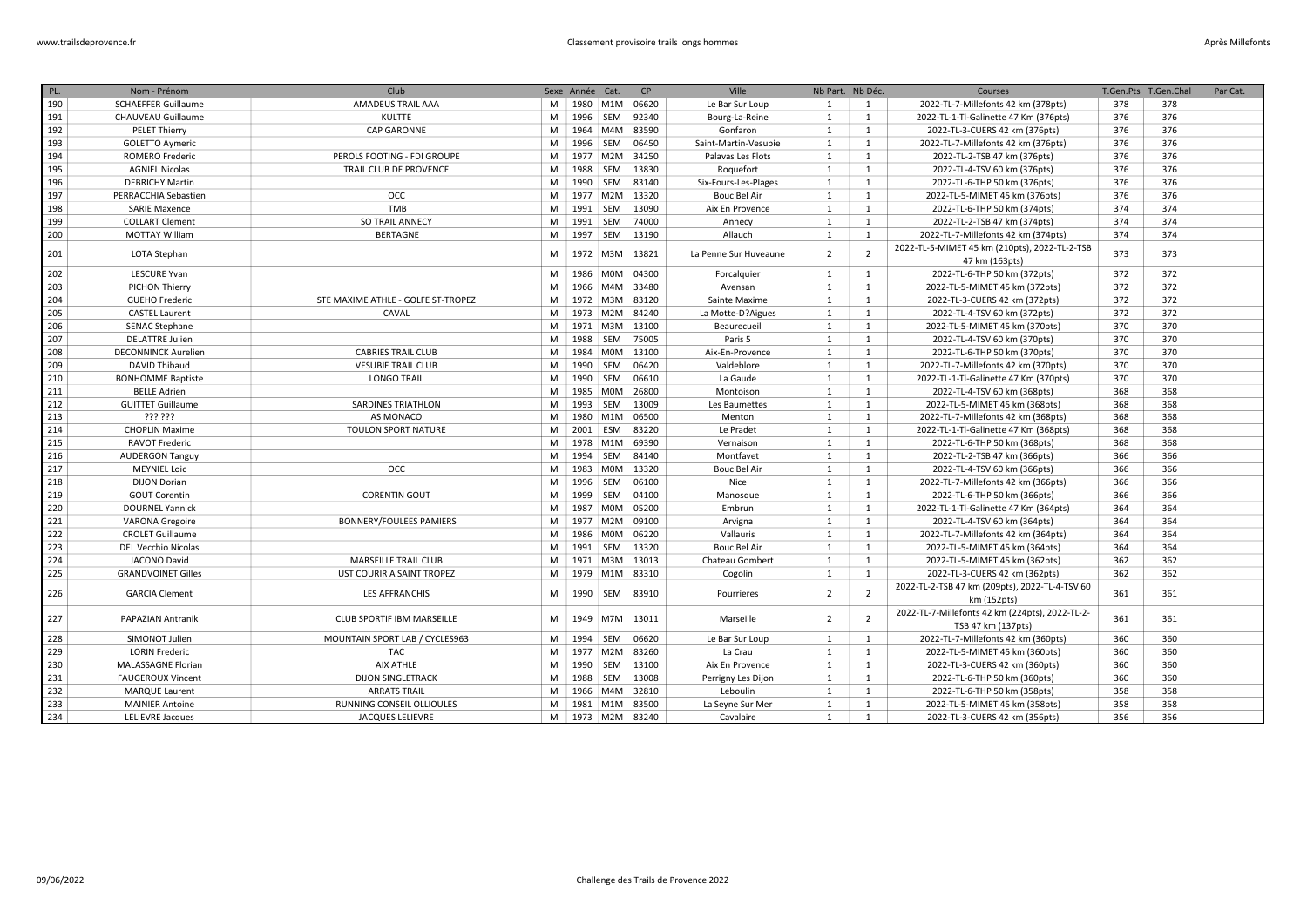| PL. | Nom - Prénom               | Club                               |   | Sexe Année Cat. |            | CP    | Ville                 | Nb Part. Nb Déc. |                | Courses                                                               | T.Gen.Pts | T.Gen.Chal | Par Cat. |
|-----|----------------------------|------------------------------------|---|-----------------|------------|-------|-----------------------|------------------|----------------|-----------------------------------------------------------------------|-----------|------------|----------|
| 190 | <b>SCHAEFFER Guillaume</b> | AMADEUS TRAIL AAA                  | M |                 | 1980 M1M   | 06620 | Le Bar Sur Loup       | 1                | 1              | 2022-TL-7-Millefonts 42 km (378pts)                                   | 378       | 378        |          |
| 191 | CHAUVEAU Guillaume         | <b>KULTTE</b>                      | M |                 | 1996 SEM   | 92340 | Bourg-La-Reine        | 1                | 1              | 2022-TL-1-Tl-Galinette 47 Km (376pts)                                 | 376       | 376        |          |
| 192 | <b>PELET Thierry</b>       | <b>CAP GARONNE</b>                 | M | 1964            | M4M        | 83590 | Gonfaron              | 1                | <sup>1</sup>   | 2022-TL-3-CUERS 42 km (376pts)                                        | 376       | 376        |          |
| 193 | <b>GOLETTO Aymeric</b>     |                                    | M |                 | 1996 SEM   | 06450 | Saint-Martin-Vesubie  | 1                | 1              | 2022-TL-7-Millefonts 42 km (376pts)                                   | 376       | 376        |          |
| 194 | <b>ROMERO Frederic</b>     | PEROLS FOOTING - FDI GROUPE        | M | 1977            | M2M        | 34250 | Palavas Les Flots     | 1                | 1              | 2022-TL-2-TSB 47 km (376pts)                                          | 376       | 376        |          |
| 195 | <b>AGNIEL Nicolas</b>      | TRAIL CLUB DE PROVENCE             | M | 1988            | SEM        | 13830 | Roquefort             | 1                | 1              | 2022-TL-4-TSV 60 km (376pts)                                          | 376       | 376        |          |
| 196 | <b>DEBRICHY Martin</b>     |                                    | M | 1990            | SEM        | 83140 | Six-Fours-Les-Plages  | 1                | 1              | 2022-TL-6-THP 50 km (376pts)                                          | 376       | 376        |          |
| 197 | PERRACCHIA Sebastien       | <b>OCC</b>                         | M |                 | 1977 M2M   | 13320 | <b>Bouc Bel Air</b>   | 1                | 1              | 2022-TL-5-MIMET 45 km (376pts)                                        | 376       | 376        |          |
| 198 | <b>SARIE Maxence</b>       | <b>TMB</b>                         | M | 1991            | SEM        | 13090 | Aix En Provence       | 1                | <sup>1</sup>   | 2022-TL-6-THP 50 km (374pts)                                          | 374       | 374        |          |
| 199 | <b>COLLART Clement</b>     | SO TRAIL ANNECY                    | M | 1991            | SEM        | 74000 | Annecy                | 1                | 1              | 2022-TL-2-TSB 47 km (374pts)                                          | 374       | 374        |          |
| 200 | <b>MOTTAY William</b>      | <b>BERTAGNE</b>                    | M | 1997            | SEM        | 13190 | Allauch               | 1                | 1              | 2022-TL-7-Millefonts 42 km (374pts)                                   | 374       | 374        |          |
| 201 | LOTA Stephan               |                                    | M | 1972            | M3M        | 13821 | La Penne Sur Huveaune | $\overline{2}$   | $\overline{2}$ | 2022-TL-5-MIMET 45 km (210pts), 2022-TL-2-TSB<br>47 km (163pts)       | 373       | 373        |          |
| 202 | <b>LESCURE Yvan</b>        |                                    | M |                 | 1986 M0M   | 04300 | Forcalquier           | 1                | 1              | 2022-TL-6-THP 50 km (372pts)                                          | 372       | 372        |          |
| 203 | PICHON Thierry             |                                    | м | 1966            | M4M        | 33480 | Avensan               | 1                | <sup>1</sup>   | 2022-TL-5-MIMET 45 km (372pts)                                        | 372       | 372        |          |
| 204 | <b>GUEHO Frederic</b>      | STE MAXIME ATHLE - GOLFE ST-TROPEZ | M |                 | 1972 M3M   | 83120 | Sainte Maxime         | 1                | 1              | 2022-TL-3-CUERS 42 km (372pts)                                        | 372       | 372        |          |
| 205 | <b>CASTEL Laurent</b>      | CAVAL                              | M |                 | 1973 M2M   | 84240 | La Motte-D?Aigues     | 1                | 1              | 2022-TL-4-TSV 60 km (372pts)                                          | 372       | 372        |          |
| 206 | <b>SENAC Stephane</b>      |                                    | M |                 | 1971 M3M   | 13100 | Beaurecuei            | 1                | 1              | 2022-TL-5-MIMET 45 km (370pts)                                        | 370       | 370        |          |
| 207 | <b>DELATTRE Julien</b>     |                                    | M | 1988            | SEM        | 75005 | Paris 5               | 1                | 1              | 2022-TL-4-TSV 60 km (370pts)                                          | 370       | 370        |          |
| 208 | <b>DECONNINCK Aurelien</b> | <b>CABRIES TRAIL CLUB</b>          | M | 1984            | <b>MOM</b> | 13100 | Aix-En-Provence       | 1                | 1              | 2022-TL-6-THP 50 km (370pts)                                          | 370       | 370        |          |
| 209 | DAVID Thibaud              | <b>VESUBIE TRAIL CLUB</b>          | M | 1990            | SEM        | 06420 | Valdeblore            | 1                | 1              | 2022-TL-7-Millefonts 42 km (370pts)                                   | 370       | 370        |          |
| 210 | <b>BONHOMME Baptiste</b>   | <b>LONGO TRAIL</b>                 | M | 1990            | SEM        | 06610 | La Gaude              | 1                | 1              | 2022-TL-1-Tl-Galinette 47 Km (370pts)                                 | 370       | 370        |          |
| 211 | <b>BELLE Adrien</b>        |                                    | M | 1985            | M0M        | 26800 | Montoison             | $\mathbf{1}$     | 1              | 2022-TL-4-TSV 60 km (368pts)                                          | 368       | 368        |          |
| 212 | <b>GUITTET Guillaume</b>   | <b>SARDINES TRIATHLON</b>          | M |                 | 1993 SEM   | 13009 | Les Baumettes         | $\mathbf{1}$     | 1              | 2022-TL-5-MIMET 45 km (368pts)                                        | 368       | 368        |          |
| 213 | ??? ???                    | AS MONACO                          | M | 1980            | M1M        | 06500 | Menton                | $\mathbf{1}$     | 1              | 2022-TL-7-Millefonts 42 km (368pts)                                   | 368       | 368        |          |
| 214 | <b>CHOPLIN Maxime</b>      | <b>TOULON SPORT NATURE</b>         | M | 2001            | ESM        | 83220 | Le Pradet             | $\mathbf{1}$     | 1              | 2022-TL-1-Tl-Galinette 47 Km (368pts)                                 | 368       | 368        |          |
| 215 | <b>RAVOT Frederic</b>      |                                    | M | 1978            | M1M        | 69390 | Vernaison             | 1                | 1              | 2022-TL-6-THP 50 km (368pts)                                          | 368       | 368        |          |
| 216 | <b>AUDERGON Tanguy</b>     |                                    | M | 1994            | SEM        | 84140 | Montfavet             | $\mathbf{1}$     | 1              | 2022-TL-2-TSB 47 km (366pts)                                          | 366       | 366        |          |
| 217 | <b>MEYNIEL Loic</b>        | <b>OCC</b>                         | M | 1983            | <b>MOM</b> | 13320 | <b>Bouc Bel Air</b>   | 1                | 1              | 2022-TL-4-TSV 60 km (366pts)                                          | 366       | 366        |          |
| 218 | <b>DIJON Dorian</b>        |                                    | M | 1996            | SEM        | 06100 | Nice                  | $\mathbf{1}$     | <sup>1</sup>   | 2022-TL-7-Millefonts 42 km (366pts)                                   | 366       | 366        |          |
| 219 | <b>GOUT Corentin</b>       | <b>CORENTIN GOUT</b>               | M | 1999            | SEM        | 04100 | Manosque              | 1                | 1              | 2022-TL-6-THP 50 km (366pts)                                          | 366       | 366        |          |
| 220 | <b>DOURNEL Yannick</b>     |                                    | M | 1987            | <b>MOM</b> | 05200 | Embrun                | 1                | 1              | 2022-TL-1-Tl-Galinette 47 Km (364pts)                                 | 364       | 364        |          |
| 221 | <b>VARONA</b> Gregoire     | <b>BONNERY/FOULEES PAMIERS</b>     | M |                 | 1977 M2M   | 09100 | Arvigna               | 1                | <sup>1</sup>   | 2022-TL-4-TSV 60 km (364pts)                                          | 364       | 364        |          |
| 222 | <b>CROLET Guillaume</b>    |                                    | M | 1986            | <b>MOM</b> | 06220 | Vallauris             | 1                | 1              | 2022-TL-7-Millefonts 42 km (364pts)                                   | 364       | 364        |          |
| 223 | <b>DEL Vecchio Nicolas</b> |                                    | M | 1991            | SEM        | 13320 | <b>Bouc Bel Air</b>   | 1                | 1              | 2022-TL-5-MIMET 45 km (364pts)                                        | 364       | 364        |          |
| 224 | JACONO David               | MARSEILLE TRAIL CLUB               | M | 1971            | M3M        | 13013 | Chateau Gombert       | 1                | 1              | 2022-TL-5-MIMET 45 km (362pts)                                        | 362       | 362        |          |
| 225 | <b>GRANDVOINET Gilles</b>  | UST COURIR A SAINT TROPEZ          | M |                 | 1979 M1M   | 83310 | Cogolin               | 1                | 1              | 2022-TL-3-CUERS 42 km (362pts)                                        | 362       | 362        |          |
| 226 | <b>GARCIA Clement</b>      | <b>LES AFFRANCHIS</b>              | м | 1990            | SEM        | 83910 | Pourrieres            | $\overline{2}$   | $\overline{2}$ | 2022-TL-2-TSB 47 km (209pts), 2022-TL-4-TSV 60<br>km (152pts)         | 361       | 361        |          |
| 227 | PAPAZIAN Antranik          | <b>CLUB SPORTIF IBM MARSEILLE</b>  | M | 1949            | M7M        | 13011 | Marseille             | $\overline{2}$   | 2              | 2022-TL-7-Millefonts 42 km (224pts), 2022-TL-2-<br>TSB 47 km (137pts) | 361       | 361        |          |
| 228 | SIMONOT Julien             | MOUNTAIN SPORT LAB / CYCLES963     | M | 1994            | SEM        | 06620 | Le Bar Sur Loup       | 1                | 1              | 2022-TL-7-Millefonts 42 km (360pts)                                   | 360       | 360        |          |
| 229 | <b>LORIN Frederic</b>      | <b>TAC</b>                         | M |                 | 1977 M2M   | 83260 | La Crau               | 1                | 1              | 2022-TL-5-MIMET 45 km (360pts)                                        | 360       | 360        |          |
| 230 | MALASSAGNE Florian         | <b>AIX ATHLE</b>                   | M | 1990            | SEM        | 13100 | Aix En Provence       | 1                | 1              | 2022-TL-3-CUERS 42 km (360pts)                                        | 360       | 360        |          |
| 231 | <b>FAUGEROUX Vincent</b>   | <b>DIJON SINGLETRACK</b>           | M | 1988            | SEM        | 13008 | Perrigny Les Dijon    | 1                | 1              | 2022-TL-6-THP 50 km (360pts)                                          | 360       | 360        |          |
| 232 | <b>MARQUE Laurent</b>      | <b>ARRATS TRAIL</b>                | M | 1966            | M4M        | 32810 | Leboulin              | 1                | <sup>1</sup>   | 2022-TL-6-THP 50 km (358pts)                                          | 358       | 358        |          |
| 233 | <b>MAINIER Antoine</b>     | RUNNING CONSEIL OLLIOULES          | M |                 | 1981 M1M   | 83500 | La Seyne Sur Mer      | 1                | 1              | 2022-TL-5-MIMET 45 km (358pts)                                        | 358       | 358        |          |
| 234 | LELIEVRE Jacques           | <b>JACQUES LELIEVRE</b>            | M |                 | 1973 M2M   | 83240 | Cavalaire             | 1                | $\mathbf{1}$   | 2022-TL-3-CUERS 42 km (356pts)                                        | 356       | 356        |          |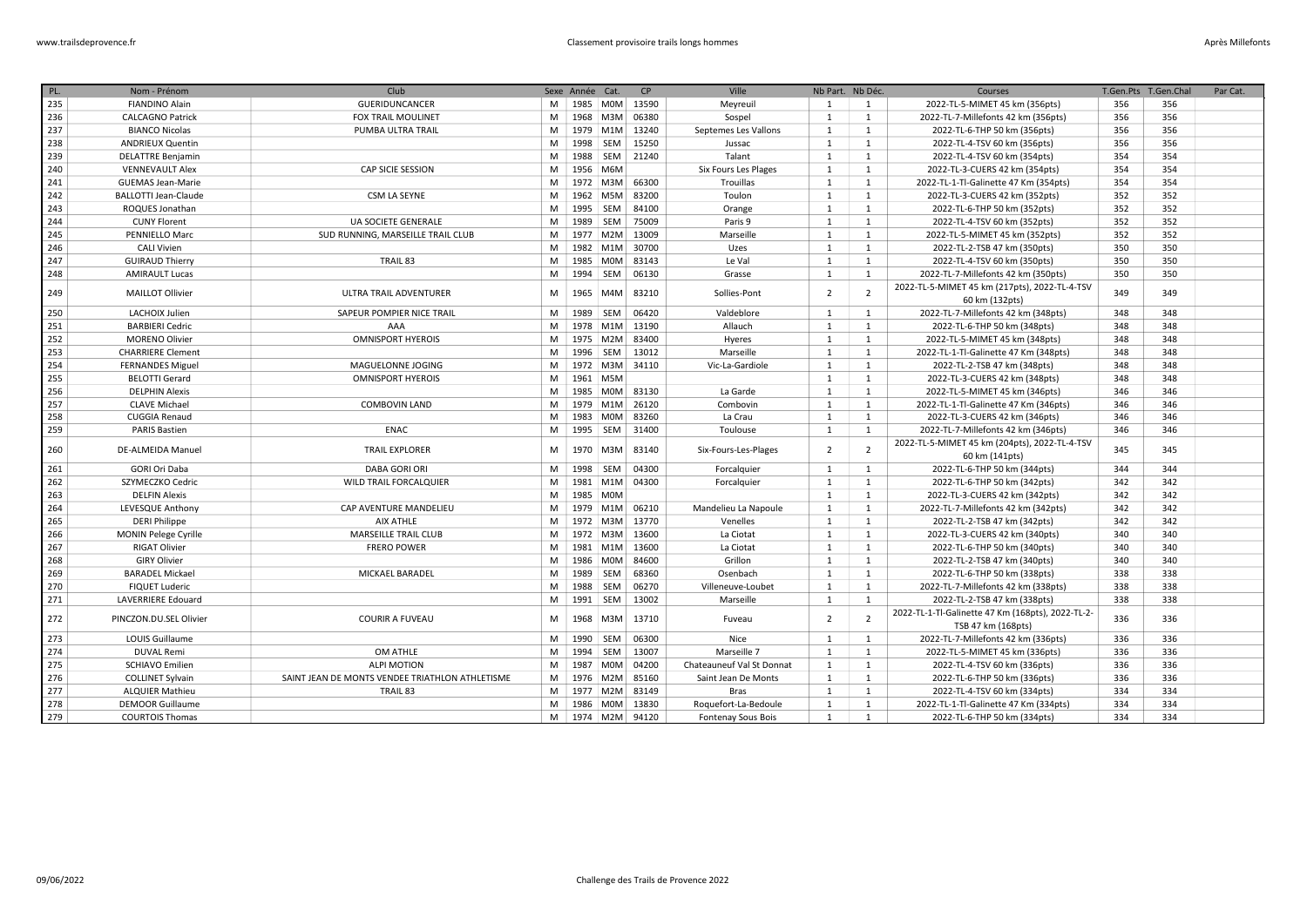| PL. | Nom - Prénom                | Club                                            |   | Sexe Année Cat. |            | CP    | Ville                     | Nb Part. Nb Déc. |                | Courses                                                                 | T.Gen.Pts | T.Gen.Chal | Par Cat. |
|-----|-----------------------------|-------------------------------------------------|---|-----------------|------------|-------|---------------------------|------------------|----------------|-------------------------------------------------------------------------|-----------|------------|----------|
| 235 | <b>FIANDINO Alain</b>       | <b>GUERIDUNCANCER</b>                           | M |                 | 1985 M0M   | 13590 | Meyreuil                  | 1                | 1              | 2022-TL-5-MIMET 45 km (356pts)                                          | 356       | 356        |          |
| 236 | <b>CALCAGNO Patrick</b>     | <b>FOX TRAIL MOULINET</b>                       | M |                 | 1968 M3M   | 06380 | Sospel                    | $\mathbf{1}$     | 1              | 2022-TL-7-Millefonts 42 km (356pts)                                     | 356       | 356        |          |
| 237 | <b>BIANCO Nicolas</b>       | PUMBA ULTRA TRAIL                               | M |                 | 1979 M1M   | 13240 | Septemes Les Vallons      | 1                | 1              | 2022-TL-6-THP 50 km (356pts)                                            | 356       | 356        |          |
| 238 | <b>ANDRIEUX Quentin</b>     |                                                 | M | 1998            | SEM        | 15250 | Jussac                    | 1                | <sup>1</sup>   | 2022-TL-4-TSV 60 km (356pts)                                            | 356       | 356        |          |
| 239 | <b>DELATTRE Benjamin</b>    |                                                 | M | 1988            | SEM        | 21240 | Talant                    | 1                | 1              | 2022-TL-4-TSV 60 km (354pts)                                            | 354       | 354        |          |
| 240 | <b>VENNEVAULT Alex</b>      | CAP SICIE SESSION                               | M | 1956 M6M        |            |       | Six Fours Les Plages      | 1                | 1              | 2022-TL-3-CUERS 42 km (354pts)                                          | 354       | 354        |          |
| 241 | <b>GUEMAS Jean-Marie</b>    |                                                 | M | 1972            | M3M        | 66300 | Trouillas                 | 1                | 1              | 2022-TL-1-Tl-Galinette 47 Km (354pts)                                   | 354       | 354        |          |
| 242 | <b>BALLOTTI Jean-Claude</b> | CSM LA SEYNE                                    | M | 1962            | M5M        | 83200 | Toulon                    | 1                | 1              | 2022-TL-3-CUERS 42 km (352pts)                                          | 352       | 352        |          |
| 243 | ROQUES Jonathan             |                                                 | M | 1995            | SEM        | 84100 | Orange                    | $\mathbf{1}$     | <sup>1</sup>   | 2022-TL-6-THP 50 km (352pts)                                            | 352       | 352        |          |
| 244 | <b>CUNY Florent</b>         | UA SOCIETE GENERALE                             | M | 1989            | SEM        | 75009 | Paris 9                   | 1                | <sup>1</sup>   | 2022-TL-4-TSV 60 km (352pts)                                            | 352       | 352        |          |
| 245 | PENNIELLO Marc              | SUD RUNNING, MARSEILLE TRAIL CLUB               | M | 1977            | M2M        | 13009 | Marseille                 | $\mathbf{1}$     | <sup>1</sup>   | 2022-TL-5-MIMET 45 km (352pts)                                          | 352       | 352        |          |
| 246 | <b>CALI Vivien</b>          |                                                 | M |                 | 1982 M1M   | 30700 | Uzes                      | 1                | <sup>1</sup>   | 2022-TL-2-TSB 47 km (350pts)                                            | 350       | 350        |          |
| 247 | <b>GUIRAUD Thierry</b>      | TRAIL 83                                        | M | 1985            | <b>MOM</b> | 83143 | Le Val                    | 1                | 1              | 2022-TL-4-TSV 60 km (350pts)                                            | 350       | 350        |          |
| 248 | <b>AMIRAULT Lucas</b>       |                                                 | M | 1994            | <b>SEM</b> | 06130 | Grasse                    | 1                | 1              | 2022-TL-7-Millefonts 42 km (350pts)                                     | 350       | 350        |          |
| 249 | <b>MAILLOT Ollivier</b>     | ULTRA TRAIL ADVENTURER                          | M | 1965            | M4M        | 83210 | Sollies-Pont              | $\overline{2}$   | $\overline{2}$ | 2022-TL-5-MIMET 45 km (217pts), 2022-TL-4-TSV                           | 349       | 349        |          |
|     |                             |                                                 |   |                 |            |       |                           |                  |                | 60 km (132pts)                                                          |           |            |          |
| 250 | LACHOIX Julien              | SAPEUR POMPIER NICE TRAIL                       | M | 1989            | SEM        | 06420 | Valdeblore                | $\mathbf{1}$     | <sup>1</sup>   | 2022-TL-7-Millefonts 42 km (348pts)                                     | 348       | 348        |          |
| 251 | <b>BARBIERI Cedric</b>      | AAA                                             | M |                 | 1978 M1M   | 13190 | Allauch                   | 1                | <sup>1</sup>   | 2022-TL-6-THP 50 km (348pts)                                            | 348       | 348        |          |
| 252 | <b>MORENO Olivier</b>       | <b>OMNISPORT HYEROIS</b>                        | M |                 | 1975 M2M   | 83400 | Hyeres                    | 1                | 1              | 2022-TL-5-MIMET 45 km (348pts)                                          | 348       | 348        |          |
| 253 | <b>CHARRIERE Clement</b>    |                                                 | M | 1996            | SEM        | 13012 | Marseille                 | $\mathbf{1}$     | <sup>1</sup>   | 2022-TL-1-Tl-Galinette 47 Km (348pts)                                   | 348       | 348        |          |
| 254 | <b>FERNANDES Miguel</b>     | MAGUELONNE JOGING                               | M |                 | 1972 M3M   | 34110 | Vic-La-Gardiole           | 1                | 1              | 2022-TL-2-TSB 47 km (348pts)                                            | 348       | 348        |          |
| 255 | <b>BELOTTI Gerard</b>       | <b>OMNISPORT HYEROIS</b>                        | M | 1961 M5M        |            |       |                           | 1                | 1              | 2022-TL-3-CUERS 42 km (348pts)                                          | 348       | 348        |          |
| 256 | <b>DELPHIN Alexis</b>       |                                                 | M | 1985            | M0M        | 83130 | La Garde                  | 1                | 1              | 2022-TL-5-MIMET 45 km (346pts)                                          | 346       | 346        |          |
| 257 | <b>CLAVE Michael</b>        | <b>COMBOVIN LAND</b>                            | M | 1979            | M1M        | 26120 | Combovin                  | 1                | <sup>1</sup>   | 2022-TL-1-Tl-Galinette 47 Km (346pts)                                   | 346       | 346        |          |
| 258 | <b>CUGGIA Renaud</b>        |                                                 | M | 1983            | <b>MOM</b> | 83260 | La Crau                   | 1                | <sup>1</sup>   | 2022-TL-3-CUERS 42 km (346pts)                                          | 346       | 346        |          |
| 259 | <b>PARIS Bastien</b>        | <b>ENAC</b>                                     | M | 1995 SEM        |            | 31400 | Toulouse                  | 1                | 1              | 2022-TL-7-Millefonts 42 km (346pts)                                     | 346       | 346        |          |
| 260 | <b>DE-ALMEIDA Manuel</b>    | <b>TRAIL EXPLORER</b>                           | M | 1970            | M3M        | 83140 | Six-Fours-Les-Plages      | $\overline{2}$   | $\overline{2}$ | 2022-TL-5-MIMET 45 km (204pts), 2022-TL-4-TSV                           | 345       | 345        |          |
|     |                             |                                                 |   |                 |            |       |                           |                  |                | 60 km (141pts)                                                          |           |            |          |
| 261 | <b>GORI Ori Daba</b>        | <b>DABA GORI ORI</b>                            | M | 1998 SEM        |            | 04300 | Forcalquier               | 1                | 1              | 2022-TL-6-THP 50 km (344pts)                                            | 344       | 344        |          |
| 262 | SZYMECZKO Cedric            | <b>WILD TRAIL FORCALQUIER</b>                   | M |                 | 1981 M1M   | 04300 | Forcalquier               | 1                | <sup>1</sup>   | 2022-TL-6-THP 50 km (342pts)                                            | 342       | 342        |          |
| 263 | <b>DELFIN Alexis</b>        |                                                 | M | 1985 M0M        |            |       |                           | 1                | 1              | 2022-TL-3-CUERS 42 km (342pts)                                          | 342       | 342        |          |
| 264 | LEVESQUE Anthony            | CAP AVENTURE MANDELIEU                          | M | 1979            | M1M        | 06210 | Mandelieu La Napoule      | 1                | 1              | 2022-TL-7-Millefonts 42 km (342pts)                                     | 342       | 342        |          |
| 265 | <b>DERI Philippe</b>        | <b>AIX ATHLE</b>                                | M |                 | 1972 M3M   | 13770 | Venelles                  | 1                | 1              | 2022-TL-2-TSB 47 km (342pts)                                            | 342       | 342        |          |
| 266 | MONIN Pelege Cyrille        | MARSEILLE TRAIL CLUB                            | M |                 | 1972 M3M   | 13600 | La Ciotat                 | 1                | 1              | 2022-TL-3-CUERS 42 km (340pts)                                          | 340       | 340        |          |
| 267 | <b>RIGAT Olivier</b>        | <b>FRERO POWER</b>                              | M | 1981            | M1M        | 13600 | La Ciotat                 | 1                | <sup>1</sup>   | 2022-TL-6-THP 50 km (340pts)                                            | 340       | 340        |          |
| 268 | <b>GIRY Olivier</b>         |                                                 | M | 1986            | <b>MOM</b> | 84600 | Grillon                   | 1                | 1              | 2022-TL-2-TSB 47 km (340pts)                                            | 340       | 340        |          |
| 269 | <b>BARADEL Mickael</b>      | MICKAEL BARADEL                                 | M | 1989            | SEM        | 68360 | Osenbach                  | 1                | 1              | 2022-TL-6-THP 50 km (338pts)                                            | 338       | 338        |          |
| 270 | <b>FIQUET Luderic</b>       |                                                 | M | 1988            | SEM        | 06270 | Villeneuve-Loubet         | 1                | 1              | 2022-TL-7-Millefonts 42 km (338pts)                                     | 338       | 338        |          |
| 271 | LAVERRIERE Edouard          |                                                 | M | 1991 SEM        |            | 13002 | Marseille                 | 1                | <sup>1</sup>   | 2022-TL-2-TSB 47 km (338pts)                                            | 338       | 338        |          |
| 272 | PINCZON.DU.SEL Olivier      | <b>COURIR A FUVEAU</b>                          | M | 1968            | M3M        | 13710 | Fuveau                    | $\overline{2}$   | $\overline{2}$ | 2022-TL-1-Tl-Galinette 47 Km (168pts), 2022-TL-2-<br>TSB 47 km (168pts) | 336       | 336        |          |
| 273 | <b>LOUIS Guillaume</b>      |                                                 | M | 1990            | SEM        | 06300 | Nice                      | 1                | 1              | 2022-TL-7-Millefonts 42 km (336pts)                                     | 336       | 336        |          |
| 274 | <b>DUVAL Remi</b>           | OM ATHLE                                        | M | 1994            | <b>SEM</b> | 13007 | Marseille 7               | 1                | 1              | 2022-TL-5-MIMET 45 km (336pts)                                          | 336       | 336        |          |
| 275 | <b>SCHIAVO Emilien</b>      | <b>ALPI MOTION</b>                              | M | 1987            | <b>MOM</b> | 04200 | Chateauneuf Val St Donnat | $\mathbf{1}$     | <sup>1</sup>   | 2022-TL-4-TSV 60 km (336pts)                                            | 336       | 336        |          |
| 276 | <b>COLLINET Sylvain</b>     | SAINT JEAN DE MONTS VENDEE TRIATHLON ATHLETISME | M |                 | 1976 M2M   | 85160 | Saint Jean De Monts       | 1                | 1              | 2022-TL-6-THP 50 km (336pts)                                            | 336       | 336        |          |
| 277 | <b>ALQUIER Mathieu</b>      | TRAIL 83                                        | M |                 | 1977 M2M   | 83149 | <b>Bras</b>               | 1                | <sup>1</sup>   | 2022-TL-4-TSV 60 km (334pts)                                            | 334       | 334        |          |
| 278 | <b>DEMOOR Guillaume</b>     |                                                 | M |                 | 1986 MOM   | 13830 | Roquefort-La-Bedoule      | 1                | 1              | 2022-TL-1-Tl-Galinette 47 Km (334pts)                                   | 334       | 334        |          |
| 279 | <b>COURTOIS Thomas</b>      |                                                 | M |                 | 1974 M2M   | 94120 | Fontenay Sous Bois        | 1                | 1              | 2022-TL-6-THP 50 km (334pts)                                            | 334       | 334        |          |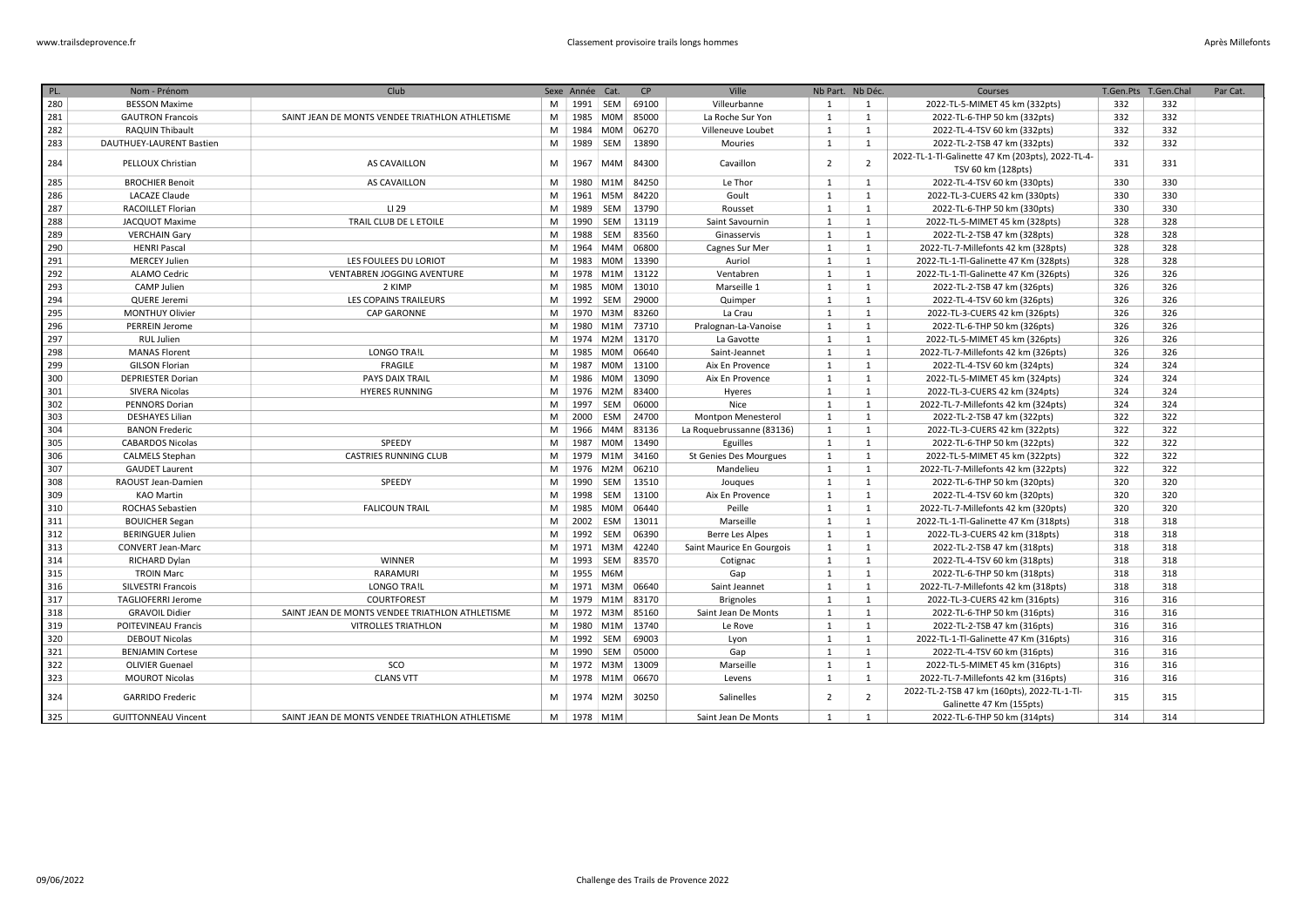| PL. | Nom - Prénom               | Club                                            |   | Sexe Année Cat. |            | CP                 | Ville                     | Nb Part. Nb Déc. |                | Courses                                                                 | T.Gen.Pts | T.Gen.Chal | Par Cat. |
|-----|----------------------------|-------------------------------------------------|---|-----------------|------------|--------------------|---------------------------|------------------|----------------|-------------------------------------------------------------------------|-----------|------------|----------|
| 280 | <b>BESSON Maxime</b>       |                                                 | M |                 |            | 1991   SEM   69100 | Villeurbanne              | 1                | 1              | 2022-TL-5-MIMET 45 km (332pts)                                          | 332       | 332        |          |
| 281 | <b>GAUTRON Francois</b>    | SAINT JEAN DE MONTS VENDEE TRIATHLON ATHLETISME | M |                 |            | 1985 M0M 85000     | La Roche Sur Yon          | 1                | 1              | 2022-TL-6-THP 50 km (332pts)                                            | 332       | 332        |          |
| 282 | RAQUIN Thibault            |                                                 | M |                 | 1984 M0M   | 06270              | Villeneuve Loubet         | 1                | $\mathbf{1}$   | 2022-TL-4-TSV 60 km (332pts)                                            | 332       | 332        |          |
| 283 | DAUTHUEY-LAURENT Bastien   |                                                 | M | 1989 SEM        |            | 13890              | Mouries                   | 1                | $\mathbf{1}$   | 2022-TL-2-TSB 47 km (332pts)                                            | 332       | 332        |          |
|     |                            |                                                 |   |                 |            |                    |                           |                  |                | 2022-TL-1-Tl-Galinette 47 Km (203pts), 2022-TL-4-                       |           |            |          |
| 284 | PELLOUX Christian          | <b>AS CAVAILLON</b>                             | M |                 | 1967 M4M   | 84300              | Cavaillon                 | $\overline{2}$   | $\overline{2}$ | TSV 60 km (128pts)                                                      | 331       | 331        |          |
| 285 | <b>BROCHIER Benoit</b>     | AS CAVAILLON                                    | M |                 |            | 1980   M1M   84250 | Le Thor                   | 1                | 1              | 2022-TL-4-TSV 60 km (330pts)                                            | 330       | 330        |          |
| 286 | <b>LACAZE Claude</b>       |                                                 | M |                 |            | 1961   M5M   84220 | Goult                     | 1                | 1              | 2022-TL-3-CUERS 42 km (330pts)                                          | 330       | 330        |          |
| 287 | <b>RACOILLET Florian</b>   | LI 29                                           | M |                 | 1989 SEM   | 13790              | Rousset                   | 1                | 1              | 2022-TL-6-THP 50 km (330pts)                                            | 330       | 330        |          |
| 288 | JACQUOT Maxime             | TRAIL CLUB DE L ETOILE                          | M | 1990            | SEM        | 13119              | Saint Savournin           | 1                | 1              | 2022-TL-5-MIMET 45 km (328pts)                                          | 328       | 328        |          |
| 289 | <b>VERCHAIN Gary</b>       |                                                 | M | 1988            | SEM        | 83560              | Ginasservis               | 1                | 1              | 2022-TL-2-TSB 47 km (328pts)                                            | 328       | 328        |          |
| 290 | <b>HENRI Pascal</b>        |                                                 | M |                 | 1964 M4M   | 06800              | Cagnes Sur Mer            | $\mathbf{1}$     | 1              | 2022-TL-7-Millefonts 42 km (328pts)                                     | 328       | 328        |          |
| 291 | <b>MERCEY Julien</b>       | LES FOULEES DU LORIOT                           | M |                 |            | 1983   MOM   13390 | Auriol                    | 1                | 1              | 2022-TL-1-Tl-Galinette 47 Km (328pts)                                   | 328       | 328        |          |
| 292 | ALAMO Cedric               | VENTABREN JOGGING AVENTURE                      | M |                 |            | 1978 M1M 13122     | Ventabren                 | $\mathbf{1}$     | 1              | 2022-TL-1-Tl-Galinette 47 Km (326pts)                                   | 326       | 326        |          |
| 293 | CAMP Julien                | 2 KIMP                                          | M | 1985            | <b>MOM</b> | 13010              | Marseille 1               | $\mathbf{1}$     | 1              | 2022-TL-2-TSB 47 km (326pts)                                            | 326       | 326        |          |
| 294 | <b>QUERE Jeremi</b>        | LES COPAINS TRAILEURS                           | M |                 | 1992 SEM   | 29000              | Quimper                   | 1                | 1              | 2022-TL-4-TSV 60 km (326pts)                                            | 326       | 326        |          |
| 295 | <b>MONTHUY Olivier</b>     | <b>CAP GARONNE</b>                              | M |                 |            | 1970   M3M   83260 | La Crau                   | $\mathbf{1}$     | 1              | 2022-TL-3-CUERS 42 km (326pts)                                          | 326       | 326        |          |
| 296 | <b>PERREIN Jerome</b>      |                                                 | M | 1980            |            | M1M 73710          | Pralognan-La-Vanoise      | $\mathbf{1}$     | 1              | 2022-TL-6-THP 50 km (326pts)                                            | 326       | 326        |          |
| 297 | RUL Julien                 |                                                 | M |                 |            | 1974   M2M   13170 | La Gavotte                | $\mathbf{1}$     | 1              | 2022-TL-5-MIMET 45 km (326pts)                                          | 326       | 326        |          |
| 298 | <b>MANAS Florent</b>       | <b>LONGO TRA!L</b>                              | M | 1985            | <b>MOM</b> | 06640              | Saint-Jeannet             | $\mathbf{1}$     | 1              | 2022-TL-7-Millefonts 42 km (326pts)                                     | 326       | 326        |          |
| 299 | <b>GILSON Florian</b>      | <b>FRAGILE</b>                                  | M | 1987            |            | M0M 13100          | Aix En Provence           | 1                | 1              | 2022-TL-4-TSV 60 km (324pts)                                            | 324       | 324        |          |
| 300 | <b>DEPRIESTER Dorian</b>   | PAYS DAIX TRAIL                                 | M | 1986            | <b>MOM</b> | 13090              | Aix En Provence           | $\mathbf{1}$     | 1              | 2022-TL-5-MIMET 45 km (324pts)                                          | 324       | 324        |          |
| 301 | SIVERA Nicolas             | <b>HYERES RUNNING</b>                           | M |                 | 1976 M2M   | 83400              | Hyeres                    | $\mathbf{1}$     | 1              | 2022-TL-3-CUERS 42 km (324pts)                                          | 324       | 324        |          |
| 302 | <b>PENNORS Dorian</b>      |                                                 | M | 1997            | SEM        | 06000              | Nice                      | $\mathbf{1}$     | 1              | 2022-TL-7-Millefonts 42 km (324pts)                                     | 324       | 324        |          |
| 303 | <b>DESHAYES Lilian</b>     |                                                 | M | 2000            | ESM        | 24700              | <b>Montpon Menesterol</b> | $\mathbf{1}$     | 1              | 2022-TL-2-TSB 47 km (322pts)                                            | 322       | 322        |          |
| 304 | <b>BANON Frederic</b>      |                                                 | M |                 |            | 1966 M4M 83136     | La Roquebrussanne (83136) | $\mathbf{1}$     | 1              | 2022-TL-3-CUERS 42 km (322pts)                                          | 322       | 322        |          |
| 305 | <b>CABARDOS Nicolas</b>    | SPEEDY                                          | M |                 |            | 1987   MOM   13490 | Eguilles                  | 1                | 1              | 2022-TL-6-THP 50 km (322pts)                                            | 322       | 322        |          |
| 306 | <b>CALMELS Stephan</b>     | <b>CASTRIES RUNNING CLUB</b>                    | M |                 |            | 1979 M1M 34160     | St Genies Des Mourgues    | $\mathbf{1}$     | 1              | 2022-TL-5-MIMET 45 km (322pts)                                          | 322       | 322        |          |
| 307 | <b>GAUDET Laurent</b>      |                                                 | M |                 | 1976 M2M   | 06210              | Mandelieu                 | $\mathbf{1}$     | 1              | 2022-TL-7-Millefonts 42 km (322pts)                                     | 322       | 322        |          |
| 308 | RAOUST Jean-Damien         | SPEEDY                                          | M | 1990            | SEM        | 13510              | Jouques                   | 1                | 1              | 2022-TL-6-THP 50 km (320pts)                                            | 320       | 320        |          |
| 309 | <b>KAO Martin</b>          |                                                 | M | 1998            | SEM        | 13100              | Aix En Provence           | 1                | 1              | 2022-TL-4-TSV 60 km (320pts)                                            | 320       | 320        |          |
| 310 | <b>ROCHAS Sebastien</b>    | <b>FALICOUN TRAIL</b>                           | M | 1985            | <b>MOM</b> | 06440              | Peille                    | 1                | 1              | 2022-TL-7-Millefonts 42 km (320pts)                                     | 320       | 320        |          |
| 311 | <b>BOUICHER Segan</b>      |                                                 | M | 2002            | ESM        | 13011              | Marseille                 | 1                | 1              | 2022-TL-1-Tl-Galinette 47 Km (318pts)                                   | 318       | 318        |          |
| 312 | <b>BERINGUER Julien</b>    |                                                 | M | 1992            | SEM        | 06390              | <b>Berre Les Alpes</b>    | 1                | 1              | 2022-TL-3-CUERS 42 km (318pts)                                          | 318       | 318        |          |
| 313 | <b>CONVERT Jean-Marc</b>   |                                                 | M |                 | 1971 M3M   | 42240              | Saint Maurice En Gourgois | $\mathbf{1}$     | 1              | 2022-TL-2-TSB 47 km (318pts)                                            | 318       | 318        |          |
| 314 | RICHARD Dylan              | <b>WINNER</b>                                   | M | 1993            | SEM        | 83570              | Cotignac                  | 1                | 1              | 2022-TL-4-TSV 60 km (318pts)                                            | 318       | 318        |          |
| 315 | <b>TROIN Marc</b>          | RARAMURI                                        | M | 1955 M6M        |            |                    | Gap                       | 1                | 1              | 2022-TL-6-THP 50 km (318pts)                                            | 318       | 318        |          |
| 316 | SILVESTRI Francois         | <b>LONGO TRA!L</b>                              | M |                 | 1971 M3M   | 06640              | Saint Jeannet             | 1                | 1              | 2022-TL-7-Millefonts 42 km (318pts)                                     | 318       | 318        |          |
| 317 | <b>TAGLIOFERRI Jerome</b>  | COURTFOREST                                     | M | 1979            | M1M        | 83170              | <b>Brignoles</b>          | 1                | $\mathbf{1}$   | 2022-TL-3-CUERS 42 km (316pts)                                          | 316       | 316        |          |
| 318 | <b>GRAVOIL Didier</b>      | SAINT JEAN DE MONTS VENDEE TRIATHLON ATHLETISME | M | 1972            |            | M3M 85160          | Saint Jean De Monts       | 1                | 1              | 2022-TL-6-THP 50 km (316pts)                                            | 316       | 316        |          |
| 319 | POITEVINEAU Francis        | <b>VITROLLES TRIATHLON</b>                      | M |                 |            | 1980 M1M 13740     | Le Rove                   | 1                | 1              | 2022-TL-2-TSB 47 km (316pts)                                            | 316       | 316        |          |
| 320 | <b>DEBOUT Nicolas</b>      |                                                 | M | 1992            | SEM        | 69003              | Lyon                      | 1                | 1              | 2022-TL-1-Tl-Galinette 47 Km (316pts)                                   | 316       | 316        |          |
| 321 | <b>BENJAMIN Cortese</b>    |                                                 | M | 1990            | SEM        | 05000              | Gap                       | $\mathbf{1}$     | $\mathbf{1}$   | 2022-TL-4-TSV 60 km (316pts)                                            | 316       | 316        |          |
| 322 | <b>OLIVIER Guenael</b>     | SCO                                             | M |                 | 1972 M3M   | 13009              | Marseille                 | 1                | $\mathbf{1}$   | 2022-TL-5-MIMET 45 km (316pts)                                          | 316       | 316        |          |
| 323 | <b>MOUROT Nicolas</b>      | <b>CLANS VTT</b>                                | M |                 |            | 1978   M1M   06670 | Levens                    | 1                | 1              | 2022-TL-7-Millefonts 42 km (316pts)                                     | 316       | 316        |          |
| 324 | <b>GARRIDO Frederic</b>    |                                                 | м |                 | 1974 M2M   | 30250              | Salinelles                | $\overline{2}$   | $\overline{2}$ | 2022-TL-2-TSB 47 km (160pts), 2022-TL-1-Tl-<br>Galinette 47 Km (155pts) | 315       | 315        |          |
| 325 | <b>GUITTONNEAU Vincent</b> | SAINT JEAN DE MONTS VENDEE TRIATHLON ATHLETISME |   | M   1978   M1M  |            |                    | Saint Jean De Monts       | 1                | 1              | 2022-TL-6-THP 50 km (314pts)                                            | 314       | 314        |          |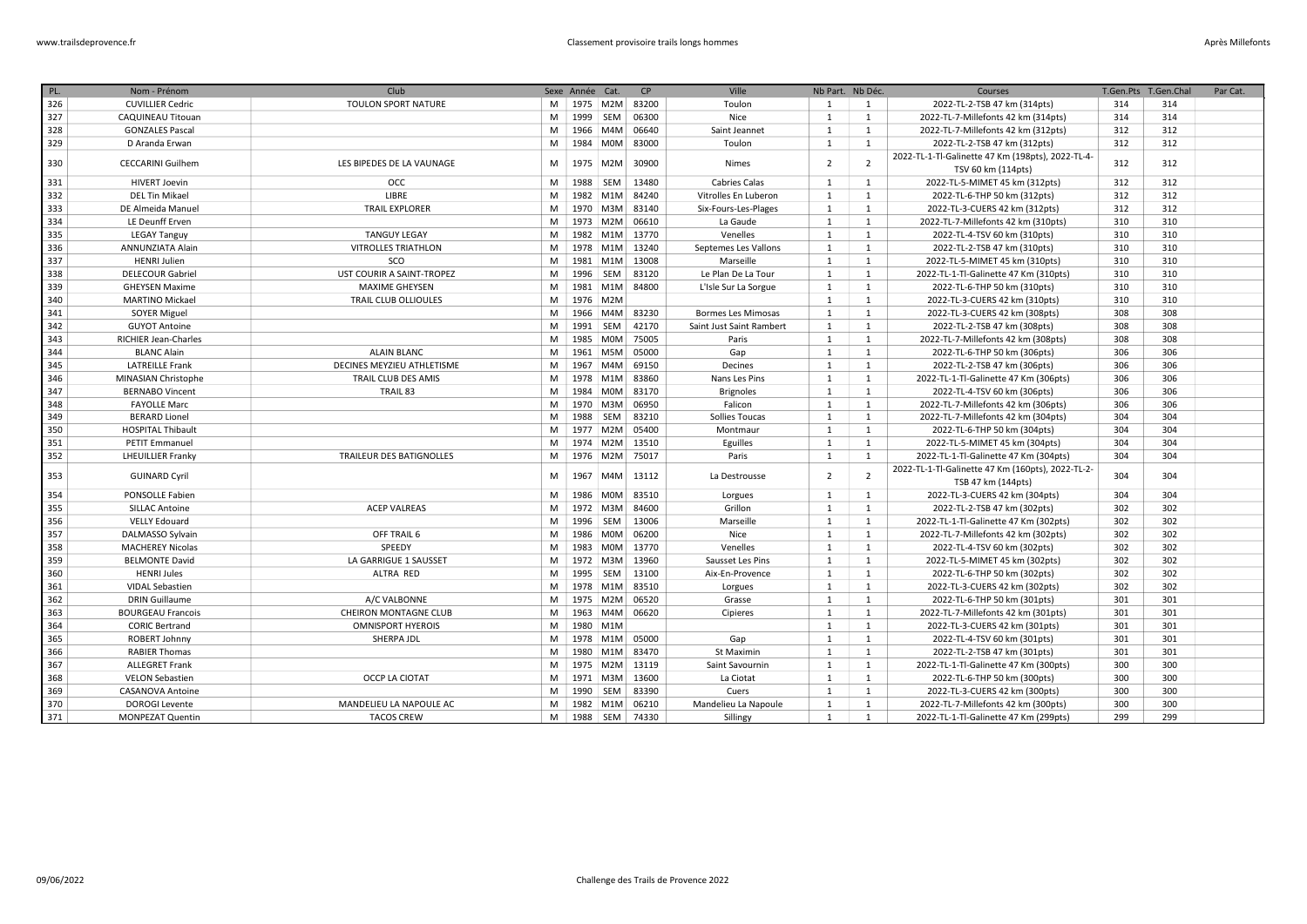| PL. | Nom - Prénom                | Club                            |   | Sexe Année Cat. |                  | CP    | Ville                     |                | Nb Part. Nb Déc. | Courses                                                                 | T.Gen.Pts | T.Gen.Chal | Par Cat. |
|-----|-----------------------------|---------------------------------|---|-----------------|------------------|-------|---------------------------|----------------|------------------|-------------------------------------------------------------------------|-----------|------------|----------|
| 326 | <b>CUVILLIER Cedric</b>     | TOULON SPORT NATURE             | M |                 | 1975 M2M         | 83200 | Toulon                    | 1              | 1                | 2022-TL-2-TSB 47 km (314pts)                                            | 314       | 314        |          |
| 327 | CAQUINEAU Titouan           |                                 | M | 1999            | SEM              | 06300 | Nice                      | 1              | $\mathbf{1}$     | 2022-TL-7-Millefonts 42 km (314pts)                                     | 314       | 314        |          |
| 328 | <b>GONZALES Pascal</b>      |                                 | M | 1966            | M4M              | 06640 | Saint Jeannet             | 1              | 1                | 2022-TL-7-Millefonts 42 km (312pts)                                     | 312       | 312        |          |
| 329 | D Aranda Erwan              |                                 | M |                 | 1984 M0M         | 83000 | Toulon                    | 1              | 1                | 2022-TL-2-TSB 47 km (312pts)                                            | 312       | 312        |          |
| 330 | <b>CECCARINI Guilhem</b>    | LES BIPEDES DE LA VAUNAGE       | M |                 | 1975 M2M         | 30900 | <b>Nimes</b>              | $\overline{2}$ | $\overline{2}$   | 2022-TL-1-Tl-Galinette 47 Km (198pts), 2022-TL-4-<br>TSV 60 km (114pts) | 312       | 312        |          |
| 331 | <b>HIVERT Joevin</b>        | <b>OCC</b>                      | M | 1988 SEM        |                  | 13480 | <b>Cabries Calas</b>      | 1              | 1                | 2022-TL-5-MIMET 45 km (312pts)                                          | 312       | 312        |          |
| 332 | DEL Tin Mikael              | LIBRE                           | M |                 | 1982 M1M         | 84240 | Vitrolles En Luberon      | 1              | $\mathbf{1}$     | 2022-TL-6-THP 50 km (312pts)                                            | 312       | 312        |          |
| 333 | DE Almeida Manuel           | <b>TRAIL EXPLORER</b>           | M |                 | 1970 M3M         | 83140 | Six-Fours-Les-Plages      | 1              | 1                | 2022-TL-3-CUERS 42 km (312pts)                                          | 312       | 312        |          |
| 334 | LE Deunff Erven             |                                 | M |                 | 1973 M2M         | 06610 | La Gaude                  | $\mathbf{1}$   | $\mathbf{1}$     | 2022-TL-7-Millefonts 42 km (310pts)                                     | 310       | 310        |          |
| 335 | <b>LEGAY Tanguy</b>         | <b>TANGUY LEGAY</b>             | M | 1982            | M1M              | 13770 | Venelles                  | $\mathbf{1}$   | 1                | 2022-TL-4-TSV 60 km (310pts)                                            | 310       | 310        |          |
| 336 | <b>ANNUNZIATA Alain</b>     | <b>VITROLLES TRIATHLON</b>      | M | 1978 M1M        |                  | 13240 | Septemes Les Vallons      | $\mathbf{1}$   | 1                | 2022-TL-2-TSB 47 km (310pts)                                            | 310       | 310        |          |
| 337 | <b>HENRI Julien</b>         | SCO                             | M | 1981            | M1M              | 13008 | Marseille                 | $\mathbf{1}$   | 1                | 2022-TL-5-MIMET 45 km (310pts)                                          | 310       | 310        |          |
| 338 | <b>DELECOUR Gabriel</b>     | UST COURIR A SAINT-TROPEZ       | M | 1996            | SEM              | 83120 | Le Plan De La Tour        | $\mathbf{1}$   | $\mathbf{1}$     | 2022-TL-1-Tl-Galinette 47 Km (310pts)                                   | 310       | 310        |          |
| 339 | <b>GHEYSEN Maxime</b>       | <b>MAXIME GHEYSEN</b>           | M |                 | 1981 M1M         | 84800 | L'Isle Sur La Sorgue      | 1              | 1                | 2022-TL-6-THP 50 km (310pts)                                            | 310       | 310        |          |
| 340 | <b>MARTINO Mickael</b>      | TRAIL CLUB OLLIOULES            | M | 1976 M2M        |                  |       |                           | $\mathbf{1}$   | $\mathbf{1}$     | 2022-TL-3-CUERS 42 km (310pts)                                          | 310       | 310        |          |
| 341 | <b>SOYER Miguel</b>         |                                 | M | 1966            | M4M              | 83230 | <b>Bormes Les Mimosas</b> | $\mathbf{1}$   | 1                | 2022-TL-3-CUERS 42 km (308pts)                                          | 308       | 308        |          |
| 342 | <b>GUYOT Antoine</b>        |                                 | M | 1991 SEM        |                  | 42170 | Saint Just Saint Rambert  | $\mathbf{1}$   | 1                | 2022-TL-2-TSB 47 km (308pts)                                            | 308       | 308        |          |
| 343 | <b>RICHIER Jean-Charles</b> |                                 | M | 1985            | M0M              | 75005 | Paris                     | $\mathbf{1}$   | 1                | 2022-TL-7-Millefonts 42 km (308pts)                                     | 308       | 308        |          |
| 344 | <b>BLANC Alain</b>          | <b>ALAIN BLANC</b>              | M | 1961            | M5M              | 05000 | Gap                       | 1              | 1                | 2022-TL-6-THP 50 km (306pts)                                            | 306       | 306        |          |
| 345 | <b>LATREILLE Frank</b>      | DECINES MEYZIEU ATHLETISME      | M | 1967            | M4M              | 69150 | Decines                   | 1              | 1                | 2022-TL-2-TSB 47 km (306pts)                                            | 306       | 306        |          |
| 346 | MINASIAN Christophe         | TRAIL CLUB DES AMIS             | M |                 | 1978 M1M         | 83860 | Nans Les Pins             | $\mathbf{1}$   | $\mathbf{1}$     | 2022-TL-1-Tl-Galinette 47 Km (306pts)                                   | 306       | 306        |          |
| 347 | <b>BERNABO Vincent</b>      | TRAIL 83                        | M | 1984            | M0M              | 83170 | <b>Brignoles</b>          | $\mathbf{1}$   | 1                | 2022-TL-4-TSV 60 km (306pts)                                            | 306       | 306        |          |
| 348 | <b>FAYOLLE Marc</b>         |                                 | M | 1970            | M3M              | 06950 | Falicon                   | $\mathbf{1}$   | 1                | 2022-TL-7-Millefonts 42 km (306pts)                                     | 306       | 306        |          |
| 349 | <b>BERARD Lionel</b>        |                                 | M | 1988            | SEM              | 83210 | Sollies Toucas            | $\mathbf{1}$   | 1                | 2022-TL-7-Millefonts 42 km (304pts)                                     | 304       | 304        |          |
| 350 | <b>HOSPITAL Thibault</b>    |                                 | M | 1977            | M2M              | 05400 | Montmaur                  | $\mathbf{1}$   | 1                | 2022-TL-6-THP 50 km (304pts)                                            | 304       | 304        |          |
| 351 | <b>PETIT Emmanuel</b>       |                                 | M | 1974 M2M        |                  | 13510 | Eguilles                  | 1              | 1                | 2022-TL-5-MIMET 45 km (304pts)                                          | 304       | 304        |          |
| 352 | <b>LHEUILLIER Franky</b>    | <b>TRAILEUR DES BATIGNOLLES</b> | M | 1976 M2M        |                  | 75017 | Paris                     | $\mathbf{1}$   | 1                | 2022-TL-1-Tl-Galinette 47 Km (304pts)                                   | 304       | 304        |          |
| 353 | <b>GUINARD Cyril</b>        |                                 | M | 1967            | M4M              | 13112 | La Destrousse             | $\overline{2}$ | $\overline{2}$   | 2022-TL-1-Tl-Galinette 47 Km (160pts), 2022-TL-2-<br>TSB 47 km (144pts) | 304       | 304        |          |
| 354 | <b>PONSOLLE Fabien</b>      |                                 | M | 1986            | <b>MOM</b>       | 83510 | Lorgues                   | 1              | 1                | 2022-TL-3-CUERS 42 km (304pts)                                          | 304       | 304        |          |
| 355 | <b>SILLAC Antoine</b>       | <b>ACEP VALREAS</b>             | M |                 | 1972 M3M         | 84600 | Grillon                   | $\mathbf{1}$   | 1                | 2022-TL-2-TSB 47 km (302pts)                                            | 302       | 302        |          |
| 356 | <b>VELLY Edouard</b>        |                                 | M | 1996 SEM        |                  | 13006 | Marseille                 | $\mathbf{1}$   | $\mathbf{1}$     | 2022-TL-1-Tl-Galinette 47 Km (302pts)                                   | 302       | 302        |          |
| 357 | DALMASSO Sylvain            | OFF TRAIL 6                     | M | 1986            | <b>MOM</b>       | 06200 | Nice                      | $\mathbf{1}$   | $\mathbf{1}$     | 2022-TL-7-Millefonts 42 km (302pts)                                     | 302       | 302        |          |
| 358 | <b>MACHEREY Nicolas</b>     | SPEEDY                          | M | 1983            | M0M              | 13770 | Venelles                  | 1              | 1                | 2022-TL-4-TSV 60 km (302pts)                                            | 302       | 302        |          |
| 359 | <b>BELMONTE David</b>       | LA GARRIGUE 1 SAUSSET           | M | 1972            | M3M              | 13960 | Sausset Les Pins          | 1              | $\mathbf{1}$     | 2022-TL-5-MIMET 45 km (302pts)                                          | 302       | 302        |          |
| 360 | <b>HENRI Jules</b>          | ALTRA RED                       | M | 1995            | SEM              | 13100 | Aix-En-Provence           | $\mathbf{1}$   | $\mathbf{1}$     | 2022-TL-6-THP 50 km (302pts)                                            | 302       | 302        |          |
| 361 | <b>VIDAL Sebastien</b>      |                                 | M | 1978            | M1M              | 83510 | Lorgues                   | 1              | 1                | 2022-TL-3-CUERS 42 km (302pts)                                          | 302       | 302        |          |
| 362 | <b>DRIN Guillaume</b>       | A/C VALBONNE                    | M | 1975            | M2M              | 06520 | Grasse                    | 1              | $\mathbf{1}$     | 2022-TL-6-THP 50 km (301pts)                                            | 301       | 301        |          |
| 363 | <b>BOURGEAU Francois</b>    | <b>CHEIRON MONTAGNE CLUB</b>    | M | 1963            | M4M              | 06620 | Cipieres                  | 1              | 1                | 2022-TL-7-Millefonts 42 km (301pts)                                     | 301       | 301        |          |
| 364 | <b>CORIC Bertrand</b>       | <b>OMNISPORT HYEROIS</b>        | M | 1980 M1M        |                  |       |                           | $\mathbf{1}$   | $\mathbf{1}$     | 2022-TL-3-CUERS 42 km (301pts)                                          | 301       | 301        |          |
| 365 | ROBERT Johnny               | SHERPA JDL                      | M | 1978            | M <sub>1</sub> M | 05000 | Gap                       | $\mathbf{1}$   | 1                | 2022-TL-4-TSV 60 km (301pts)                                            | 301       | 301        |          |
| 366 | <b>RABIER Thomas</b>        |                                 | M | 1980            | M1M              | 83470 | St Maximin                | $\mathbf{1}$   | $\mathbf{1}$     | 2022-TL-2-TSB 47 km (301pts)                                            | 301       | 301        |          |
| 367 | <b>ALLEGRET Frank</b>       |                                 | M | 1975            | M2M              | 13119 | Saint Savournin           | $\mathbf{1}$   | 1                | 2022-TL-1-Tl-Galinette 47 Km (300pts)                                   | 300       | 300        |          |
| 368 | <b>VELON Sebastien</b>      | OCCP LA CIOTAT                  | M | 1971 M3M        |                  | 13600 | La Ciotat                 | 1              | 1                | 2022-TL-6-THP 50 km (300pts)                                            | 300       | 300        |          |
| 369 | <b>CASANOVA Antoine</b>     |                                 | м | 1990            | <b>SEM</b>       | 83390 | Cuers                     | 1              | 1                | 2022-TL-3-CUERS 42 km (300pts)                                          | 300       | 300        |          |
| 370 | <b>DOROGI Levente</b>       | MANDELIEU LA NAPOULE AC         | M |                 | 1982 M1M         | 06210 | Mandelieu La Napoule      | $\mathbf{1}$   | $\mathbf{1}$     | 2022-TL-7-Millefonts 42 km (300pts)                                     | 300       | 300        |          |
| 371 | <b>MONPEZAT Quentin</b>     | <b>TACOS CREW</b>               | M | 1988            | <b>SEM</b>       | 74330 | Sillingy                  | $\mathbf{1}$   | $\overline{1}$   | 2022-TL-1-Tl-Galinette 47 Km (299pts)                                   | 299       | 299        |          |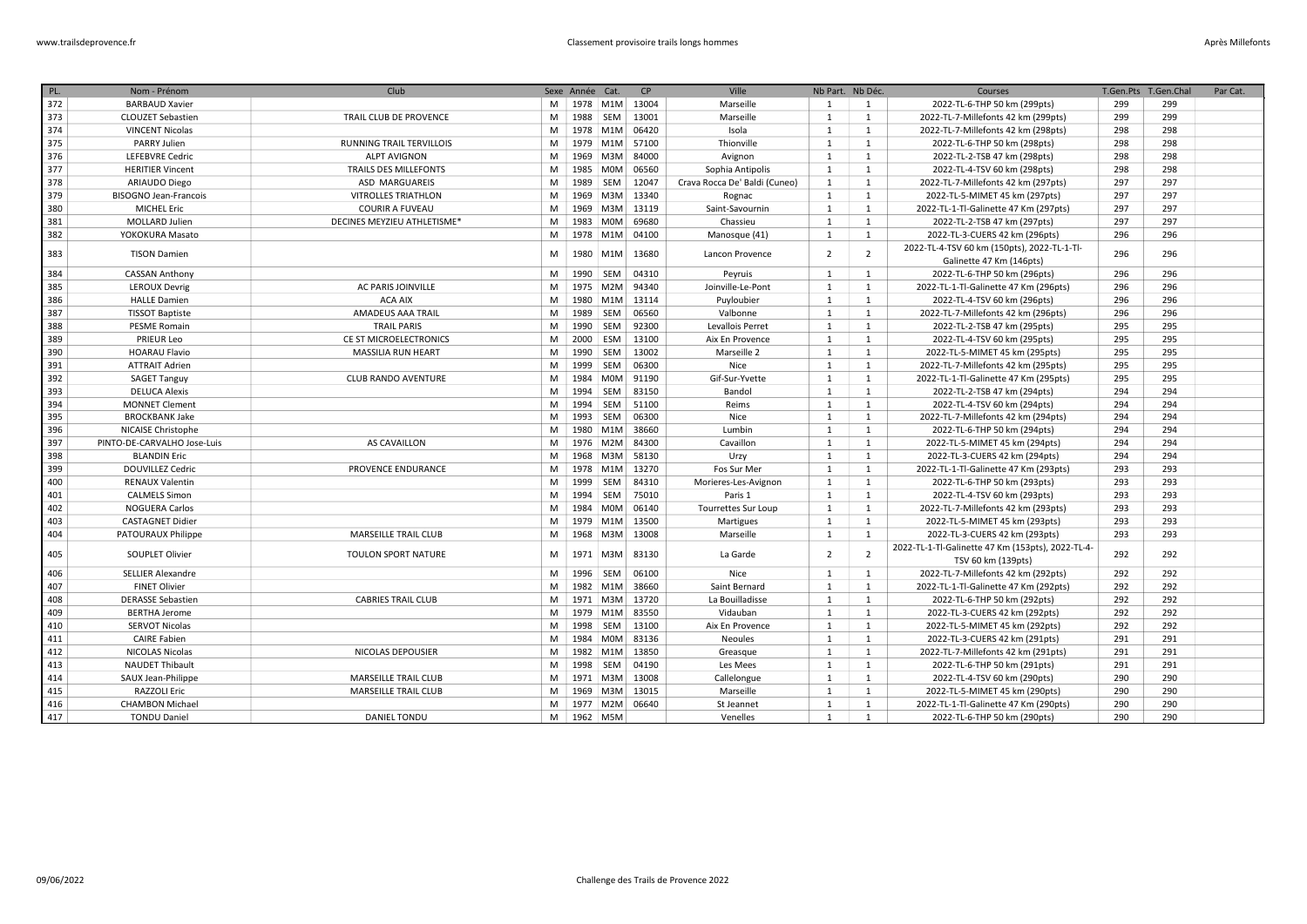| PL. | Nom - Prénom                 | Club                         |   | Sexe Année Cat. |                  | CP    | Ville                         | Nb Part. Nb Déc. |                | Courses                                                                 | T.Gen.Pts T.Gen.Chal |     | Par Cat. |
|-----|------------------------------|------------------------------|---|-----------------|------------------|-------|-------------------------------|------------------|----------------|-------------------------------------------------------------------------|----------------------|-----|----------|
| 372 | <b>BARBAUD Xavier</b>        |                              | M |                 | 1978 M1M         | 13004 | Marseille                     | 1                | 1              | 2022-TL-6-THP 50 km (299pts)                                            | 299                  | 299 |          |
| 373 | <b>CLOUZET Sebastien</b>     | TRAIL CLUB DE PROVENCE       | M |                 | 1988 SEM         | 13001 | Marseille                     | 1                | 1              | 2022-TL-7-Millefonts 42 km (299pts)                                     | 299                  | 299 |          |
| 374 | <b>VINCENT Nicolas</b>       |                              | M |                 | 1978 M1M         | 06420 | Isola                         | $\mathbf{1}$     | $\mathbf{1}$   | 2022-TL-7-Millefonts 42 km (298pts)                                     | 298                  | 298 |          |
| 375 | PARRY Julien                 | RUNNING TRAIL TERVILLOIS     | M |                 | 1979 M1M         | 57100 | Thionville                    | 1                | 1              | 2022-TL-6-THP 50 km (298pts)                                            | 298                  | 298 |          |
| 376 | <b>LEFEBVRE Cedric</b>       | <b>ALPT AVIGNON</b>          | M | 1969            | M3M              | 84000 | Avignon                       | $\mathbf{1}$     | 1              | 2022-TL-2-TSB 47 km (298pts)                                            | 298                  | 298 |          |
| 377 | <b>HERITIER Vincent</b>      | <b>TRAILS DES MILLEFONTS</b> | M | 1985            | <b>MOM</b>       | 06560 | Sophia Antipolis              | 1                | 1              | 2022-TL-4-TSV 60 km (298pts)                                            | 298                  | 298 |          |
| 378 | ARIAUDO Diego                | ASD MARGUAREIS               | M | 1989            | SEM              | 12047 | Crava Rocca De' Baldi (Cuneo) | 1                | 1              | 2022-TL-7-Millefonts 42 km (297pts)                                     | 297                  | 297 |          |
| 379 | <b>BISOGNO Jean-Francois</b> | <b>VITROLLES TRIATHLON</b>   | M | 1969            | M3M              | 13340 | Rognac                        | 1                | 1              | 2022-TL-5-MIMET 45 km (297pts)                                          | 297                  | 297 |          |
| 380 | <b>MICHEL Eric</b>           | <b>COURIR A FUVEAU</b>       | M | 1969            | M3M              | 13119 | Saint-Savournin               | 1                | 1              | 2022-TL-1-Tl-Galinette 47 Km (297pts)                                   | 297                  | 297 |          |
| 381 | MOLLARD Julien               | DECINES MEYZIEU ATHLETISME*  | M | 1983            | <b>MOM</b>       | 69680 | Chassieu                      | 1                | 1              | 2022-TL-2-TSB 47 km (297pts)                                            | 297                  | 297 |          |
| 382 | YOKOKURA Masato              |                              | M |                 | 1978 M1M         | 04100 | Manosque (41)                 | 1                | 1              | 2022-TL-3-CUERS 42 km (296pts)                                          | 296                  | 296 |          |
| 383 | <b>TISON Damien</b>          |                              | M | 1980            | M <sub>1</sub> M | 13680 | Lancon Provence               | $\overline{2}$   | $\overline{2}$ | 2022-TL-4-TSV 60 km (150pts), 2022-TL-1-Tl-<br>Galinette 47 Km (146pts) | 296                  | 296 |          |
| 384 | <b>CASSAN Anthony</b>        |                              | M | 1990            | SEM              | 04310 | Peyruis                       | 1                | 1              | 2022-TL-6-THP 50 km (296pts)                                            | 296                  | 296 |          |
| 385 | <b>LEROUX Devrig</b>         | AC PARIS JOINVILLE           | M | 1975            | M2M              | 94340 | Joinville-Le-Pont             | $\mathbf{1}$     | 1              | 2022-TL-1-Tl-Galinette 47 Km (296pts)                                   | 296                  | 296 |          |
| 386 | <b>HALLE Damien</b>          | <b>ACA AIX</b>               | M |                 | 1980 M1M         | 13114 | Puyloubier                    | 1                | 1              | 2022-TL-4-TSV 60 km (296pts)                                            | 296                  | 296 |          |
| 387 | <b>TISSOT Baptiste</b>       | AMADEUS AAA TRAIL            | M | 1989            | <b>SEM</b>       | 06560 | Valbonne                      | 1                | 1              | 2022-TL-7-Millefonts 42 km (296pts)                                     | 296                  | 296 |          |
| 388 | <b>PESME Romain</b>          | <b>TRAIL PARIS</b>           | M | 1990            | SEM              | 92300 | Levallois Perret              | $\mathbf{1}$     | $\mathbf{1}$   | 2022-TL-2-TSB 47 km (295pts)                                            | 295                  | 295 |          |
| 389 | <b>PRIEUR Leo</b>            | CE ST MICROELECTRONICS       | M | 2000            | ESM              | 13100 | Aix En Provence               | $\mathbf{1}$     | 1              | 2022-TL-4-TSV 60 km (295pts)                                            | 295                  | 295 |          |
| 390 | <b>HOARAU Flavio</b>         | <b>MASSILIA RUN HEART</b>    | M | 1990            | SEM              | 13002 | Marseille 2                   | 1                | 1              | 2022-TL-5-MIMET 45 km (295pts)                                          | 295                  | 295 |          |
| 391 | <b>ATTRAIT Adrien</b>        |                              | M | 1999            | SEM              | 06300 | Nice                          | $\mathbf{1}$     | 1              | 2022-TL-7-Millefonts 42 km (295pts)                                     | 295                  | 295 |          |
| 392 | <b>SAGET Tanguy</b>          | <b>CLUB RANDO AVENTURE</b>   | M | 1984            | M0M              | 91190 | Gif-Sur-Yvette                | $\mathbf{1}$     | 1              | 2022-TL-1-Tl-Galinette 47 Km (295pts)                                   | 295                  | 295 |          |
| 393 | <b>DELUCA Alexis</b>         |                              | M | 1994            | SEM              | 83150 | Bandol                        | 1                | 1              | 2022-TL-2-TSB 47 km (294pts)                                            | 294                  | 294 |          |
| 394 | <b>MONNET Clement</b>        |                              | M | 1994            | SEM              | 51100 | Reims                         | $\mathbf{1}$     | 1              | 2022-TL-4-TSV 60 km (294pts)                                            | 294                  | 294 |          |
| 395 | <b>BROCKBANK Jake</b>        |                              | M |                 | 1993 SEM         | 06300 | Nice                          | 1                | 1              | 2022-TL-7-Millefonts 42 km (294pts)                                     | 294                  | 294 |          |
| 396 | NICAISE Christophe           |                              | M |                 | 1980 M1M         | 38660 | Lumbin                        | $\mathbf{1}$     | $\mathbf{1}$   | 2022-TL-6-THP 50 km (294pts)                                            | 294                  | 294 |          |
| 397 | PINTO-DE-CARVALHO Jose-Luis  | AS CAVAILLON                 | M | 1976            | M2M              | 84300 | Cavaillon                     | 1                | 1              | 2022-TL-5-MIMET 45 km (294pts)                                          | 294                  | 294 |          |
| 398 | <b>BLANDIN Eric</b>          |                              | M | 1968            | M3M              | 58130 | Urzy                          | $\mathbf{1}$     | 1              | 2022-TL-3-CUERS 42 km (294pts)                                          | 294                  | 294 |          |
| 399 | <b>DOUVILLEZ Cedric</b>      | <b>PROVENCE ENDURANCE</b>    | M |                 | 1978 M1M         | 13270 | Fos Sur Mer                   | 1                | 1              | 2022-TL-1-Tl-Galinette 47 Km (293pts)                                   | 293                  | 293 |          |
| 400 | <b>RENAUX Valentin</b>       |                              | M | 1999            | SEM              | 84310 | Morieres-Les-Avignon          | $\mathbf{1}$     | 1              | 2022-TL-6-THP 50 km (293pts)                                            | 293                  | 293 |          |
| 401 | <b>CALMELS Simon</b>         |                              | M | 1994            | SEM              | 75010 | Paris 1                       | 1                | 1              | 2022-TL-4-TSV 60 km (293pts)                                            | 293                  | 293 |          |
| 402 | <b>NOGUERA Carlos</b>        |                              | M | 1984            | <b>MOM</b>       | 06140 | Tourrettes Sur Loup           | $\mathbf{1}$     | 1              | 2022-TL-7-Millefonts 42 km (293pts)                                     | 293                  | 293 |          |
| 403 | <b>CASTAGNET Didier</b>      |                              | M |                 | 1979 M1M         | 13500 | Martigues                     | $\mathbf{1}$     | 1              | 2022-TL-5-MIMET 45 km (293pts)                                          | 293                  | 293 |          |
| 404 | PATOURAUX Philippe           | <b>MARSEILLE TRAIL CLUB</b>  | M | 1968            | M3M              | 13008 | Marseille                     | 1                | 1              | 2022-TL-3-CUERS 42 km (293pts)                                          | 293                  | 293 |          |
| 405 | SOUPLET Olivier              | TOULON SPORT NATURE          | M | 1971            | M3M              | 83130 | La Garde                      | $\overline{2}$   | $\overline{2}$ | 2022-TL-1-Tl-Galinette 47 Km (153pts), 2022-TL-4-<br>TSV 60 km (139pts) | 292                  | 292 |          |
| 406 | <b>SELLIER Alexandre</b>     |                              | M | 1996            | SEM              | 06100 | Nice                          | 1                | 1              | 2022-TL-7-Millefonts 42 km (292pts)                                     | 292                  | 292 |          |
| 407 | <b>FINET Olivier</b>         |                              | M | 1982            | M1M              | 38660 | Saint Bernard                 | 1                | 1              | 2022-TL-1-Tl-Galinette 47 Km (292pts)                                   | 292                  | 292 |          |
| 408 | <b>DERASSE Sebastien</b>     | <b>CABRIES TRAIL CLUB</b>    | M |                 | 1971 M3M         | 13720 | La Bouilladisse               | $\mathbf{1}$     | 1              | 2022-TL-6-THP 50 km (292pts)                                            | 292                  | 292 |          |
| 409 | <b>BERTHA Jerome</b>         |                              | M |                 | 1979 M1M         | 83550 | Vidauban                      | 1                | 1              | 2022-TL-3-CUERS 42 km (292pts)                                          | 292                  | 292 |          |
| 410 | <b>SERVOT Nicolas</b>        |                              | M | 1998            | SEM              | 13100 | Aix En Provence               | 1                | $\mathbf{1}$   | 2022-TL-5-MIMET 45 km (292pts)                                          | 292                  | 292 |          |
| 411 | <b>CAIRE Fabien</b>          |                              | M | 1984            | <b>MOM</b>       | 83136 | <b>Neoules</b>                | 1                | 1              | 2022-TL-3-CUERS 42 km (291pts)                                          | 291                  | 291 |          |
| 412 | <b>NICOLAS Nicolas</b>       | NICOLAS DEPOUSIER            | M | 1982            | M <sub>1</sub> M | 13850 | Greasque                      | 1                | 1              | 2022-TL-7-Millefonts 42 km (291pts)                                     | 291                  | 291 |          |
| 413 | <b>NAUDET Thibault</b>       |                              | M | 1998            | SEM              | 04190 | Les Mees                      | $\mathbf{1}$     | 1              | 2022-TL-6-THP 50 km (291pts)                                            | 291                  | 291 |          |
| 414 | SAUX Jean-Philippe           | <b>MARSEILLE TRAIL CLUB</b>  | M |                 | 1971   M3M       | 13008 | Callelongue                   | $\mathbf{1}$     | 1              | 2022-TL-4-TSV 60 km (290pts)                                            | 290                  | 290 |          |
| 415 | <b>RAZZOLI Eric</b>          | MARSEILLE TRAIL CLUB         | M |                 | 1969 M3M         | 13015 | Marseille                     | 1                | 1              | 2022-TL-5-MIMET 45 km (290pts)                                          | 290                  | 290 |          |
| 416 | <b>CHAMBON Michael</b>       |                              | M |                 | 1977 M2M         | 06640 | St Jeannet                    | $\mathbf{1}$     | 1              | 2022-TL-1-Tl-Galinette 47 Km (290pts)                                   | 290                  | 290 |          |
| 417 | <b>TONDU Daniel</b>          | <b>DANIEL TONDU</b>          | M |                 | 1962 M5M         |       | Venelles                      | 1                | 1              | 2022-TL-6-THP 50 km (290pts)                                            | 290                  | 290 |          |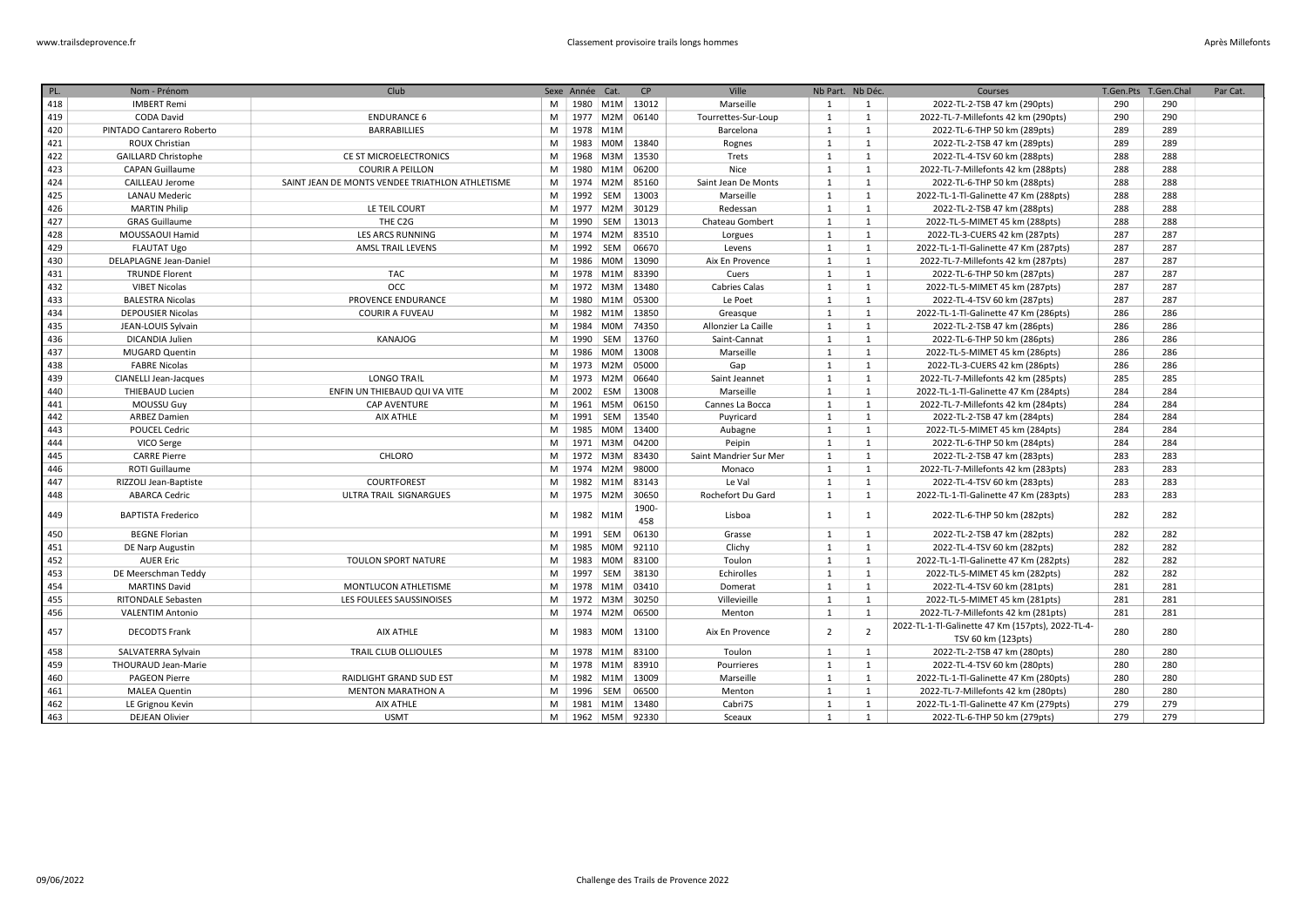| PL. | Nom - Prénom                 | Club                                            |   | Sexe Année Cat. |            | CP                 | Ville                  | Nb Part. Nb Déc. |                | Courses                                                                 | T.Gen.Pts | T.Gen.Chal | Par Cat. |
|-----|------------------------------|-------------------------------------------------|---|-----------------|------------|--------------------|------------------------|------------------|----------------|-------------------------------------------------------------------------|-----------|------------|----------|
| 418 | <b>IMBERT Remi</b>           |                                                 | M |                 |            | 1980   M1M   13012 | Marseille              | 1                | 1              | 2022-TL-2-TSB 47 km (290pts)                                            | 290       | 290        |          |
| 419 | <b>CODA David</b>            | <b>ENDURANCE 6</b>                              | M |                 |            | 1977   M2M   06140 | Tourrettes-Sur-Loup    | $\mathbf{1}$     | $\mathbf{1}$   | 2022-TL-7-Millefonts 42 km (290pts)                                     | 290       | 290        |          |
| 420 | PINTADO Cantarero Roberto    | <b>BARRABILLIES</b>                             | M | 1978 M1M        |            |                    | Barcelona              | 1                | 1              | 2022-TL-6-THP 50 km (289pts)                                            | 289       | 289        |          |
| 421 | ROUX Christian               |                                                 | M | 1983            | M0M        | 13840              | Rognes                 | 1                | $\mathbf{1}$   | 2022-TL-2-TSB 47 km (289pts)                                            | 289       | 289        |          |
| 422 | <b>GAILLARD Christophe</b>   | CE ST MICROELECTRONICS                          | M | 1968            | M3M        | 13530              | Trets                  | 1                | 1              | 2022-TL-4-TSV 60 km (288pts)                                            | 288       | 288        |          |
| 423 | <b>CAPAN Guillaume</b>       | <b>COURIR A PEILLON</b>                         | M | 1980            | M1M        | 06200              | Nice                   | 1                | $\mathbf{1}$   | 2022-TL-7-Millefonts 42 km (288pts)                                     | 288       | 288        |          |
| 424 | CAILLEAU Jerome              | SAINT JEAN DE MONTS VENDEE TRIATHLON ATHLETISME | M | 1974            | M2M        | 85160              | Saint Jean De Monts    | $\mathbf{1}$     | 1              | 2022-TL-6-THP 50 km (288pts)                                            | 288       | 288        |          |
| 425 | <b>LANAU Mederic</b>         |                                                 | M | 1992            | SEM        | 13003              | Marseille              | $\mathbf{1}$     | 1              | 2022-TL-1-Tl-Galinette 47 Km (288pts)                                   | 288       | 288        |          |
| 426 | <b>MARTIN Philip</b>         | LE TEIL COURT                                   | M |                 | 1977 M2M   | 30129              | Redessan               | $\mathbf{1}$     | 1              | 2022-TL-2-TSB 47 km (288pts)                                            | 288       | 288        |          |
| 427 | <b>GRAS Guillaume</b>        | THE C2G                                         | M | 1990            | SEM        | 13013              | Chateau Gombert        | $\mathbf{1}$     | $\mathbf{1}$   | 2022-TL-5-MIMET 45 km (288pts)                                          | 288       | 288        |          |
| 428 | MOUSSAOUI Hamid              | <b>LES ARCS RUNNING</b>                         | M |                 | 1974 M2M   | 83510              | Lorgues                | 1                | 1              | 2022-TL-3-CUERS 42 km (287pts)                                          | 287       | 287        |          |
| 429 | <b>FLAUTAT Ugo</b>           | <b>AMSL TRAIL LEVENS</b>                        | M |                 | 1992 SEM   | 06670              | Levens                 | $\mathbf{1}$     | $\mathbf{1}$   | 2022-TL-1-Tl-Galinette 47 Km (287pts)                                   | 287       | 287        |          |
| 430 | DELAPLAGNE Jean-Daniel       |                                                 | M |                 | 1986 M0M   | 13090              | Aix En Provence        | $\mathbf{1}$     | 1              | 2022-TL-7-Millefonts 42 km (287pts)                                     | 287       | 287        |          |
| 431 | <b>TRUNDE Florent</b>        | TAC                                             | M |                 |            | 1978 M1M 83390     | Cuers                  | 1                | 1              | 2022-TL-6-THP 50 km (287pts)                                            | 287       | 287        |          |
| 432 | <b>VIBET Nicolas</b>         | OCC                                             | M |                 | 1972 M3M   | 13480              | <b>Cabries Calas</b>   | 1                | 1              | 2022-TL-5-MIMET 45 km (287pts)                                          | 287       | 287        |          |
| 433 | <b>BALESTRA Nicolas</b>      | PROVENCE ENDURANCE                              | M |                 |            | 1980 M1M 05300     | Le Poet                | 1                | 1              | 2022-TL-4-TSV 60 km (287pts)                                            | 287       | 287        |          |
| 434 | <b>DEPOUSIER Nicolas</b>     | <b>COURIR A FUVEAU</b>                          | M |                 | 1982 M1M   | 13850              | Greasque               | $\mathbf{1}$     | 1              | 2022-TL-1-Tl-Galinette 47 Km (286pts)                                   | 286       | 286        |          |
| 435 | JEAN-LOUIS Sylvain           |                                                 | M | 1984            | <b>MOM</b> | 74350              | Allonzier La Caille    | $\mathbf{1}$     | 1              | 2022-TL-2-TSB 47 km (286pts)                                            | 286       | 286        |          |
| 436 | DICANDIA Julien              | KANAJOG                                         | M | 1990            | SEM        | 13760              | Saint-Cannat           | $\mathbf{1}$     | 1              | 2022-TL-6-THP 50 km (286pts)                                            | 286       | 286        |          |
| 437 | <b>MUGARD Quentin</b>        |                                                 | M | 1986            | M0M        | 13008              | Marseille              | $\mathbf{1}$     | $\mathbf{1}$   | 2022-TL-5-MIMET 45 km (286pts)                                          | 286       | 286        |          |
| 438 | <b>FABRE Nicolas</b>         |                                                 | M |                 | 1973 M2M   | 05000              | Gap                    | $\mathbf{1}$     | 1              | 2022-TL-3-CUERS 42 km (286pts)                                          | 286       | 286        |          |
| 439 | <b>CIANELLI Jean-Jacques</b> | LONGO TRA!L                                     | M |                 | 1973 M2M   | 06640              | Saint Jeannet          | $\mathbf{1}$     | 1              | 2022-TL-7-Millefonts 42 km (285pts)                                     | 285       | 285        |          |
| 440 | <b>THIEBAUD Lucien</b>       | ENFIN UN THIEBAUD QUI VA VITE                   | M | 2002 ESM        |            | 13008              | Marseille              | $\mathbf{1}$     | 1              | 2022-TL-1-Tl-Galinette 47 Km (284pts)                                   | 284       | 284        |          |
| 441 | <b>MOUSSU Guy</b>            | <b>CAP AVENTURE</b>                             | M |                 | 1961 M5M   | 06150              | Cannes La Bocca        | $\mathbf{1}$     | 1              | 2022-TL-7-Millefonts 42 km (284pts)                                     | 284       | 284        |          |
| 442 | <b>ARBEZ Damien</b>          | <b>AIX ATHLE</b>                                | M |                 | 1991   SEM | 13540              | Puyricard              | $\mathbf{1}$     | $\mathbf{1}$   | 2022-TL-2-TSB 47 km (284pts)                                            | 284       | 284        |          |
| 443 | <b>POUCEL Cedric</b>         |                                                 | M | 1985            | <b>MOM</b> | 13400              | Aubagne                | $\mathbf{1}$     | 1              | 2022-TL-5-MIMET 45 km (284pts)                                          | 284       | 284        |          |
| 444 | VICO Serge                   |                                                 | M |                 | 1971 M3M   | 04200              | Peipin                 | $\mathbf{1}$     | 1              | 2022-TL-6-THP 50 km (284pts)                                            | 284       | 284        |          |
| 445 | <b>CARRE Pierre</b>          | CHLORO                                          | M |                 | 1972 M3M   | 83430              | Saint Mandrier Sur Mer | $\mathbf{1}$     | 1              | 2022-TL-2-TSB 47 km (283pts)                                            | 283       | 283        |          |
| 446 | <b>ROTI Guillaume</b>        |                                                 | M |                 | 1974 M2M   | 98000              | Monaco                 | $\mathbf{1}$     | 1              | 2022-TL-7-Millefonts 42 km (283pts)                                     | 283       | 283        |          |
| 447 | RIZZOLI Jean-Baptiste        | COURTFOREST                                     | M |                 | 1982 M1M   | 83143              | Le Val                 | 1                | 1              | 2022-TL-4-TSV 60 km (283pts)                                            | 283       | 283        |          |
| 448 | <b>ABARCA Cedric</b>         | ULTRA TRAIL SIGNARGUES                          | M | 1975            | M2M        | 30650              | Rochefort Du Gard      | $\mathbf{1}$     | $\mathbf{1}$   | 2022-TL-1-Tl-Galinette 47 Km (283pts)                                   | 283       | 283        |          |
| 449 | <b>BAPTISTA Frederico</b>    |                                                 | M | 1982            | M1M        | 1900-              | Lisboa                 | 1                |                |                                                                         | 282       | 282        |          |
|     |                              |                                                 |   |                 |            | 458                |                        |                  | 1              | 2022-TL-6-THP 50 km (282pts)                                            |           |            |          |
| 450 | <b>BEGNE Florian</b>         |                                                 | M | 1991 SEM        |            | 06130              | Grasse                 | $\mathbf{1}$     | 1              | 2022-TL-2-TSB 47 km (282pts)                                            | 282       | 282        |          |
| 451 | DE Narp Augustin             |                                                 | M |                 | 1985 M0M   | 92110              | Clichy                 | 1                | $\mathbf{1}$   | 2022-TL-4-TSV 60 km (282pts)                                            | 282       | 282        |          |
| 452 | <b>AUER Eric</b>             | TOULON SPORT NATURE                             | M | 1983            | <b>MOM</b> | 83100              | Toulon                 | 1                | 1              | 2022-TL-1-Tl-Galinette 47 Km (282pts)                                   | 282       | 282        |          |
| 453 | DE Meerschman Teddy          |                                                 | M | 1997            | SEM        | 38130              | Echirolles             | $\mathbf{1}$     | 1              | 2022-TL-5-MIMET 45 km (282pts)                                          | 282       | 282        |          |
| 454 | <b>MARTINS David</b>         | MONTLUCON ATHLETISME                            | M |                 | 1978 M1M   | 03410              | Domerat                | $\mathbf{1}$     | 1              | 2022-TL-4-TSV 60 km (281pts)                                            | 281       | 281        |          |
| 455 | RITONDALE Sebasten           | LES FOULEES SAUSSINOISES                        | M |                 | 1972 M3M   | 30250              | Villevieille           | 1                | 1              | 2022-TL-5-MIMET 45 km (281pts)                                          | 281       | 281        |          |
| 456 | <b>VALENTIM Antonio</b>      |                                                 | M |                 | 1974 M2M   | 06500              | Menton                 | $\mathbf{1}$     | $\mathbf{1}$   | 2022-TL-7-Millefonts 42 km (281pts)                                     | 281       | 281        |          |
| 457 | <b>DECODTS Frank</b>         | AIX ATHLE                                       | M | 1983            | <b>MOM</b> | 13100              | Aix En Provence        | $\overline{2}$   | $\overline{2}$ | 2022-TL-1-Tl-Galinette 47 Km (157pts), 2022-TL-4-<br>TSV 60 km (123pts) | 280       | 280        |          |
| 458 | SALVATERRA Sylvain           | TRAIL CLUB OLLIOULES                            | M |                 |            | 1978   M1M   83100 | Toulon                 | 1                | 1              | 2022-TL-2-TSB 47 km (280pts)                                            | 280       | 280        |          |
| 459 | <b>THOURAUD Jean-Marie</b>   |                                                 | M |                 | 1978 M1M   | 83910              | Pourrieres             | $\mathbf{1}$     | 1              | 2022-TL-4-TSV 60 km (280pts)                                            | 280       | 280        |          |
| 460 | <b>PAGEON Pierre</b>         | RAIDLIGHT GRAND SUD EST                         | M |                 |            | 1982   M1M   13009 | Marseille              | 1                | 1              | 2022-TL-1-Tl-Galinette 47 Km (280pts)                                   | 280       | 280        |          |
| 461 | <b>MALEA Quentin</b>         | <b>MENTON MARATHON A</b>                        | M |                 | 1996 SEM   | 06500              | Menton                 | $\mathbf{1}$     | 1              | 2022-TL-7-Millefonts 42 km (280pts)                                     | 280       | 280        |          |
| 462 | LE Grignou Kevin             | <b>AIX ATHLE</b>                                | M |                 | 1981 M1M   | 13480              | Cabri7S                | $\mathbf{1}$     | 1              | 2022-TL-1-Tl-Galinette 47 Km (279pts)                                   | 279       | 279        |          |
| 463 | <b>DEJEAN Olivier</b>        | <b>USMT</b>                                     | M |                 |            | 1962 M5M 92330     | Sceaux                 | 1                | $\mathbf{1}$   | 2022-TL-6-THP 50 km (279pts)                                            | 279       | 279        |          |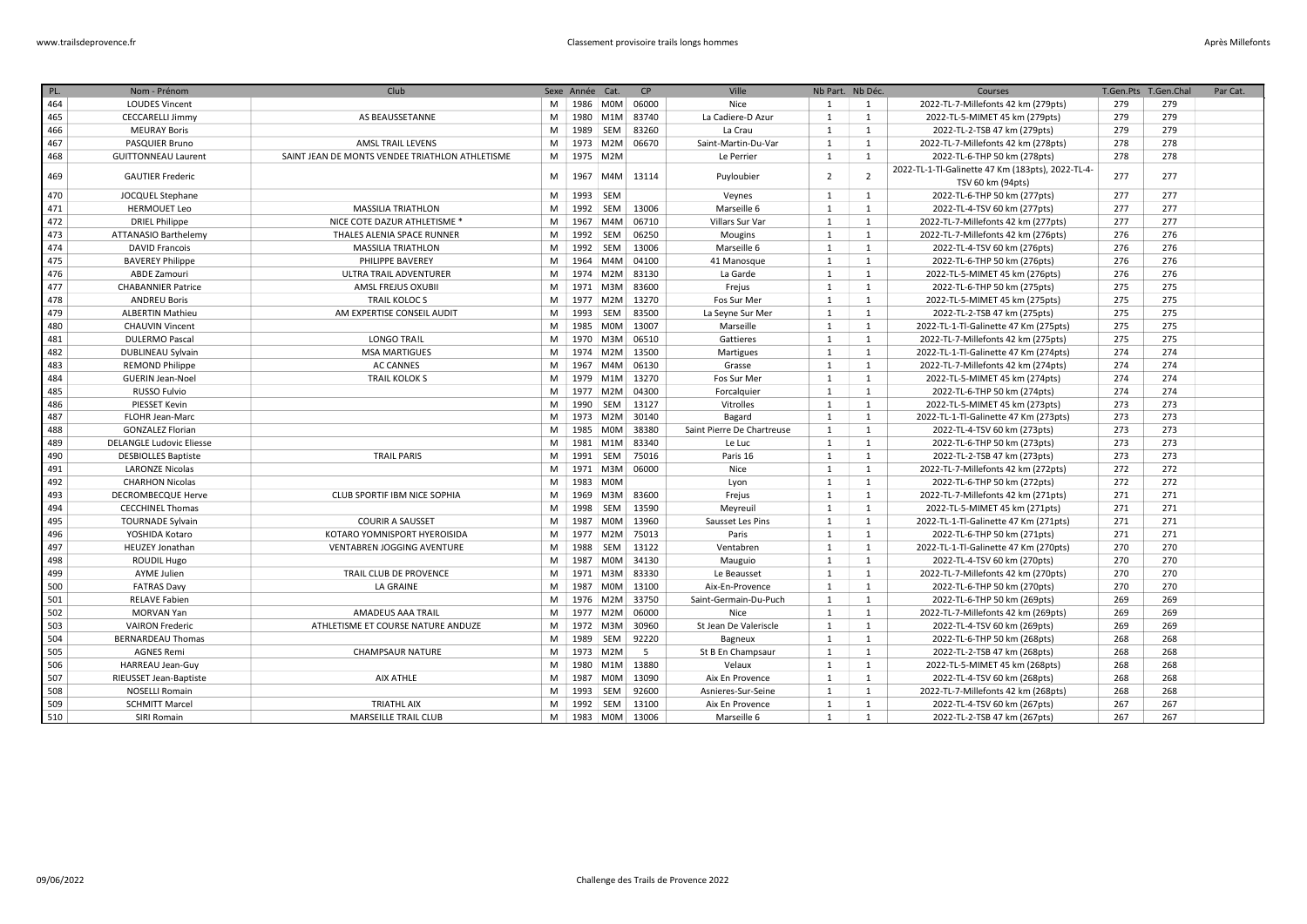| PL. | Nom - Prénom                    | Club                                            |   | Sexe Année Cat. |                  | CP                 | Ville                      | Nb Part. Nb Déc. |                | Courses                                           | T.Gen.Pts | T.Gen.Chal | Par Cat. |
|-----|---------------------------------|-------------------------------------------------|---|-----------------|------------------|--------------------|----------------------------|------------------|----------------|---------------------------------------------------|-----------|------------|----------|
| 464 | <b>LOUDES Vincent</b>           |                                                 | M |                 |                  | 1986   M0M   06000 | Nice                       | 1                | 1              | 2022-TL-7-Millefonts 42 km (279pts)               | 279       | 279        |          |
| 465 | <b>CECCARELLI Jimmy</b>         | AS BEAUSSETANNE                                 | M |                 |                  | 1980 M1M 83740     | La Cadiere-D Azur          | 1                | $\mathbf{1}$   | 2022-TL-5-MIMET 45 km (279pts)                    | 279       | 279        |          |
| 466 | <b>MEURAY Boris</b>             |                                                 | M | 1989            | SEM              | 83260              | La Crau                    | 1                | 1              | 2022-TL-2-TSB 47 km (279pts)                      | 279       | 279        |          |
| 467 | PASQUIER Bruno                  | <b>AMSL TRAIL LEVENS</b>                        | M | 1973 M2M        |                  | 06670              | Saint-Martin-Du-Var        | 1                | $\mathbf{1}$   | 2022-TL-7-Millefonts 42 km (278pts)               | 278       | 278        |          |
| 468 | <b>GUITTONNEAU Laurent</b>      | SAINT JEAN DE MONTS VENDEE TRIATHLON ATHLETISME | M | 1975 M2M        |                  |                    | Le Perrier                 | $\mathbf{1}$     | $\mathbf{1}$   | 2022-TL-6-THP 50 km (278pts)                      | 278       | 278        |          |
|     |                                 |                                                 |   |                 |                  |                    |                            |                  |                | 2022-TL-1-Tl-Galinette 47 Km (183pts), 2022-TL-4- |           |            |          |
| 469 | <b>GAUTIER Frederic</b>         |                                                 | M | 1967            | M4M              | 13114              | Puyloubier                 | 2                | $\overline{2}$ | TSV 60 km (94pts)                                 | 277       | 277        |          |
| 470 | <b>JOCQUEL Stephane</b>         |                                                 | M | 1993            | SEM              |                    | Veynes                     | 1                | $\mathbf{1}$   | 2022-TL-6-THP 50 km (277pts)                      | 277       | 277        |          |
| 471 | <b>HERMOUET Leo</b>             | <b>MASSILIA TRIATHLON</b>                       | M | 1992 SEM        |                  | 13006              | Marseille 6                | $\mathbf{1}$     | $\mathbf{1}$   | 2022-TL-4-TSV 60 km (277pts)                      | 277       | 277        |          |
| 472 | <b>DRIEL Philippe</b>           | NICE COTE DAZUR ATHLETISME <sup>*</sup>         | M |                 | 1967 M4M         | 06710              | Villars Sur Var            | 1                | $\mathbf{1}$   | 2022-TL-7-Millefonts 42 km (277pts)               | 277       | 277        |          |
| 473 | ATTANASIO Barthelemy            | THALES ALENIA SPACE RUNNER                      | M | 1992            | SEM              | 06250              | Mougins                    | <sup>1</sup>     | $\mathbf{1}$   | 2022-TL-7-Millefonts 42 km (276pts)               | 276       | 276        |          |
| 474 | <b>DAVID Francois</b>           | <b>MASSILIA TRIATHLON</b>                       | M | 1992 SEM        |                  | 13006              | Marseille 6                | 1                | $\mathbf{1}$   | 2022-TL-4-TSV 60 km (276pts)                      | 276       | 276        |          |
| 475 | <b>BAVEREY Philippe</b>         | PHILIPPE BAVEREY                                | M | 1964            | MAM              | 04100              | 41 Manosque                | 1                | 1              | 2022-TL-6-THP 50 km (276pts)                      | 276       | 276        |          |
| 476 | ABDE Zamouri                    | ULTRA TRAIL ADVENTURER                          | M |                 |                  | 1974 M2M 83130     | La Garde                   | 1                | 1              | 2022-TL-5-MIMET 45 km (276pts)                    | 276       | 276        |          |
| 477 | <b>CHABANNIER Patrice</b>       | AMSL FREJUS OXUBII                              | M |                 | 1971 M3M         | 83600              | Frejus                     | 1                | 1              | 2022-TL-6-THP 50 km (275pts)                      | 275       | 275        |          |
| 478 | <b>ANDREU Boris</b>             | <b>TRAIL KOLOCS</b>                             | M | 1977 M2M        |                  | 13270              | Fos Sur Mer                | 1                | 1              | 2022-TL-5-MIMET 45 km (275pts)                    | 275       | 275        |          |
| 479 | <b>ALBERTIN Mathieu</b>         | AM EXPERTISE CONSEIL AUDIT                      | M | 1993 SEM        |                  | 83500              | La Seyne Sur Mer           | 1                | 1              | 2022-TL-2-TSB 47 km (275pts)                      | 275       | 275        |          |
| 480 | <b>CHAUVIN Vincent</b>          |                                                 | M |                 | 1985 M0M         | 13007              | Marseille                  | 1                | $\mathbf{1}$   | 2022-TL-1-Tl-Galinette 47 Km (275pts)             | 275       | 275        |          |
| 481 | <b>DULERMO Pascal</b>           | <b>LONGO TRA!L</b>                              | M |                 | 1970 M3M         | 06510              | Gattieres                  | $\mathbf{1}$     | 1              | 2022-TL-7-Millefonts 42 km (275pts)               | 275       | 275        |          |
| 482 | DUBLINEAU Sylvain               | <b>MSA MARTIGUES</b>                            | M | 1974 M2M        |                  | 13500              | Martigues                  | 1                | $\mathbf{1}$   | 2022-TL-1-Tl-Galinette 47 Km (274pts)             | 274       | 274        |          |
| 483 | <b>REMOND Philippe</b>          | <b>AC CANNES</b>                                | M | 1967            | M4M              | 06130              | Grasse                     | 1                | 1              | 2022-TL-7-Millefonts 42 km (274pts)               | 274       | 274        |          |
| 484 | <b>GUERIN Jean-Noel</b>         | <b>TRAIL KOLOK S</b>                            | M |                 | 1979 M1M         | 13270              | Fos Sur Mer                | 1                | $\mathbf{1}$   | 2022-TL-5-MIMET 45 km (274pts)                    | 274       | 274        |          |
| 485 | <b>RUSSO Fulvio</b>             |                                                 | M | 1977 M2M        |                  | 04300              | Forcalquier                | 1                | 1              | 2022-TL-6-THP 50 km (274pts)                      | 274       | 274        |          |
| 486 | PIESSET Kevin                   |                                                 | M | 1990 SEM        |                  | 13127              | Vitrolles                  | 1                | $\mathbf{1}$   | 2022-TL-5-MIMET 45 km (273pts)                    | 273       | 273        |          |
| 487 | FLOHR Jean-Marc                 |                                                 | M |                 | 1973 M2M         | 30140              | Bagard                     | $\mathbf{1}$     | 1              | 2022-TL-1-Tl-Galinette 47 Km (273pts)             | 273       | 273        |          |
| 488 | <b>GONZALEZ Florian</b>         |                                                 | M | 1985            | M0M              | 38380              | Saint Pierre De Chartreuse | $\mathbf{1}$     | $\mathbf{1}$   | 2022-TL-4-TSV 60 km (273pts)                      | 273       | 273        |          |
| 489 | <b>DELANGLE Ludovic Eliesse</b> |                                                 | M |                 | 1981 M1M         | 83340              | Le Luc                     | $\mathbf{1}$     | 1              | 2022-TL-6-THP 50 km (273pts)                      | 273       | 273        |          |
| 490 | <b>DESBIOLLES Baptiste</b>      | <b>TRAIL PARIS</b>                              | M | 1991            | SEM              | 75016              | Paris 16                   | 1                | $\mathbf{1}$   | 2022-TL-2-TSB 47 km (273pts)                      | 273       | 273        |          |
| 491 | <b>LARONZE Nicolas</b>          |                                                 | M | 1971 M3M        |                  | 06000              | Nice                       | 1                | 1              | 2022-TL-7-Millefonts 42 km (272pts)               | 272       | 272        |          |
| 492 | <b>CHARHON Nicolas</b>          |                                                 | M | 1983 M0M        |                  |                    | Lyon                       | 1                | $\mathbf{1}$   | 2022-TL-6-THP 50 km (272pts)                      | 272       | 272        |          |
| 493 | <b>DECROMBECQUE Herve</b>       | CLUB SPORTIF IBM NICE SOPHIA                    | M | 1969            | M3M              | 83600              | Frejus                     | 1                | $\mathbf{1}$   | 2022-TL-7-Millefonts 42 km (271pts)               | 271       | 271        |          |
| 494 | <b>CECCHINEL Thomas</b>         |                                                 | M | 1998            | SEM              | 13590              | Meyreuil                   | 1                | $\mathbf{1}$   | 2022-TL-5-MIMET 45 km (271pts)                    | 271       | 271        |          |
| 495 | <b>TOURNADE Sylvain</b>         | <b>COURIR A SAUSSET</b>                         | M | 1987 M0M        |                  | 13960              | Sausset Les Pins           | 1                | $\mathbf{1}$   | 2022-TL-1-Tl-Galinette 47 Km (271pts)             | 271       | 271        |          |
| 496 | YOSHIDA Kotaro                  | KOTARO YOMNISPORT HYEROISIDA                    | M |                 | 1977 M2M         | 75013              | Paris                      | 1                | $\mathbf{1}$   | 2022-TL-6-THP 50 km (271pts)                      | 271       | 271        |          |
| 497 | <b>HEUZEY Jonathan</b>          | VENTABREN JOGGING AVENTURE                      | M | 1988            | SEM              | 13122              | Ventabren                  | 1                | 1              | 2022-TL-1-Tl-Galinette 47 Km (270pts)             | 270       | 270        |          |
| 498 | <b>ROUDIL Hugo</b>              |                                                 | M | 1987            | <b>MOM</b>       | 34130              | Mauguio                    | 1                | $\mathbf{1}$   | 2022-TL-4-TSV 60 km (270pts)                      | 270       | 270        |          |
| 499 | <b>AYME Julien</b>              | TRAIL CLUB DE PROVENCE                          | M |                 | 1971 M3M         | 83330              | Le Beausset                | 1                | $\mathbf{1}$   | 2022-TL-7-Millefonts 42 km (270pts)               | 270       | 270        |          |
| 500 | <b>FATRAS Davy</b>              | <b>LA GRAINE</b>                                | M | 1987            | M0M              | 13100              | Aix-En-Provence            | 1                | $\mathbf{1}$   | 2022-TL-6-THP 50 km (270pts)                      | 270       | 270        |          |
| 501 | <b>RELAVE Fabien</b>            |                                                 | M |                 | 1976 M2M         | 33750              | Saint-Germain-Du-Puch      | 1                | $\mathbf{1}$   | 2022-TL-6-THP 50 km (269pts)                      | 269       | 269        |          |
| 502 | <b>MORVAN Yan</b>               | AMADEUS AAA TRAIL                               | M | 1977            | M2M              | 06000              | Nice                       | 1                | $\mathbf{1}$   | 2022-TL-7-Millefonts 42 km (269pts)               | 269       | 269        |          |
| 503 | <b>VAIRON Frederic</b>          | ATHLETISME ET COURSE NATURE ANDUZE              | M | 1972 M3M        |                  | 30960              | St Jean De Valeriscle      | $\mathbf{1}$     | $\mathbf{1}$   | 2022-TL-4-TSV 60 km (269pts)                      | 269       | 269        |          |
| 504 | <b>BERNARDEAU Thomas</b>        |                                                 | M | 1989            | SEM              | 92220              | <b>Bagneux</b>             | $\mathbf{1}$     | $\mathbf{1}$   | 2022-TL-6-THP 50 km (268pts)                      | 268       | 268        |          |
| 505 | <b>AGNES Remi</b>               | <b>CHAMPSAUR NATURE</b>                         | M | 1973 M2M        |                  | -5                 | St B En Champsaur          | $\mathbf{1}$     | $\mathbf{1}$   | 2022-TL-2-TSB 47 km (268pts)                      | 268       | 268        |          |
| 506 | HARREAU Jean-Guy                |                                                 | M | 1980            | M <sub>1</sub> M | 13880              | Velaux                     | 1                | $\mathbf{1}$   | 2022-TL-5-MIMET 45 km (268pts)                    | 268       | 268        |          |
| 507 | RIEUSSET Jean-Baptiste          | <b>AIX ATHLE</b>                                | M |                 | 1987 M0M         | 13090              | Aix En Provence            | 1                | $\mathbf{1}$   | 2022-TL-4-TSV 60 km (268pts)                      | 268       | 268        |          |
| 508 | <b>NOSELLI Romain</b>           |                                                 | M | 1993 SEM        |                  | 92600              | Asnieres-Sur-Seine         | 1                | 1              | 2022-TL-7-Millefonts 42 km (268pts)               | 268       | 268        |          |
| 509 | <b>SCHMITT Marcel</b>           | <b>TRIATHL AIX</b>                              | M | 1992 SEM        |                  | 13100              | Aix En Provence            | 1                | $\mathbf{1}$   | 2022-TL-4-TSV 60 km (267pts)                      | 267       | 267        |          |
| 510 | SIRI Romain                     | <b>MARSEILLE TRAIL CLUB</b>                     | M |                 |                  | 1983 M0M 13006     | Marseille 6                | 1                | 1              | 2022-TL-2-TSB 47 km (267pts)                      | 267       | 267        |          |
|     |                                 |                                                 |   |                 |                  |                    |                            |                  |                |                                                   |           |            |          |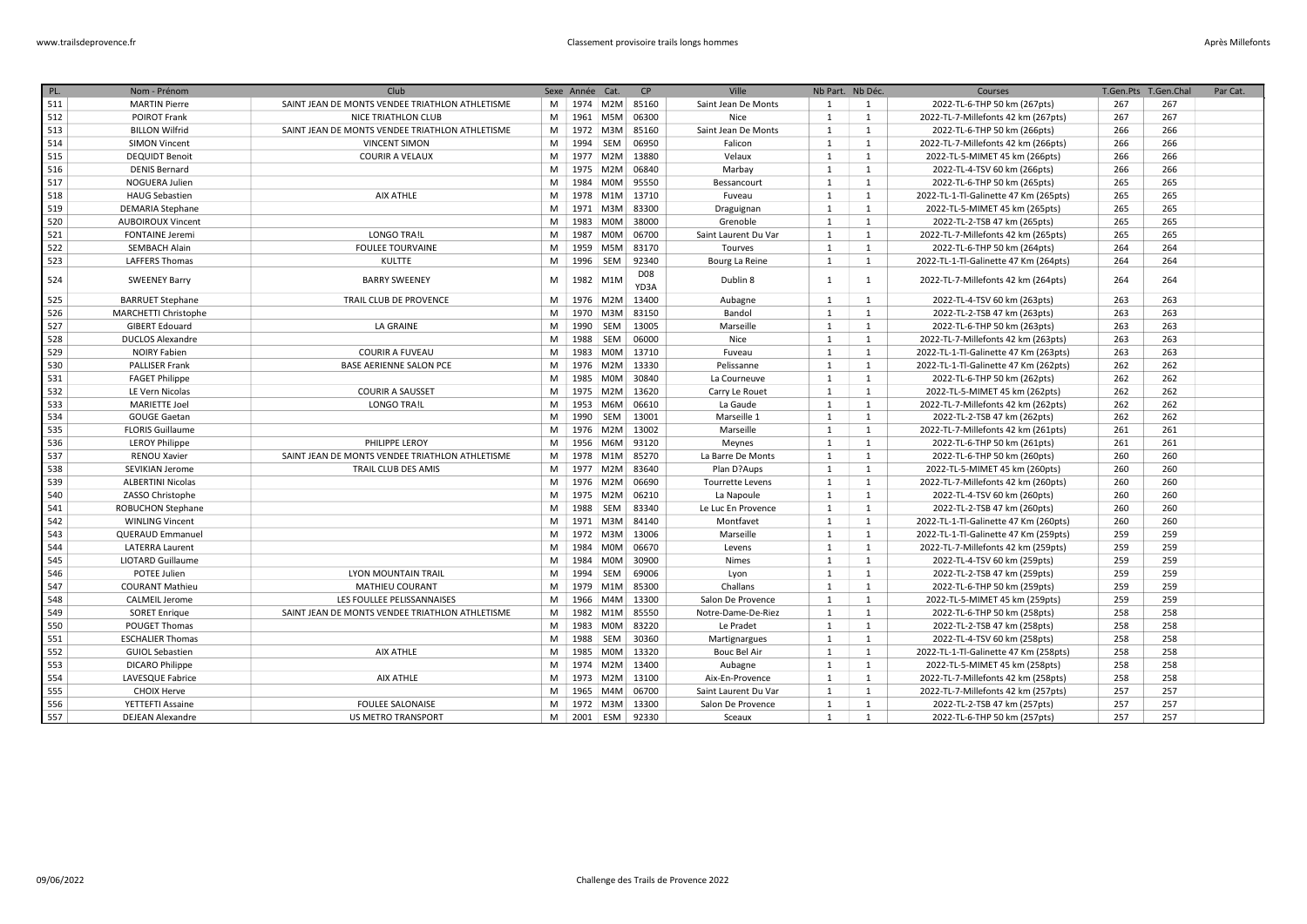| PL. | Nom - Prénom             | Club                                            |   | Sexe Année Cat. |                  | <b>CP</b>          | Ville                | Nb Part. Nb Déc. |                | Courses                               | T.Gen.Pts | T.Gen.Chal | Par Cat. |
|-----|--------------------------|-------------------------------------------------|---|-----------------|------------------|--------------------|----------------------|------------------|----------------|---------------------------------------|-----------|------------|----------|
| 511 | <b>MARTIN Pierre</b>     | SAINT JEAN DE MONTS VENDEE TRIATHLON ATHLETISME | M |                 | 1974 M2M         | 85160              | Saint Jean De Monts  | 1                | $\mathbf{1}$   | 2022-TL-6-THP 50 km (267pts)          | 267       | 267        |          |
| 512 | <b>POIROT Frank</b>      | NICE TRIATHLON CLUB                             | M |                 | 1961 M5M         | 06300              | Nice                 | $\mathbf{1}$     | 1              | 2022-TL-7-Millefonts 42 km (267pts)   | 267       | 267        |          |
| 513 | <b>BILLON Wilfrid</b>    | SAINT JEAN DE MONTS VENDEE TRIATHLON ATHLETISME | M |                 | 1972 M3M         | 85160              | Saint Jean De Monts  | 1                | 1              | 2022-TL-6-THP 50 km (266pts)          | 266       | 266        |          |
| 514 | <b>SIMON Vincent</b>     | <b>VINCENT SIMON</b>                            | M | 1994            | SEM              | 06950              | Falicon              | 1                | 1              | 2022-TL-7-Millefonts 42 km (266pts)   | 266       | 266        |          |
| 515 | <b>DEQUIDT Benoit</b>    | <b>COURIR A VELAUX</b>                          | M |                 | 1977 M2M         | 13880              | Velaux               | 1                | <sup>1</sup>   | 2022-TL-5-MIMET 45 km (266pts)        | 266       | 266        |          |
| 516 | <b>DENIS Bernard</b>     |                                                 | M |                 | 1975 M2M         | 06840              | Marbay               | 1                | <sup>1</sup>   | 2022-TL-4-TSV 60 km (266pts)          | 266       | 266        |          |
| 517 | NOGUERA Julien           |                                                 | M | 1984            | M0M              | 95550              | Bessancourt          | 1                | <sup>1</sup>   | 2022-TL-6-THP 50 km (265pts)          | 265       | 265        |          |
| 518 | <b>HAUG Sebastien</b>    | AIX ATHLE                                       | M |                 | 1978 M1M         | 13710              | Fuveau               | 1                | 1              | 2022-TL-1-Tl-Galinette 47 Km (265pts) | 265       | 265        |          |
| 519 | <b>DEMARIA Stephane</b>  |                                                 | M |                 | 1971 M3M         | 83300              | Draguignan           | 1                | 1              | 2022-TL-5-MIMET 45 km (265pts)        | 265       | 265        |          |
| 520 | <b>AUBOIROUX Vincent</b> |                                                 | M | 1983            | <b>MOM</b>       | 38000              | Grenoble             | 1                | 1              | 2022-TL-2-TSB 47 km (265pts)          | 265       | 265        |          |
| 521 | <b>FONTAINE Jeremi</b>   | <b>LONGO TRA!L</b>                              | M | 1987            | M0M              | 06700              | Saint Laurent Du Var | 1                | 1              | 2022-TL-7-Millefonts 42 km (265pts)   | 265       | 265        |          |
| 522 | <b>SEMBACH Alain</b>     | <b>FOULEE TOURVAINE</b>                         | M | 1959            | M5M              | 83170              | Tourves              | 1                | 1              | 2022-TL-6-THP 50 km (264pts)          | 264       | 264        |          |
| 523 | <b>LAFFERS Thomas</b>    | <b>KULTTE</b>                                   | M | 1996            | SEM              | 92340              | Bourg La Reine       | 1                | 1              | 2022-TL-1-Tl-Galinette 47 Km (264pts) | 264       | 264        |          |
| 524 | <b>SWEENEY Barry</b>     | <b>BARRY SWEENEY</b>                            | M | 1982            | M <sub>1</sub> M | <b>D08</b><br>YD3A | Dublin 8             | 1                | 1              | 2022-TL-7-Millefonts 42 km (264pts)   | 264       | 264        |          |
| 525 | <b>BARRUET Stephane</b>  | TRAIL CLUB DE PROVENCE                          | M |                 | 1976 M2M         | 13400              | Aubagne              | 1                | <sup>1</sup>   | 2022-TL-4-TSV 60 km (263pts)          | 263       | 263        |          |
| 526 | MARCHETTI Christophe     |                                                 | M | 1970            | M3M              | 83150              | Bandol               | 1                | <sup>1</sup>   | 2022-TL-2-TSB 47 km (263pts)          | 263       | 263        |          |
| 527 | <b>GIBERT Edouard</b>    | LA GRAINE                                       | M | 1990 SEM        |                  | 13005              | Marseille            | 1                | 1              | 2022-TL-6-THP 50 km (263pts)          | 263       | 263        |          |
| 528 | <b>DUCLOS Alexandre</b>  |                                                 | M | 1988            | SEM              | 06000              | Nice                 | 1                | 1              | 2022-TL-7-Millefonts 42 km (263pts)   | 263       | 263        |          |
| 529 | <b>NOIRY Fabien</b>      | <b>COURIR A FUVEAU</b>                          | M | 1983            | <b>MOM</b>       | 13710              | Fuveau               | 1                | <sup>1</sup>   | 2022-TL-1-Tl-Galinette 47 Km (263pts) | 263       | 263        |          |
| 530 | <b>PALLISER Frank</b>    | <b>BASE AERIENNE SALON PCE</b>                  | M |                 | 1976 M2M         | 13330              | Pelissanne           | 1                | 1              | 2022-TL-1-Tl-Galinette 47 Km (262pts) | 262       | 262        |          |
| 531 | <b>FAGET Philippe</b>    |                                                 | M | 1985            | <b>MOM</b>       | 30840              | La Courneuve         | $\mathbf{1}$     | <sup>1</sup>   | 2022-TL-6-THP 50 km (262pts)          | 262       | 262        |          |
| 532 | LE Vern Nicolas          | <b>COURIR A SAUSSET</b>                         | M |                 | 1975 M2M         | 13620              | Carry Le Rouet       | 1                | 1              | 2022-TL-5-MIMET 45 km (262pts)        | 262       | 262        |          |
| 533 | <b>MARIETTE Joel</b>     | <b>LONGO TRA!L</b>                              | M | 1953            | M6M              | 06610              | La Gaude             | 1                | 1              | 2022-TL-7-Millefonts 42 km (262pts)   | 262       | 262        |          |
| 534 | <b>GOUGE Gaetan</b>      |                                                 | M | 1990            | SEM              | 13001              | Marseille 1          | 1                | 1              | 2022-TL-2-TSB 47 km (262pts)          | 262       | 262        |          |
| 535 | <b>FLORIS Guillaume</b>  |                                                 | M |                 | 1976 M2M         | 13002              | Marseille            | 1                | 1              | 2022-TL-7-Millefonts 42 km (261pts)   | 261       | 261        |          |
| 536 | <b>LEROY Philippe</b>    | PHILIPPE LEROY                                  | M | 1956            | M6M              | 93120              | Meynes               | 1                | 1              | 2022-TL-6-THP 50 km (261pts)          | 261       | 261        |          |
| 537 | <b>RENOU Xavier</b>      | SAINT JEAN DE MONTS VENDEE TRIATHLON ATHLETISME | M | 1978            | M <sub>1</sub> M | 85270              | La Barre De Monts    | 1                | 1              | 2022-TL-6-THP 50 km (260pts)          | 260       | 260        |          |
| 538 | SEVIKIAN Jerome          | TRAIL CLUB DES AMIS                             | M |                 | 1977 M2M         | 83640              | Plan D?Aups          | 1                | <sup>1</sup>   | 2022-TL-5-MIMET 45 km (260pts)        | 260       | 260        |          |
| 539 | <b>ALBERTINI Nicolas</b> |                                                 | M |                 | 1976 M2M         | 06690              | Tourrette Levens     | 1                | 1              | 2022-TL-7-Millefonts 42 km (260pts)   | 260       | 260        |          |
| 540 | ZASSO Christophe         |                                                 | M | 1975            | M2M              | 06210              | La Napoule           | 1                | 1              | 2022-TL-4-TSV 60 km (260pts)          | 260       | 260        |          |
| 541 | <b>ROBUCHON Stephane</b> |                                                 | M | 1988            | SEM              | 83340              | Le Luc En Provence   | 1                | 1              | 2022-TL-2-TSB 47 km (260pts)          | 260       | 260        |          |
| 542 | <b>WINLING Vincent</b>   |                                                 | M |                 | 1971 M3M         | 84140              | Montfavet            | 1                | 1              | 2022-TL-1-Tl-Galinette 47 Km (260pts) | 260       | 260        |          |
| 543 | <b>QUERAUD Emmanuel</b>  |                                                 | M | 1972            | M3M              | 13006              | Marseille            | $\mathbf{1}$     | 1              | 2022-TL-1-Tl-Galinette 47 Km (259pts) | 259       | 259        |          |
| 544 | <b>LATERRA Laurent</b>   |                                                 | M | 1984            | <b>MOM</b>       | 06670              | Levens               | $\mathbf{1}$     | <sup>1</sup>   | 2022-TL-7-Millefonts 42 km (259pts)   | 259       | 259        |          |
| 545 | <b>LIOTARD Guillaume</b> |                                                 | M | 1984            | <b>MOM</b>       | 30900              | <b>Nimes</b>         | 1                | <sup>1</sup>   | 2022-TL-4-TSV 60 km (259pts)          | 259       | 259        |          |
| 546 | POTEE Julien             | LYON MOUNTAIN TRAIL                             | M | 1994            | SEM              | 69006              | Lyon                 | 1                | 1              | 2022-TL-2-TSB 47 km (259pts)          | 259       | 259        |          |
| 547 | <b>COURANT Mathieu</b>   | <b>MATHIEU COURANT</b>                          | M | 1979            | M <sub>1</sub> M | 85300              | Challans             | 1                | <sup>1</sup>   | 2022-TL-6-THP 50 km (259pts)          | 259       | 259        |          |
| 548 | <b>CALMEIL Jerome</b>    | LES FOULLEE PELISSANNAISES                      | M | 1966            | M4M              | 13300              | Salon De Provence    | 1                | <sup>1</sup>   | 2022-TL-5-MIMET 45 km (259pts)        | 259       | 259        |          |
| 549 | <b>SORET Enrique</b>     | SAINT JEAN DE MONTS VENDEE TRIATHLON ATHLETISME | M | 1982            | M <sub>1</sub> M | 85550              | Notre-Dame-De-Riez   | 1                | <sup>1</sup>   | 2022-TL-6-THP 50 km (258pts)          | 258       | 258        |          |
| 550 | POUGET Thomas            |                                                 | M | 1983            | <b>MOM</b>       | 83220              | Le Pradet            | 1                | <sup>1</sup>   | 2022-TL-2-TSB 47 km (258pts)          | 258       | 258        |          |
| 551 | <b>ESCHALIER Thomas</b>  |                                                 | M | 1988            | SEM              | 30360              | Martignargues        | 1                | <sup>1</sup>   | 2022-TL-4-TSV 60 km (258pts)          | 258       | 258        |          |
| 552 | <b>GUIOL Sebastien</b>   | <b>AIX ATHLE</b>                                | M | 1985            | <b>MOM</b>       | 13320              | <b>Bouc Bel Air</b>  | $\mathbf{1}$     | $\mathbf{1}$   | 2022-TL-1-Tl-Galinette 47 Km (258pts) | 258       | 258        |          |
| 553 | <b>DICARO Philippe</b>   |                                                 | M | 1974            | M2M              | 13400              | Aubagne              | 1                | $\mathbf{1}$   | 2022-TL-5-MIMET 45 km (258pts)        | 258       | 258        |          |
| 554 | LAVESQUE Fabrice         | AIX ATHLE                                       | M |                 | 1973 M2M         | 13100              | Aix-En-Provence      | 1                | 1              | 2022-TL-7-Millefonts 42 km (258pts)   | 258       | 258        |          |
| 555 | <b>CHOIX Herve</b>       |                                                 | M |                 | 1965 M4M         | 06700              | Saint Laurent Du Var | 1                | 1              | 2022-TL-7-Millefonts 42 km (257pts)   | 257       | 257        |          |
| 556 | YETTEFTI Assaine         | <b>FOULEE SALONAISE</b>                         | M |                 | 1972 M3M         | 13300              | Salon De Provence    | 1                | 1              | 2022-TL-2-TSB 47 km (257pts)          | 257       | 257        |          |
| 557 | <b>DEJEAN Alexandre</b>  | <b>US METRO TRANSPORT</b>                       | M | 2001 ESM        |                  | 92330              | Sceaux               | 1                | $\overline{1}$ | 2022-TL-6-THP 50 km (257pts)          | 257       | 257        |          |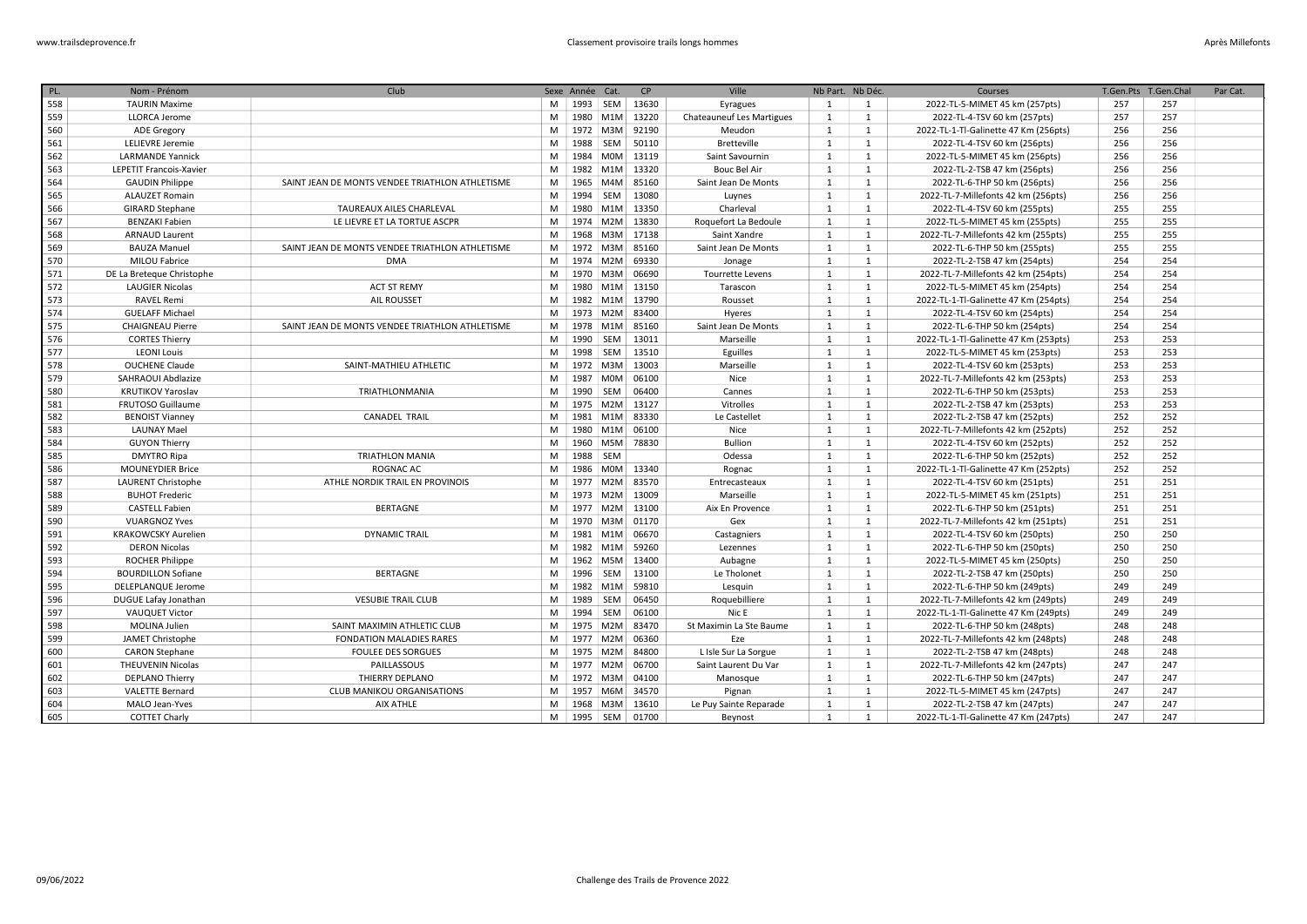| PL. | Nom - Prénom                   | Club                                            |   | Sexe Année Cat. |            | CP                 | Ville                            | Nb Part. Nb Déc. |              | Courses                               | T.Gen.Pts | T.Gen.Chal | Par Cat. |
|-----|--------------------------------|-------------------------------------------------|---|-----------------|------------|--------------------|----------------------------------|------------------|--------------|---------------------------------------|-----------|------------|----------|
| 558 | <b>TAURIN Maxime</b>           |                                                 | M |                 |            | 1993   SEM   13630 | Eyragues                         | 1                | 1            | 2022-TL-5-MIMET 45 km (257pts)        | 257       | 257        |          |
| 559 | <b>LLORCA Jerome</b>           |                                                 | M |                 |            | 1980 M1M 13220     | <b>Chateauneuf Les Martigues</b> | $\mathbf{1}$     | 1            | 2022-TL-4-TSV 60 km (257pts)          | 257       | 257        |          |
| 560 | ADE Gregory                    |                                                 | M |                 |            | 1972   M3M   92190 | Meudon                           | $\mathbf{1}$     | $\mathbf{1}$ | 2022-TL-1-Tl-Galinette 47 Km (256pts) | 256       | 256        |          |
| 561 | LELIEVRE Jeremie               |                                                 | M | 1988            | SEM        | 50110              | <b>Bretteville</b>               | 1                | $\mathbf{1}$ | 2022-TL-4-TSV 60 km (256pts)          | 256       | 256        |          |
| 562 | <b>LARMANDE Yannick</b>        |                                                 | M | 1984            | <b>MOM</b> | 13119              | Saint Savournin                  | 1                | $\mathbf{1}$ | 2022-TL-5-MIMET 45 km (256pts)        | 256       | 256        |          |
| 563 | <b>LEPETIT Francois-Xavier</b> |                                                 | M |                 | 1982 M1M   | 13320              | Bouc Bel Air                     | 1                | 1            | 2022-TL-2-TSB 47 km (256pts)          | 256       | 256        |          |
| 564 | <b>GAUDIN Philippe</b>         | SAINT JEAN DE MONTS VENDEE TRIATHLON ATHLETISME | M | 1965            | M4M        | 85160              | Saint Jean De Monts              | $\mathbf{1}$     | $\mathbf{1}$ | 2022-TL-6-THP 50 km (256pts)          | 256       | 256        |          |
| 565 | <b>ALAUZET Romain</b>          |                                                 | M | 1994            | SEM        | 13080              | Luynes                           | <sup>1</sup>     | $\mathbf{1}$ | 2022-TL-7-Millefonts 42 km (256pts)   | 256       | 256        |          |
| 566 | <b>GIRARD Stephane</b>         | <b>TAUREAUX AILES CHARLEVAL</b>                 | M |                 | 1980 M1M   | 13350              | Charleval                        | <sup>1</sup>     | $\mathbf{1}$ | 2022-TL-4-TSV 60 km (255pts)          | 255       | 255        |          |
| 567 | <b>BENZAKI Fabien</b>          | LE LIEVRE ET LA TORTUE ASCPR                    | M | 1974 M2M        |            | 13830              | Roquefort La Bedoule             | 1                | $\mathbf{1}$ | 2022-TL-5-MIMET 45 km (255pts)        | 255       | 255        |          |
| 568 | <b>ARNAUD Laurent</b>          |                                                 | M | 1968            | M3M        | 17138              | Saint Xandre                     | 1                | 1            | 2022-TL-7-Millefonts 42 km (255pts)   | 255       | 255        |          |
| 569 | <b>BAUZA Manuel</b>            | SAINT JEAN DE MONTS VENDEE TRIATHLON ATHLETISME | M |                 | 1972 M3M   | 85160              | Saint Jean De Monts              | <sup>1</sup>     | $\mathbf{1}$ | 2022-TL-6-THP 50 km (255pts)          | 255       | 255        |          |
| 570 | MILOU Fabrice                  | <b>DMA</b>                                      | M |                 | 1974 M2M   | 69330              | Jonage                           | $\mathbf{1}$     | $\mathbf{1}$ | 2022-TL-2-TSB 47 km (254pts)          | 254       | 254        |          |
| 571 | DE La Breteque Christophe      |                                                 | M |                 | 1970 M3M   | 06690              | Tourrette Levens                 | 1                | $\mathbf{1}$ | 2022-TL-7-Millefonts 42 km (254pts)   | 254       | 254        |          |
| 572 | <b>LAUGIER Nicolas</b>         | <b>ACT ST REMY</b>                              | M |                 | 1980 M1M   | 13150              | Tarascon                         | <sup>1</sup>     | $\mathbf{1}$ | 2022-TL-5-MIMET 45 km (254pts)        | 254       | 254        |          |
| 573 | <b>RAVEL Remi</b>              | AIL ROUSSET                                     | M |                 |            | 1982 M1M 13790     | Rousset                          | 1                | $\mathbf{1}$ | 2022-TL-1-Tl-Galinette 47 Km (254pts) | 254       | 254        |          |
| 574 | <b>GUELAFF Michael</b>         |                                                 | M |                 |            | 1973   M2M   83400 | Hyeres                           | 1                | $\mathbf{1}$ | 2022-TL-4-TSV 60 km (254pts)          | 254       | 254        |          |
| 575 | <b>CHAIGNEAU Pierre</b>        | SAINT JEAN DE MONTS VENDEE TRIATHLON ATHLETISME | M |                 |            | 1978   M1M   85160 | Saint Jean De Monts              | 1                | $\mathbf{1}$ | 2022-TL-6-THP 50 km (254pts)          | 254       | 254        |          |
| 576 | <b>CORTES Thierry</b>          |                                                 | M | 1990            | SEM        | 13011              | Marseille                        | 1                | 1            | 2022-TL-1-Tl-Galinette 47 Km (253pts) | 253       | 253        |          |
| 577 | <b>LEONI Louis</b>             |                                                 | M | 1998 SEM        |            | 13510              | Eguilles                         | 1                | 1            | 2022-TL-5-MIMET 45 km (253pts)        | 253       | 253        |          |
| 578 | <b>OUCHENE Claude</b>          | SAINT-MATHIEU ATHLETIC                          | M |                 | 1972 M3M   | 13003              | Marseille                        | 1                | 1            | 2022-TL-4-TSV 60 km (253pts)          | 253       | 253        |          |
| 579 | SAHRAOUI Abdlazize             |                                                 | M |                 | 1987 M0M   | 06100              | Nice                             | $\mathbf{1}$     | $\mathbf{1}$ | 2022-TL-7-Millefonts 42 km (253pts)   | 253       | 253        |          |
| 580 | <b>KRUTIKOV Yaroslav</b>       | TRIATHLONMANIA                                  | M | 1990 SEM        |            | 06400              | Cannes                           | 1                | 1            | 2022-TL-6-THP 50 km (253pts)          | 253       | 253        |          |
| 581 | FRUTOSO Guillaume              |                                                 | M |                 |            | 1975   M2M   13127 | Vitrolles                        | $\mathbf{1}$     | $\mathbf{1}$ | 2022-TL-2-TSB 47 km (253pts)          | 253       | 253        |          |
| 582 | <b>BENOIST Vianney</b>         | <b>CANADEL TRAIL</b>                            | M |                 | 1981 M1M   | 83330              | Le Castellet                     | $\mathbf{1}$     | 1            | 2022-TL-2-TSB 47 km (252pts)          | 252       | 252        |          |
| 583 | <b>LAUNAY Mael</b>             |                                                 | M |                 | 1980 M1M   | 06100              | Nice                             | $\mathbf{1}$     | $\mathbf{1}$ | 2022-TL-7-Millefonts 42 km (252pts)   | 252       | 252        |          |
| 584 | <b>GUYON Thierry</b>           |                                                 | M |                 | 1960 M5M   | 78830              | <b>Bullion</b>                   | $\mathbf{1}$     | $\mathbf{1}$ | 2022-TL-4-TSV 60 km (252pts)          | 252       | 252        |          |
| 585 | <b>DMYTRO Ripa</b>             | <b>TRIATHLON MANIA</b>                          | M | 1988 SEM        |            |                    | Odessa                           | 1                | $\mathbf{1}$ | 2022-TL-6-THP 50 km (252pts)          | 252       | 252        |          |
| 586 | <b>MOUNEYDIER Brice</b>        | ROGNAC AC                                       | M | 1986            | <b>MOM</b> | 13340              | Rognac                           | $\mathbf{1}$     | 1            | 2022-TL-1-Tl-Galinette 47 Km (252pts) | 252       | 252        |          |
| 587 | LAURENT Christophe             | ATHLE NORDIK TRAIL EN PROVINOIS                 | M | 1977            | M2M        | 83570              | Entrecasteaux                    | $\mathbf{1}$     | $\mathbf{1}$ | 2022-TL-4-TSV 60 km (251pts)          | 251       | 251        |          |
| 588 | <b>BUHOT Frederic</b>          |                                                 | M | 1973 M2M        |            | 13009              | Marseille                        | $\mathbf{1}$     | $\mathbf{1}$ | 2022-TL-5-MIMET 45 km (251pts)        | 251       | 251        |          |
| 589 | <b>CASTELL Fabien</b>          | <b>BERTAGNE</b>                                 | M |                 | 1977 M2M   | 13100              | Aix En Provence                  | 1                | $\mathbf{1}$ | 2022-TL-6-THP 50 km (251pts)          | 251       | 251        |          |
| 590 | <b>VUARGNOZ Yves</b>           |                                                 | M |                 | 1970 M3M   | 01170              | Gex                              | $\mathbf{1}$     | $\mathbf{1}$ | 2022-TL-7-Millefonts 42 km (251pts)   | 251       | 251        |          |
| 591 | <b>KRAKOWCSKY Aurelien</b>     | <b>DYNAMIC TRAIL</b>                            | M |                 | 1981 M1M   | 06670              | Castagniers                      | 1                | $\mathbf{1}$ | 2022-TL-4-TSV 60 km (250pts)          | 250       | 250        |          |
| 592 | <b>DERON Nicolas</b>           |                                                 | M |                 | 1982 M1M   | 59260              | Lezennes                         | 1                | 1            | 2022-TL-6-THP 50 km (250pts)          | 250       | 250        |          |
| 593 | <b>ROCHER Philippe</b>         |                                                 | M | 1962            |            | M5M 13400          | Aubagne                          | 1                | $\mathbf{1}$ | 2022-TL-5-MIMET 45 km (250pts)        | 250       | 250        |          |
| 594 | <b>BOURDILLON Sofiane</b>      | <b>BERTAGNE</b>                                 | M | 1996 SEM        |            | 13100              | Le Tholonet                      | 1                | $\mathbf{1}$ | 2022-TL-2-TSB 47 km (250pts)          | 250       | 250        |          |
| 595 | <b>DELEPLANQUE Jerome</b>      |                                                 | M |                 |            | 1982 M1M 59810     | Lesquin                          | 1                | 1            | 2022-TL-6-THP 50 km (249pts)          | 249       | 249        |          |
| 596 | DUGUE Lafay Jonathan           | <b>VESUBIE TRAIL CLUB</b>                       | M | 1989            | SEM        | 06450              | Roquebilliere                    | 1                | $\mathbf{1}$ | 2022-TL-7-Millefonts 42 km (249pts)   | 249       | 249        |          |
| 597 | <b>VAUQUET Victor</b>          |                                                 | M | 1994            | SEM        | 06100              | Nic E                            | 1                | $\mathbf{1}$ | 2022-TL-1-Tl-Galinette 47 Km (249pts) | 249       | 249        |          |
| 598 | <b>MOLINA Julien</b>           | SAINT MAXIMIN ATHLETIC CLUB                     | M |                 | 1975 M2M   | 83470              | St Maximin La Ste Baume          | 1                | $\mathbf{1}$ | 2022-TL-6-THP 50 km (248pts)          | 248       | 248        |          |
| 599 | JAMET Christophe               | <b>FONDATION MALADIES RARES</b>                 | M | 1977            | M2M        | 06360              | Eze                              | <sup>1</sup>     | 1            | 2022-TL-7-Millefonts 42 km (248pts)   | 248       | 248        |          |
| 600 | <b>CARON Stephane</b>          | <b>FOULEE DES SORGUES</b>                       | M | 1975 M2M        |            | 84800              | L Isle Sur La Sorgue             | $\mathbf{1}$     | $\mathbf{1}$ | 2022-TL-2-TSB 47 km (248pts)          | 248       | 248        |          |
| 601 | <b>THEUVENIN Nicolas</b>       | PAILLASSOUS                                     | M | 1977            | M2M        | 06700              | Saint Laurent Du Var             | 1                | $\mathbf{1}$ | 2022-TL-7-Millefonts 42 km (247pts)   | 247       | 247        |          |
| 602 | DEPLANO Thierry                | THIERRY DEPLANO                                 | M | 1972   M3M      |            | 04100              | Manosque                         | 1                | $\mathbf{1}$ | 2022-TL-6-THP 50 km (247pts)          | 247       | 247        |          |
| 603 | <b>VALETTE Bernard</b>         | CLUB MANIKOU ORGANISATIONS                      | M | 1957            | M6M        | 34570              | Pignan                           | $\mathbf{1}$     | $\mathbf{1}$ | 2022-TL-5-MIMET 45 km (247pts)        | 247       | 247        |          |
| 604 | MALO Jean-Yves                 | AIX ATHLE                                       | M |                 |            | 1968   M3M   13610 | Le Puy Sainte Reparade           | 1                | $\mathbf{1}$ | 2022-TL-2-TSB 47 km (247pts)          | 247       | 247        |          |
| 605 | <b>COTTET Charly</b>           |                                                 | M | 1995 SEM        |            | 01700              | Beynost                          | 1                | $\mathbf{1}$ | 2022-TL-1-Tl-Galinette 47 Km (247pts) | 247       | 247        |          |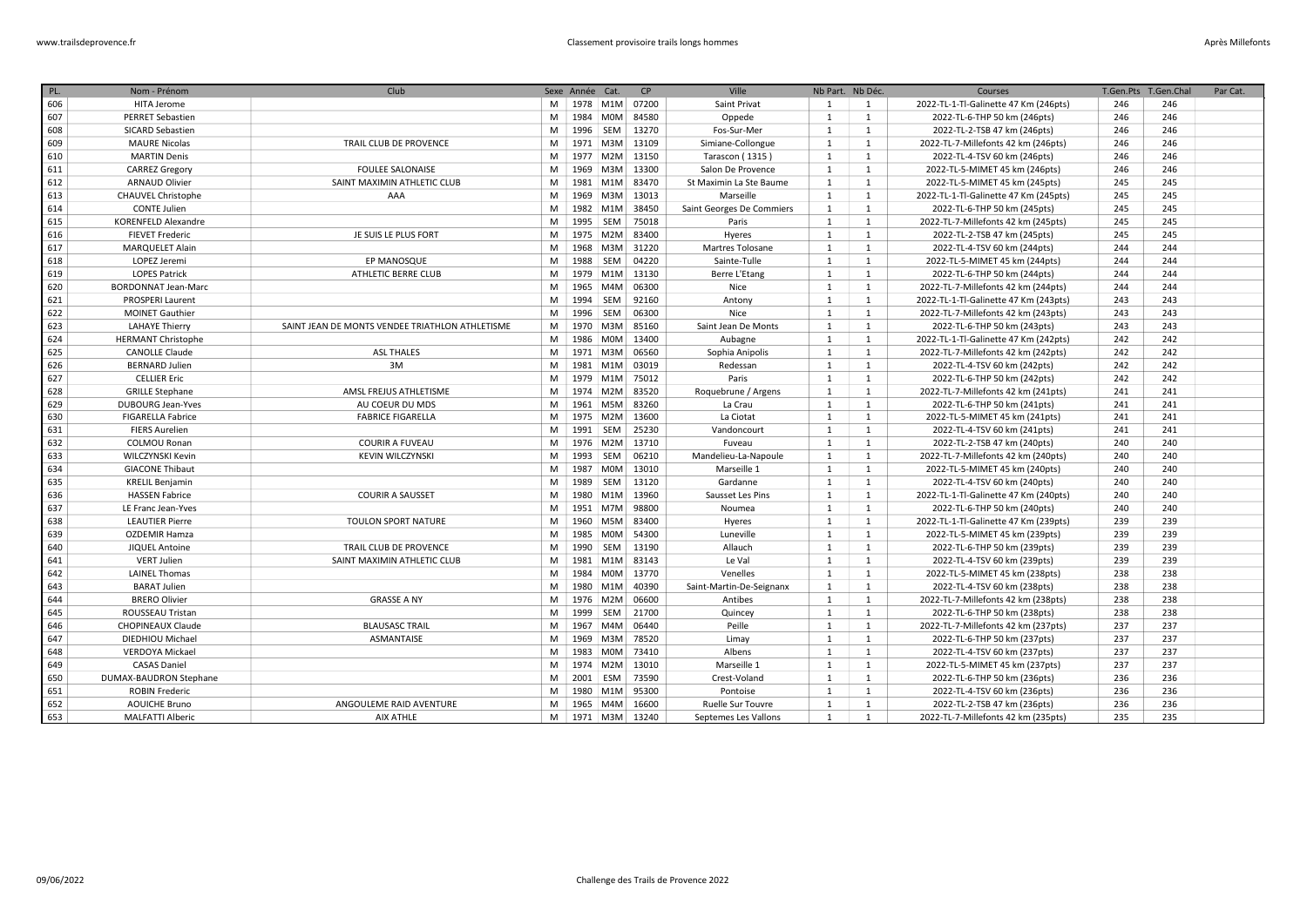| PL. | Nom - Prénom               | Club                                            |   | Sexe Année Cat.        |                  | CP                 | Ville                     | Nb Part. Nb Déc. |              | Courses                               | T.Gen.Pts | T.Gen.Chal | Par Cat. |
|-----|----------------------------|-------------------------------------------------|---|------------------------|------------------|--------------------|---------------------------|------------------|--------------|---------------------------------------|-----------|------------|----------|
| 606 | HITA Jerome                |                                                 | M |                        |                  | 1978   M1M   07200 | Saint Privat              | 1                | <sup>1</sup> | 2022-TL-1-Tl-Galinette 47 Km (246pts) | 246       | 246        |          |
| 607 | <b>PERRET Sebastien</b>    |                                                 | M |                        | 1984 M0M         | 84580              | Oppede                    | $\mathbf{1}$     | 1            | 2022-TL-6-THP 50 km (246pts)          | 246       | 246        |          |
| 608 | SICARD Sebastien           |                                                 | M |                        | 1996 SEM         | 13270              | Fos-Sur-Mer               | 1                | $\mathbf{1}$ | 2022-TL-2-TSB 47 km (246pts)          | 246       | 246        |          |
| 609 | <b>MAURE Nicolas</b>       | TRAIL CLUB DE PROVENCE                          | M |                        |                  | 1971   M3M   13109 | Simiane-Collongue         | 1                | 1            | 2022-TL-7-Millefonts 42 km (246pts)   | 246       | 246        |          |
| 610 | <b>MARTIN Denis</b>        |                                                 | M |                        | 1977 M2M         | 13150              | Tarascon (1315)           | 1                | $\mathbf{1}$ | 2022-TL-4-TSV 60 km (246pts)          | 246       | 246        |          |
| 611 | <b>CARREZ Gregory</b>      | <b>FOULEE SALONAISE</b>                         | M | 1969                   | M3M              | 13300              | Salon De Provence         | 1                | $\mathbf{1}$ | 2022-TL-5-MIMET 45 km (246pts)        | 246       | 246        |          |
| 612 | <b>ARNAUD Olivier</b>      | SAINT MAXIMIN ATHLETIC CLUB                     | M | 1981                   | M1M              | 83470              | St Maximin La Ste Baume   | $\mathbf{1}$     | $\mathbf{1}$ | 2022-TL-5-MIMET 45 km (245pts)        | 245       | 245        |          |
| 613 | <b>CHAUVEL Christophe</b>  | AAA                                             | M | 1969                   | M3M              | 13013              | Marseille                 | 1                | $\mathbf{1}$ | 2022-TL-1-Tl-Galinette 47 Km (245pts) | 245       | 245        |          |
| 614 | <b>CONTE Julien</b>        |                                                 | M | 1982                   | M <sub>1</sub> M | 38450              | Saint Georges De Commiers | $\mathbf{1}$     | $\mathbf{1}$ | 2022-TL-6-THP 50 km (245pts)          | 245       | 245        |          |
| 615 | <b>KORENFELD Alexandre</b> |                                                 | M | 1995                   | SEM              | 75018              | Paris                     | 1                | 1            | 2022-TL-7-Millefonts 42 km (245pts)   | 245       | 245        |          |
| 616 | <b>FIEVET Frederic</b>     | JE SUIS LE PLUS FORT                            | M | 1975                   | M2M              | 83400              | Hyeres                    | 1                | $\mathbf{1}$ | 2022-TL-2-TSB 47 km (245pts)          | 245       | 245        |          |
| 617 | <b>MARQUELET Alain</b>     |                                                 | M |                        | 1968 M3M         | 31220              | Martres Tolosane          | $\mathbf{1}$     | $\mathbf{1}$ | 2022-TL-4-TSV 60 km (244pts)          | 244       | 244        |          |
| 618 | LOPEZ Jeremi               | EP MANOSQUE                                     | M | 1988                   | SEM              | 04220              | Sainte-Tulle              | 1                | $\mathbf{1}$ | 2022-TL-5-MIMET 45 km (244pts)        | 244       | 244        |          |
| 619 | <b>LOPES Patrick</b>       | ATHLETIC BERRE CLUB                             | M |                        |                  | 1979 M1M 13130     | Berre L'Etang             | 1                | $\mathbf{1}$ | 2022-TL-6-THP 50 km (244pts)          | 244       | 244        |          |
| 620 | <b>BORDONNAT Jean-Marc</b> |                                                 | M | 1965                   | M4M              | 06300              | Nice                      | <sup>1</sup>     | $\mathbf{1}$ | 2022-TL-7-Millefonts 42 km (244pts)   | 244       | 244        |          |
| 621 | <b>PROSPERI Laurent</b>    |                                                 | M | 1994                   | SEM              | 92160              | Antony                    | 1                | $\mathbf{1}$ | 2022-TL-1-Tl-Galinette 47 Km (243pts) | 243       | 243        |          |
| 622 | <b>MOINET Gauthier</b>     |                                                 | M | 1996 SEM               |                  | 06300              | Nice                      | 1                | $\mathbf{1}$ | 2022-TL-7-Millefonts 42 km (243pts)   | 243       | 243        |          |
| 623 | <b>LAHAYE Thierry</b>      | SAINT JEAN DE MONTS VENDEE TRIATHLON ATHLETISME | M |                        | 1970 M3M         | 85160              | Saint Jean De Monts       | $\mathbf{1}$     | $\mathbf{1}$ | 2022-TL-6-THP 50 km (243pts)          | 243       | 243        |          |
| 624 | <b>HERMANT Christophe</b>  |                                                 | M | 1986                   | M0M              | 13400              | Aubagne                   | 1                | 1            | 2022-TL-1-Tl-Galinette 47 Km (242pts) | 242       | 242        |          |
| 625 | <b>CANOLLE Claude</b>      | <b>ASL THALES</b>                               | M |                        | 1971 M3M         | 06560              | Sophia Anipolis           | 1                | $\mathbf{1}$ | 2022-TL-7-Millefonts 42 km (242pts)   | 242       | 242        |          |
| 626 | <b>BERNARD Julien</b>      | 3M                                              | M |                        | 1981 M1M         | 03019              | Redessan                  | 1                | 1            | 2022-TL-4-TSV 60 km (242pts)          | 242       | 242        |          |
| 627 | <b>CELLIER Eric</b>        |                                                 | M |                        | 1979 M1M         | 75012              | Paris                     | 1                | $\mathbf{1}$ | 2022-TL-6-THP 50 km (242pts)          | 242       | 242        |          |
| 628 | <b>GRILLE Stephane</b>     | AMSL FREJUS ATHLETISME                          | M |                        | 1974 M2M         | 83520              | Roquebrune / Argens       | $\mathbf{1}$     | 1            | 2022-TL-7-Millefonts 42 km (241pts)   | 241       | 241        |          |
| 629 | <b>DUBOURG Jean-Yves</b>   | AU COEUR DU MDS                                 | M |                        | 1961 M5M         | 83260              | La Crau                   | 1                | $\mathbf{1}$ | 2022-TL-6-THP 50 km (241pts)          | 241       | 241        |          |
| 630 | <b>FIGARELLA Fabrice</b>   | <b>FABRICE FIGARELLA</b>                        | M |                        | 1975 M2M         | 13600              | La Ciotat                 | $\mathbf{1}$     | 1            | 2022-TL-5-MIMET 45 km (241pts)        | 241       | 241        |          |
| 631 | <b>FIERS Aurelien</b>      |                                                 | M | 1991                   | SEM              | 25230              | Vandoncourt               | 1                | $\mathbf{1}$ | 2022-TL-4-TSV 60 km (241pts)          | 241       | 241        |          |
| 632 | <b>COLMOU Ronan</b>        | <b>COURIR A FUVEAU</b>                          | M |                        | 1976 M2M         | 13710              | Fuveau                    | 1                | $\mathbf{1}$ | 2022-TL-2-TSB 47 km (240pts)          | 240       | 240        |          |
| 633 | WILCZYNSKI Kevin           | <b>KEVIN WILCZYNSKI</b>                         | M | 1993                   | SEM              | 06210              | Mandelieu-La-Napoule      | 1                | $\mathbf{1}$ | 2022-TL-7-Millefonts 42 km (240pts)   | 240       | 240        |          |
| 634 | <b>GIACONE Thibaut</b>     |                                                 | M |                        | 1987 M0M         | 13010              | Marseille 1               | 1                | $\mathbf{1}$ | 2022-TL-5-MIMET 45 km (240pts)        | 240       | 240        |          |
| 635 | <b>KRELIL Benjamin</b>     |                                                 | M | 1989                   | SEM              | 13120              | Gardanne                  | 1                | $\mathbf{1}$ | 2022-TL-4-TSV 60 km (240pts)          | 240       | 240        |          |
| 636 | <b>HASSEN Fabrice</b>      | <b>COURIR A SAUSSET</b>                         | M |                        | 1980 M1M         | 13960              | Sausset Les Pins          | 1                | $\mathbf{1}$ | 2022-TL-1-Tl-Galinette 47 Km (240pts) | 240       | 240        |          |
| 637 | LE Franc Jean-Yves         |                                                 | M | 1951                   | M7M              | 98800              | Noumea                    | 1                | 1            | 2022-TL-6-THP 50 km (240pts)          | 240       | 240        |          |
| 638 | <b>LEAUTIER Pierre</b>     | TOULON SPORT NATURE                             | M |                        | 1960 M5M         | 83400              | Hyeres                    | 1                | 1            | 2022-TL-1-Tl-Galinette 47 Km (239pts) | 239       | 239        |          |
| 639 | <b>OZDEMIR Hamza</b>       |                                                 | M | 1985                   | <b>MOM</b>       | 54300              | Luneville                 | $\mathbf{1}$     | $\mathbf{1}$ | 2022-TL-5-MIMET 45 km (239pts)        | 239       | 239        |          |
| 640 | <b>JIQUEL Antoine</b>      | TRAIL CLUB DE PROVENCE                          | M | 1990                   | SEM              | 13190              | Allauch                   | 1                | $\mathbf{1}$ | 2022-TL-6-THP 50 km (239pts)          | 239       | 239        |          |
| 641 | <b>VERT Julien</b>         | SAINT MAXIMIN ATHLETIC CLUB                     | M | 1981                   | M1M              | 83143              | Le Val                    | 1                | $\mathbf{1}$ | 2022-TL-4-TSV 60 km (239pts)          | 239       | 239        |          |
| 642 | <b>LAINEL Thomas</b>       |                                                 | M | 1984                   | <b>MOM</b>       | 13770              | Venelles                  | $\mathbf{1}$     | $\mathbf{1}$ | 2022-TL-5-MIMET 45 km (238pts)        | 238       | 238        |          |
| 643 | <b>BARAT Julien</b>        |                                                 | M |                        | 1980 M1M         | 40390              | Saint-Martin-De-Seignanx  | $\mathbf{1}$     | $\mathbf{1}$ | 2022-TL-4-TSV 60 km (238pts)          | 238       | 238        |          |
| 644 | <b>BRERO Olivier</b>       | <b>GRASSE A NY</b>                              | M |                        | 1976 M2M         | 06600              | Antibes                   | 1                | $\mathbf{1}$ | 2022-TL-7-Millefonts 42 km (238pts)   | 238       | 238        |          |
| 645 | ROUSSEAU Tristan           |                                                 | M | 1999                   | SEM              | 21700              | Quincey                   | $\mathbf{1}$     | $\mathbf{1}$ | 2022-TL-6-THP 50 km (238pts)          | 238       | 238        |          |
| 646 | <b>CHOPINEAUX Claude</b>   | <b>BLAUSASC TRAIL</b>                           | M |                        | 1967 M4M         | 06440              | Peille                    | 1                | $\mathbf{1}$ | 2022-TL-7-Millefonts 42 km (237pts)   | 237       | 237        |          |
| 647 | DIEDHIOU Michael           | ASMANTAISE                                      | M |                        | 1969 M3M         | 78520              | Limay                     | 1                | 1            | 2022-TL-6-THP 50 km (237pts)          | 237       | 237        |          |
| 648 | <b>VERDOYA Mickael</b>     |                                                 | M | 1983                   |                  | M0M 73410          | Albens                    | 1                | 1            | 2022-TL-4-TSV 60 km (237pts)          | 237       | 237        |          |
| 649 | <b>CASAS Daniel</b>        |                                                 | M |                        | 1974 M2M         | 13010              | Marseille 1               | 1                | 1            | 2022-TL-5-MIMET 45 km (237pts)        | 237       | 237        |          |
| 650 | DUMAX-BAUDRON Stephane     |                                                 | M | 2001 ESM               |                  | 73590              | Crest-Voland              | 1                | 1            | 2022-TL-6-THP 50 km (236pts)          | 236       | 236        |          |
| 651 | <b>ROBIN Frederic</b>      |                                                 | M |                        |                  | 1980 M1M 95300     | Pontoise                  | 1                | 1            | 2022-TL-4-TSV 60 km (236pts)          | 236       | 236        |          |
| 652 | <b>AOUICHE Bruno</b>       | ANGOULEME RAID AVENTURE                         | M |                        | 1965 M4M         | 16600              | Ruelle Sur Touvre         | $\mathbf{1}$     | $\mathbf{1}$ | 2022-TL-2-TSB 47 km (236pts)          | 236       | 236        |          |
| 653 | <b>MALFATTI Alberic</b>    | AIX ATHLE                                       |   | M   1971   M3M   13240 |                  |                    | Septemes Les Vallons      | 1                | 1            | 2022-TL-7-Millefonts 42 km (235pts)   | 235       | 235        |          |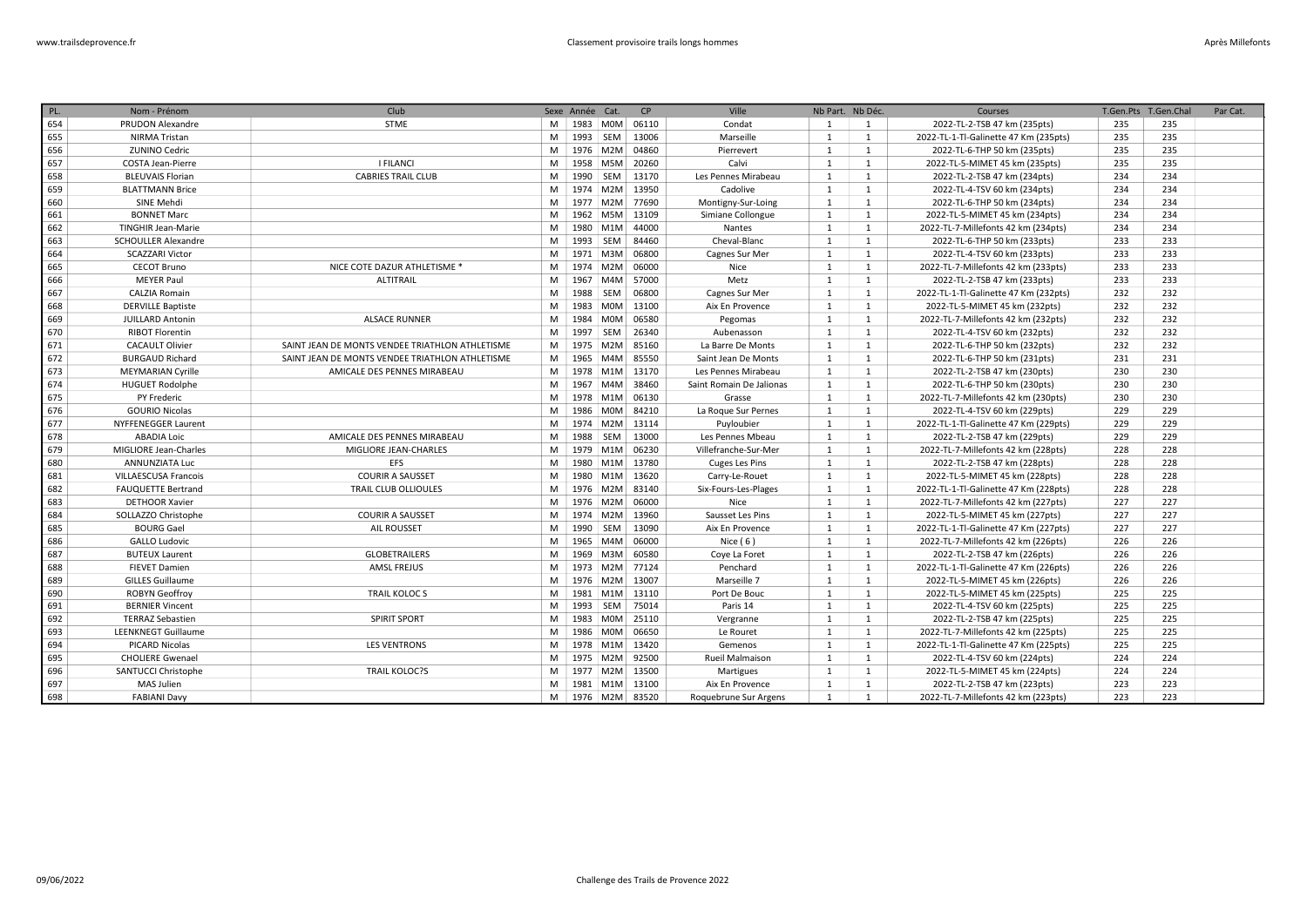| PL. | Nom - Prénom                | Club                                            |   | Sexe Année Cat. |                        | CP    | Ville                    | Nb Part. Nb Déc. |                | Courses                               | T.Gen.Pts | T.Gen.Chal | Par Cat. |
|-----|-----------------------------|-------------------------------------------------|---|-----------------|------------------------|-------|--------------------------|------------------|----------------|---------------------------------------|-----------|------------|----------|
| 654 | <b>PRUDON Alexandre</b>     | <b>STME</b>                                     |   |                 | M   1983   MOM   06110 |       | Condat                   | 1                | 1              | 2022-TL-2-TSB 47 km (235pts)          | 235       | 235        |          |
| 655 | <b>NIRMA Tristan</b>        |                                                 | M |                 | 1993 SEM               | 13006 | Marseille                | $\mathbf{1}$     | $\mathbf{1}$   | 2022-TL-1-Tl-Galinette 47 Km (235pts) | 235       | 235        |          |
| 656 | <b>ZUNINO Cedric</b>        |                                                 | M |                 | 1976 M2M               | 04860 | Pierrevert               | 1                | 1              | 2022-TL-6-THP 50 km (235pts)          | 235       | 235        |          |
| 657 | <b>COSTA Jean-Pierre</b>    | <b>I FILANCI</b>                                | M | 1958            | M5M                    | 20260 | Calvi                    | 1                | $\mathbf{1}$   | 2022-TL-5-MIMET 45 km (235pts)        | 235       | 235        |          |
| 658 | <b>BLEUVAIS Florian</b>     | <b>CABRIES TRAIL CLUB</b>                       | M | 1990            | <b>SEM</b>             | 13170 | Les Pennes Mirabeau      | 1                | $\mathbf{1}$   | 2022-TL-2-TSB 47 km (234pts)          | 234       | 234        |          |
| 659 | <b>BLATTMANN Brice</b>      |                                                 | M | 1974            | M2M                    | 13950 | Cadolive                 | 1                | $\mathbf{1}$   | 2022-TL-4-TSV 60 km (234pts)          | 234       | 234        |          |
| 660 | SINE Mehdi                  |                                                 | M |                 | 1977 M2M 77690         |       | Montigny-Sur-Loing       | 1                | $\mathbf{1}$   | 2022-TL-6-THP 50 km (234pts)          | 234       | 234        |          |
| 661 | <b>BONNET Marc</b>          |                                                 | M |                 | 1962 M5M               | 13109 | Simiane Collongue        | $\mathbf{1}$     | $\mathbf{1}$   | 2022-TL-5-MIMET 45 km (234pts)        | 234       | 234        |          |
| 662 | TINGHIR Jean-Marie          |                                                 | M | 1980            | M <sub>1</sub> M       | 44000 | <b>Nantes</b>            | 1                | $\mathbf{1}$   | 2022-TL-7-Millefonts 42 km (234pts)   | 234       | 234        |          |
| 663 | <b>SCHOULLER Alexandre</b>  |                                                 | M |                 | 1993 SEM               | 84460 | Cheval-Blanc             | 1                | $\mathbf{1}$   | 2022-TL-6-THP 50 km (233pts)          | 233       | 233        |          |
| 664 | <b>SCAZZARI Victor</b>      |                                                 | M |                 | 1971 M3M               | 06800 | Cagnes Sur Mer           | 1                | $\mathbf{1}$   | 2022-TL-4-TSV 60 km (233pts)          | 233       | 233        |          |
| 665 | <b>CECOT Bruno</b>          | NICE COTE DAZUR ATHLETISME *                    | M |                 | 1974 M2M               | 06000 | Nice                     | 1                | 1              | 2022-TL-7-Millefonts 42 km (233pts)   | 233       | 233        |          |
| 666 | <b>MEYER Paul</b>           | <b>ALTITRAIL</b>                                | M |                 | 1967 M4M 57000         |       | Metz                     | 1                | $\mathbf{1}$   | 2022-TL-2-TSB 47 km (233pts)          | 233       | 233        |          |
| 667 | <b>CALZIA Romain</b>        |                                                 | M | 1988            | SEM                    | 06800 | Cagnes Sur Mer           | 1                | $\mathbf{1}$   | 2022-TL-1-Tl-Galinette 47 Km (232pts) | 232       | 232        |          |
| 668 | <b>DERVILLE Baptiste</b>    |                                                 | M |                 | 1983 M0M 13100         |       | Aix En Provence          | 1                | $\mathbf{1}$   | 2022-TL-5-MIMET 45 km (232pts)        | 232       | 232        |          |
| 669 | <b>JUILLARD Antonin</b>     | <b>ALSACE RUNNER</b>                            | M | 1984            | <b>MOM</b>             | 06580 | Pegomas                  | 1                | 1              | 2022-TL-7-Millefonts 42 km (232pts)   | 232       | 232        |          |
| 670 | <b>RIBOT Florentin</b>      |                                                 | M | 1997            | SEM                    | 26340 | Aubenasson               | 1                | $\mathbf{1}$   | 2022-TL-4-TSV 60 km (232pts)          | 232       | 232        |          |
| 671 | <b>CACAULT Olivier</b>      | SAINT JEAN DE MONTS VENDEE TRIATHLON ATHLETISME | M | 1975            | M2M 85160              |       | La Barre De Monts        | 1                | $\mathbf{1}$   | 2022-TL-6-THP 50 km (232pts)          | 232       | 232        |          |
| 672 | <b>BURGAUD Richard</b>      | SAINT JEAN DE MONTS VENDEE TRIATHLON ATHLETISME | M | 1965            | M4M                    | 85550 | Saint Jean De Monts      | 1                | $\mathbf{1}$   | 2022-TL-6-THP 50 km (231pts)          | 231       | 231        |          |
| 673 | MEYMARIAN Cyrille           | AMICALE DES PENNES MIRABEAU                     | M |                 | 1978 M1M 13170         |       | Les Pennes Mirabeau      | $\mathbf{1}$     | $\mathbf{1}$   | 2022-TL-2-TSB 47 km (230pts)          | 230       | 230        |          |
| 674 | <b>HUGUET Rodolphe</b>      |                                                 | M | 1967            | M4M                    | 38460 | Saint Romain De Jalionas | 1                | $\mathbf{1}$   | 2022-TL-6-THP 50 km (230pts)          | 230       | 230        |          |
| 675 | PY Frederic                 |                                                 | M | 1978            | M1M                    | 06130 | Grasse                   | 1                | $\mathbf{1}$   | 2022-TL-7-Millefonts 42 km (230pts)   | 230       | 230        |          |
| 676 | <b>GOURIO Nicolas</b>       |                                                 | M |                 | 1986 M0M 84210         |       | La Roque Sur Pernes      | 1                | $\mathbf{1}$   | 2022-TL-4-TSV 60 km (229pts)          | 229       | 229        |          |
| 677 | <b>NYFFENEGGER Laurent</b>  |                                                 | M |                 | 1974   M2M   13114     |       | Puyloubier               | 1                | 1              | 2022-TL-1-Tl-Galinette 47 Km (229pts) | 229       | 229        |          |
| 678 | <b>ABADIA Loic</b>          | AMICALE DES PENNES MIRABEAU                     | M | 1988            | SEM                    | 13000 | Les Pennes Mbeau         | 1                | $\mathbf{1}$   | 2022-TL-2-TSB 47 km (229pts)          | 229       | 229        |          |
| 679 | MIGLIORE Jean-Charles       | MIGLIORE JEAN-CHARLES                           | M |                 | 1979   M1M   06230     |       | Villefranche-Sur-Mer     | 1                | 1              | 2022-TL-7-Millefonts 42 km (228pts)   | 228       | 228        |          |
| 680 | <b>ANNUNZIATA Luc</b>       | <b>EFS</b>                                      | M | 1980            | M1M                    | 13780 | Cuges Les Pins           | 1                | $\mathbf{1}$   | 2022-TL-2-TSB 47 km (228pts)          | 228       | 228        |          |
| 681 | <b>VILLAESCUSA Francois</b> | <b>COURIR A SAUSSET</b>                         | M | 1980            | M1M 13620              |       | Carry-Le-Rouet           | 1                | $\mathbf{1}$   | 2022-TL-5-MIMET 45 km (228pts)        | 228       | 228        |          |
| 682 | <b>FAUQUETTE Bertrand</b>   | <b>TRAIL CLUB OLLIOULES</b>                     | M |                 | 1976 M2M               | 83140 | Six-Fours-Les-Plages     | 1                | $\mathbf{1}$   | 2022-TL-1-Tl-Galinette 47 Km (228pts) | 228       | 228        |          |
| 683 | <b>DETHOOR Xavier</b>       |                                                 | M |                 | 1976 M2M 06000         |       | Nice                     | 1                | $\mathbf{1}$   | 2022-TL-7-Millefonts 42 km (227pts)   | 227       | 227        |          |
| 684 | SOLLAZZO Christophe         | <b>COURIR A SAUSSET</b>                         | M |                 | 1974   M2M   13960     |       | Sausset Les Pins         | $\mathbf{1}$     | $\mathbf{1}$   | 2022-TL-5-MIMET 45 km (227pts)        | 227       | 227        |          |
| 685 | <b>BOURG Gael</b>           | AIL ROUSSET                                     | M | 1990            | <b>SEM</b>             | 13090 | Aix En Provence          | 1                | $\mathbf{1}$   | 2022-TL-1-Tl-Galinette 47 Km (227pts) | 227       | 227        |          |
| 686 | <b>GALLO Ludovic</b>        |                                                 | M | 1965            | M4M                    | 06000 | Nice $(6)$               | 1                | $\mathbf{1}$   | 2022-TL-7-Millefonts 42 km (226pts)   | 226       | 226        |          |
| 687 | <b>BUTEUX Laurent</b>       | <b>GLOBETRAILERS</b>                            | M | 1969            | M3M                    | 60580 | Coye La Foret            | 1                | 1              | 2022-TL-2-TSB 47 km (226pts)          | 226       | 226        |          |
| 688 | <b>FIEVET Damien</b>        | AMSL FREJUS                                     | M | 1973            | M2M 77124              |       | Penchard                 | 1                | $\mathbf{1}$   | 2022-TL-1-Tl-Galinette 47 Km (226pts) | 226       | 226        |          |
| 689 | <b>GILLES Guillaume</b>     |                                                 | M |                 | 1976 M2M 13007         |       | Marseille 7              | 1                | $\mathbf{1}$   | 2022-TL-5-MIMET 45 km (226pts)        | 226       | 226        |          |
| 690 | <b>ROBYN Geoffroy</b>       | <b>TRAIL KOLOCS</b>                             | M |                 | 1981 M1M 13110         |       | Port De Bouc             | $\mathbf{1}$     | $\mathbf{1}$   | 2022-TL-5-MIMET 45 km (225pts)        | 225       | 225        |          |
| 691 | <b>BERNIER Vincent</b>      |                                                 | M | 1993            | SEM                    | 75014 | Paris 14                 | 1                | $\mathbf{1}$   | 2022-TL-4-TSV 60 km (225pts)          | 225       | 225        |          |
| 692 | <b>TERRAZ Sebastien</b>     | <b>SPIRIT SPORT</b>                             | M |                 | 1983 M0M 25110         |       | Vergranne                | 1                | $\mathbf{1}$   | 2022-TL-2-TSB 47 km (225pts)          | 225       | 225        |          |
| 693 | <b>LEENKNEGT Guillaume</b>  |                                                 | M |                 | 1986 M0M               | 06650 | Le Rouret                | 1                | $\mathbf{1}$   | 2022-TL-7-Millefonts 42 km (225pts)   | 225       | 225        |          |
| 694 | PICARD Nicolas              | <b>LES VENTRONS</b>                             | M |                 | 1978 M1M 13420         |       | Gemenos                  | 1                | $\mathbf{1}$   | 2022-TL-1-Tl-Galinette 47 Km (225pts) | 225       | 225        |          |
| 695 | <b>CHOLIERE Gwenael</b>     |                                                 | M |                 | 1975 M2M               | 92500 | Rueil Malmaison          | 1                | $\mathbf{1}$   | 2022-TL-4-TSV 60 km (224pts)          | 224       | 224        |          |
| 696 | SANTUCCI Christophe         | <b>TRAIL KOLOC?S</b>                            | M | 1977            | M2M                    | 13500 | Martigues                | 1                | $\mathbf{1}$   | 2022-TL-5-MIMET 45 km (224pts)        | 224       | 224        |          |
| 697 | MAS Julien                  |                                                 | M |                 | 1981   M1M   13100     |       | Aix En Provence          | 1                | $\mathbf{1}$   | 2022-TL-2-TSB 47 km (223pts)          | 223       | 223        |          |
| 698 | <b>FABIANI Davy</b>         |                                                 |   |                 | M   1976   M2M   83520 |       | Roquebrune Sur Argens    | 1                | $\overline{1}$ | 2022-TL-7-Millefonts 42 km (223pts)   | 223       | 223        |          |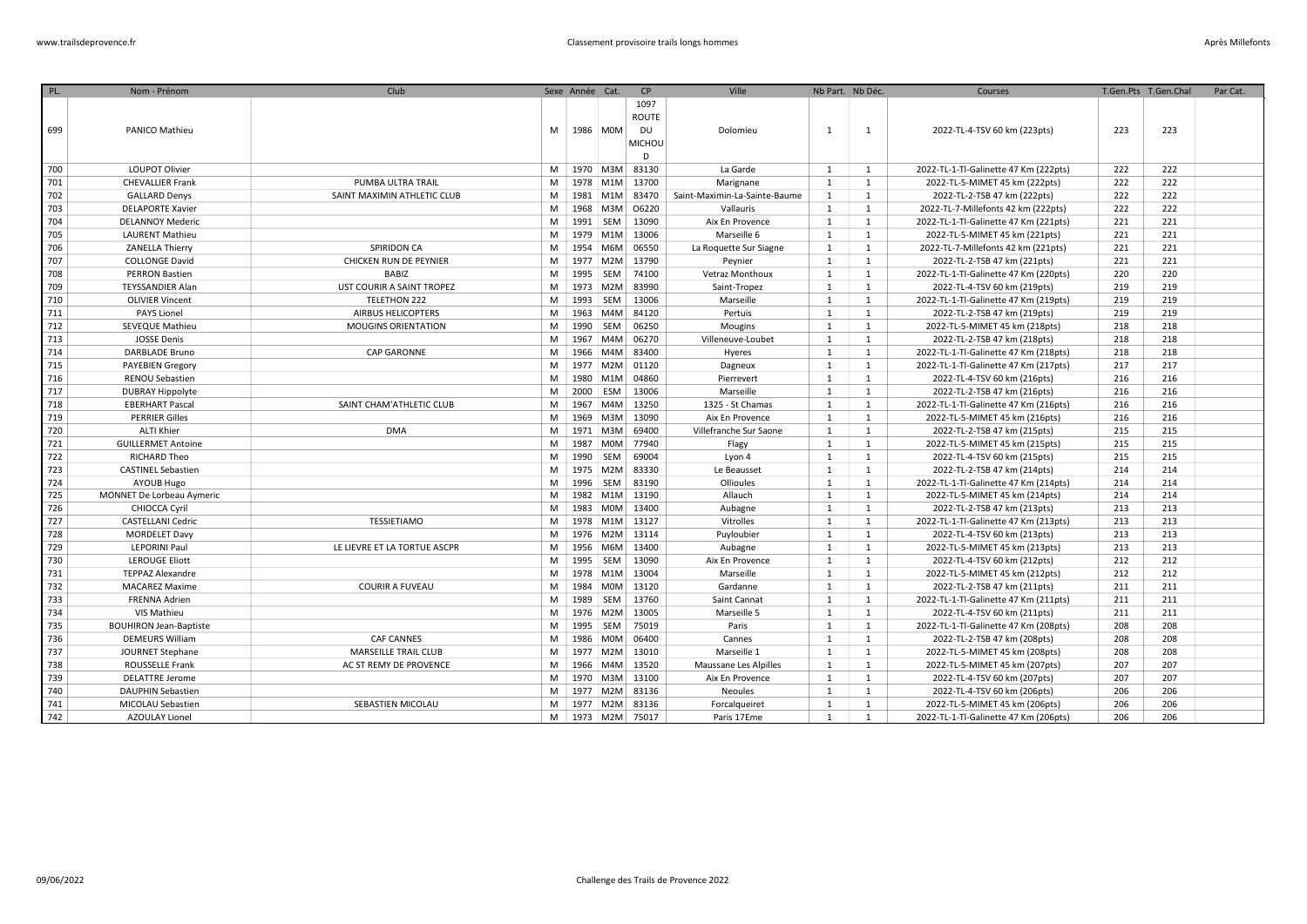| PL. | Nom - Prénom                  | Club                         |   | Sexe Année Cat. |            | CP                                        | Ville                         | Nb Part. Nb Déc. |                | Courses                               |     | T.Gen.Pts T.Gen.Chal | Par Cat. |
|-----|-------------------------------|------------------------------|---|-----------------|------------|-------------------------------------------|-------------------------------|------------------|----------------|---------------------------------------|-----|----------------------|----------|
| 699 | PANICO Mathieu                |                              | M | 1986 M0M        |            | 1097<br>ROUTE<br><b>DU</b><br>MICHOU<br>D | Dolomieu                      | -1               | 1              | 2022-TL-4-TSV 60 km (223pts)          | 223 | 223                  |          |
| 700 | LOUPOT Olivier                |                              | M |                 |            | 1970   M3M   83130                        | La Garde                      | 1                | 1              | 2022-TL-1-Tl-Galinette 47 Km (222pts) | 222 | 222                  |          |
| 701 | <b>CHEVALLIER Frank</b>       | PUMBA ULTRA TRAIL            | M |                 |            | 1978 M1M 13700                            | Marignane                     | $\overline{1}$   | 1              | 2022-TL-5-MIMET 45 km (222pts)        | 222 | 222                  |          |
| 702 | <b>GALLARD Denys</b>          | SAINT MAXIMIN ATHLETIC CLUB  | M | 1981 M1M        |            | 83470                                     | Saint-Maximin-La-Sainte-Baume | $\mathbf{1}$     | 1              | 2022-TL-2-TSB 47 km (222pts)          | 222 | 222                  |          |
| 703 | <b>DELAPORTE Xavier</b>       |                              | M |                 |            | 1968 M3M 06220                            | Vallauris                     | $\mathbf{1}$     | $\mathbf{1}$   | 2022-TL-7-Millefonts 42 km (222pts)   | 222 | 222                  |          |
| 704 | <b>DELANNOY Mederic</b>       |                              | M | 1991   SEM      |            | 13090                                     | Aix En Provence               | $\mathbf{1}$     | 1              | 2022-TL-1-Tl-Galinette 47 Km (221pts) | 221 | 221                  |          |
| 705 | <b>LAURENT Mathieu</b>        |                              | M |                 |            | 1979 M1M 13006                            | Marseille 6                   | 1                | $\mathbf{1}$   | 2022-TL-5-MIMET 45 km (221pts)        | 221 | 221                  |          |
| 706 | ZANELLA Thierry               | <b>SPIRIDON CA</b>           | M |                 | 1954 M6M   | 06550                                     | La Roquette Sur Siagne        | 1                | 1              | 2022-TL-7-Millefonts 42 km (221pts)   | 221 | 221                  |          |
| 707 | <b>COLLONGE David</b>         | CHICKEN RUN DE PEYNIER       | M |                 | 1977 M2M   | 13790                                     | Peynier                       | 1                | $\mathbf{1}$   | 2022-TL-2-TSB 47 km (221pts)          | 221 | 221                  |          |
| 708 | <b>PERRON Bastien</b>         | BABIZ                        | M | 1995 SEM        |            | 74100                                     | Vetraz Monthoux               | 1                | 1              | 2022-TL-1-Tl-Galinette 47 Km (220pts) | 220 | 220                  |          |
| 709 | <b>TEYSSANDIER Alan</b>       | UST COURIR A SAINT TROPEZ    | M |                 | 1973 M2M   | 83990                                     | Saint-Tropez                  | 1                | $\mathbf{1}$   | 2022-TL-4-TSV 60 km (219pts)          | 219 | 219                  |          |
| 710 | <b>OLIVIER Vincent</b>        | <b>TELETHON 222</b>          | M | 1993            | SEM        | 13006                                     | Marseille                     | $\mathbf{1}$     | $\mathbf{1}$   | 2022-TL-1-Tl-Galinette 47 Km (219pts) | 219 | 219                  |          |
| 711 | PAYS Lionel                   | <b>AIRBUS HELICOPTERS</b>    | M | 1963            | M4M        | 84120                                     | Pertuis                       | 1                | $\mathbf{1}$   | 2022-TL-2-TSB 47 km (219pts)          | 219 | 219                  |          |
| 712 | SEVEQUE Mathieu               | <b>MOUGINS ORIENTATION</b>   | M | 1990            | SEM        | 06250                                     | Mougins                       | 1                | $\mathbf{1}$   | 2022-TL-5-MIMET 45 km (218pts)        | 218 | 218                  |          |
| 713 | <b>JOSSE Denis</b>            |                              | M | 1967            | M4M        | 06270                                     | Villeneuve-Loubet             | $\mathbf{1}$     | $\mathbf{1}$   | 2022-TL-2-TSB 47 km (218pts)          | 218 | 218                  |          |
| 714 | DARBLADE Bruno                | CAP GARONNE                  | M |                 | 1966 M4M   | 83400                                     | Hyeres                        | <sup>1</sup>     | $\mathbf{1}$   | 2022-TL-1-Tl-Galinette 47 Km (218pts) | 218 | 218                  |          |
| 715 | <b>PAYEBIEN Gregory</b>       |                              | M |                 |            | 1977   M2M   01120                        | Dagneux                       | 1                | $\mathbf{1}$   | 2022-TL-1-Tl-Galinette 47 Km (217pts) | 217 | 217                  |          |
| 716 | RENOU Sebastien               |                              | M |                 | 1980 M1M   | 04860                                     | Pierrevert                    | 1                | $\mathbf{1}$   | 2022-TL-4-TSV 60 km (216pts)          | 216 | 216                  |          |
| 717 | <b>DUBRAY Hippolyte</b>       |                              | M | 2000            | ESM        | 13006                                     | Marseille                     | 1                | 1              | 2022-TL-2-TSB 47 km (216pts)          | 216 | 216                  |          |
| 718 | <b>EBERHART Pascal</b>        | SAINT CHAM'ATHLETIC CLUB     | M |                 |            | 1967 M4M 13250                            | 1325 - St Chamas              | 1                | 1              | 2022-TL-1-Tl-Galinette 47 Km (216pts) | 216 | 216                  |          |
| 719 | <b>PERRIER Gilles</b>         |                              | M |                 | 1969 M3M   | 13090                                     | Aix En Provence               | 1                | 1              | 2022-TL-5-MIMET 45 km (216pts)        | 216 | 216                  |          |
| 720 | <b>ALTI Khier</b>             | <b>DMA</b>                   | M |                 | 1971 M3M   | 69400                                     | Villefranche Sur Saone        | $\mathbf{1}$     | 1              | 2022-TL-2-TSB 47 km (215pts)          | 215 | 215                  |          |
| 721 | <b>GUILLERMET Antoine</b>     |                              | M | 1987            | <b>MOM</b> | 77940                                     | Flagy                         | $\mathbf{1}$     | 1              | 2022-TL-5-MIMET 45 km (215pts)        | 215 | 215                  |          |
| 722 | <b>RICHARD Theo</b>           |                              | M | 1990 SEM        |            | 69004                                     | Lyon 4                        | 1                | $\mathbf{1}$   | 2022-TL-4-TSV 60 km (215pts)          | 215 | 215                  |          |
| 723 | <b>CASTINEL Sebastien</b>     |                              | M |                 | 1975 M2M   | 83330                                     | Le Beausset                   | $\mathbf{1}$     | 1              | 2022-TL-2-TSB 47 km (214pts)          | 214 | 214                  |          |
| 724 | AYOUB Hugo                    |                              | M | 1996            | SEM        | 83190                                     | Ollioules                     | 1                | 1              | 2022-TL-1-Tl-Galinette 47 Km (214pts) | 214 | 214                  |          |
| 725 | MONNET De Lorbeau Aymeric     |                              | M |                 | 1982 M1M   | 13190                                     | Allauch                       | 1                | $\mathbf{1}$   | 2022-TL-5-MIMET 45 km (214pts)        | 214 | 214                  |          |
| 726 | CHIOCCA Cyril                 |                              | M | 1983            |            | M0M 13400                                 | Aubagne                       | 1                | $\mathbf{1}$   | 2022-TL-2-TSB 47 km (213pts)          | 213 | 213                  |          |
| 727 | <b>CASTELLANI Cedric</b>      | TESSIETIAMO                  | M |                 |            | 1978 M1M 13127                            | Vitrolles                     | 1                | $\mathbf{1}$   | 2022-TL-1-Tl-Galinette 47 Km (213pts) | 213 | 213                  |          |
| 728 | <b>MORDELET Davy</b>          |                              | M |                 |            | 1976 M2M 13114                            | Puyloubier                    | 1                | $\mathbf{1}$   | 2022-TL-4-TSV 60 km (213pts)          | 213 | 213                  |          |
| 729 | <b>LEPORINI Paul</b>          | LE LIEVRE ET LA TORTUE ASCPR | M |                 | 1956 M6M   | 13400                                     | Aubagne                       | 1                | $\mathbf{1}$   | 2022-TL-5-MIMET 45 km (213pts)        | 213 | 213                  |          |
| 730 | <b>LEROUGE Eliott</b>         |                              | M | 1995            | SEM        | 13090                                     | Aix En Provence               | 1                | $\mathbf{1}$   | 2022-TL-4-TSV 60 km (212pts)          | 212 | 212                  |          |
| 731 | <b>TEPPAZ Alexandre</b>       |                              | M |                 | 1978 M1M   | 13004                                     | Marseille                     | 1                | $\mathbf{1}$   | 2022-TL-5-MIMET 45 km (212pts)        | 212 | 212                  |          |
| 732 | <b>MACAREZ Maxime</b>         | <b>COURIR A FUVEAU</b>       | M | 1984            | M0M        | 13120                                     | Gardanne                      | $\mathbf{1}$     | $\mathbf{1}$   | 2022-TL-2-TSB 47 km (211pts)          | 211 | 211                  |          |
| 733 | <b>FRENNA Adrien</b>          |                              | M | 1989            | SEM        | 13760                                     | Saint Cannat                  | 1                | $\mathbf{1}$   | 2022-TL-1-Tl-Galinette 47 Km (211pts) | 211 | 211                  |          |
| 734 | VIS Mathieu                   |                              | M |                 | 1976 M2M   | 13005                                     | Marseille 5                   | 1                | $\mathbf{1}$   | 2022-TL-4-TSV 60 km (211pts)          | 211 | 211                  |          |
| 735 | <b>BOUHIRON Jean-Baptiste</b> |                              | M |                 | 1995 SEM   | 75019                                     | Paris                         | 1                | $\mathbf{1}$   | 2022-TL-1-Tl-Galinette 47 Km (208pts) | 208 | 208                  |          |
| 736 | <b>DEMEURS William</b>        | <b>CAF CANNES</b>            | M |                 | 1986 M0M   | 06400                                     | Cannes                        | 1                | $\mathbf{1}$   | 2022-TL-2-TSB 47 km (208pts)          | 208 | 208                  |          |
| 737 | JOURNET Stephane              | MARSEILLE TRAIL CLUB         | M |                 |            | 1977   M2M   13010                        | Marseille 1                   | 1                | $\mathbf{1}$   | 2022-TL-5-MIMET 45 km (208pts)        | 208 | 208                  |          |
| 738 | ROUSSELLE Frank               | AC ST REMY DE PROVENCE       | M |                 | 1966 M4M   | 13520                                     | Maussane Les Alpilles         | 1                | 1              | 2022-TL-5-MIMET 45 km (207pts)        | 207 | 207                  |          |
| 739 | <b>DELATTRE Jerome</b>        |                              | M |                 | 1970 M3M   | 13100                                     | Aix En Provence               | 1                | 1              | 2022-TL-4-TSV 60 km (207pts)          | 207 | 207                  |          |
| 740 | <b>DAUPHIN Sebastien</b>      |                              | M |                 |            | 1977   M2M   83136                        | Neoules                       | 1                | 1              | 2022-TL-4-TSV 60 km (206pts)          | 206 | 206                  |          |
| 741 | MICOLAU Sebastien             | SEBASTIEN MICOLAU            | M |                 |            | 1977   M2M   83136                        | Forcalqueiret                 | 1                | 1              | 2022-TL-5-MIMET 45 km (206pts)        | 206 | 206                  |          |
| 742 | <b>AZOULAY Lionel</b>         |                              |   |                 |            | M 1973 M2M 75017                          | Paris 17Eme                   | 1                | $\overline{1}$ | 2022-TL-1-Tl-Galinette 47 Km (206pts) | 206 | 206                  |          |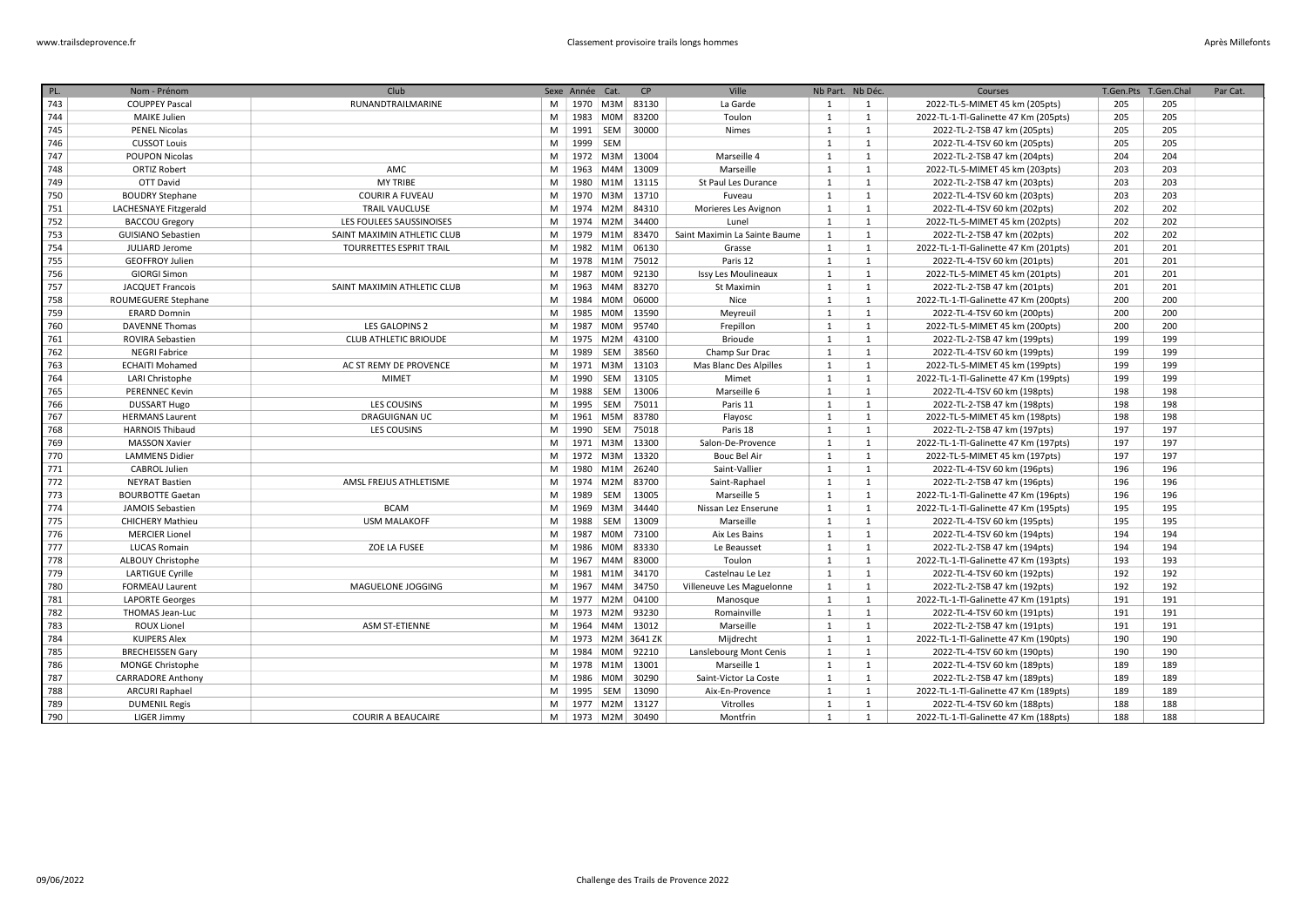| PL. | Nom - Prénom              | Club                           |   | Sexe Année Cat. |            | CP                   | Ville                         | Nb Part. Nb Déc. |                | Courses                               |     | T.Gen.Pts T.Gen.Chal | Par Cat. |
|-----|---------------------------|--------------------------------|---|-----------------|------------|----------------------|-------------------------------|------------------|----------------|---------------------------------------|-----|----------------------|----------|
| 743 | <b>COUPPEY Pascal</b>     | RUNANDTRAILMARINE              | M | 1970            |            | M3M 83130            | La Garde                      | 1                | 1              | 2022-TL-5-MIMET 45 km (205pts)        | 205 | 205                  |          |
| 744 | <b>MAIKE Julien</b>       |                                | M |                 | 1983 M0M   | 83200                | Toulon                        | $\mathbf{1}$     | 1              | 2022-TL-1-Tl-Galinette 47 Km (205pts) | 205 | 205                  |          |
| 745 | <b>PENEL Nicolas</b>      |                                | M | 1991            | SEM        | 30000                | Nimes                         | $\mathbf{1}$     | 1              | 2022-TL-2-TSB 47 km (205pts)          | 205 | 205                  |          |
| 746 | <b>CUSSOT Louis</b>       |                                | M | 1999            | SEM        |                      |                               | 1                | 1              | 2022-TL-4-TSV 60 km (205pts)          | 205 | 205                  |          |
| 747 | <b>POUPON Nicolas</b>     |                                | M | 1972            | M3M        | 13004                | Marseille 4                   | $\mathbf{1}$     | $\mathbf{1}$   | 2022-TL-2-TSB 47 km (204pts)          | 204 | 204                  |          |
| 748 | <b>ORTIZ Robert</b>       | AMC                            | M | 1963            | M4M        | 13009                | Marseille                     | $\mathbf{1}$     | 1              | 2022-TL-5-MIMET 45 km (203pts)        | 203 | 203                  |          |
| 749 | OTT David                 | <b>MY TRIBE</b>                | M | 1980            | M1M        | 13115                | St Paul Les Durance           | $\mathbf{1}$     | 1              | 2022-TL-2-TSB 47 km (203pts)          | 203 | 203                  |          |
| 750 | <b>BOUDRY Stephane</b>    | <b>COURIR A FUVEAU</b>         | M | 1970            | M3M        | 13710                | Fuveau                        | $\mathbf{1}$     | $\mathbf{1}$   | 2022-TL-4-TSV 60 km (203pts)          | 203 | 203                  |          |
| 751 | LACHESNAYE Fitzgerald     | <b>TRAIL VAUCLUSE</b>          | м |                 | 1974 M2M   | 84310                | Morieres Les Avignon          | $\mathbf{1}$     | 1              | 2022-TL-4-TSV 60 km (202pts)          | 202 | 202                  |          |
| 752 | <b>BACCOU Gregory</b>     | LES FOULEES SAUSSINOISES       | M |                 | 1974 M2M   | 34400                | Lunel                         | $\mathbf{1}$     | 1              | 2022-TL-5-MIMET 45 km (202pts)        | 202 | 202                  |          |
| 753 | <b>GUISIANO Sebastien</b> | SAINT MAXIMIN ATHLETIC CLUB    | м | 1979            | M1M        | 83470                | Saint Maximin La Sainte Baume | $\mathbf{1}$     | 1              | 2022-TL-2-TSB 47 km (202pts)          | 202 | 202                  |          |
| 754 | JULIARD Jerome            | <b>TOURRETTES ESPRIT TRAIL</b> | M |                 | 1982 M1M   | 06130                | Grasse                        | $\mathbf{1}$     | 1              | 2022-TL-1-Tl-Galinette 47 Km (201pts) | 201 | 201                  |          |
| 755 | <b>GEOFFROY Julien</b>    |                                | M |                 | 1978 M1M   | 75012                | Paris 12                      | $\mathbf{1}$     | 1              | 2022-TL-4-TSV 60 km (201pts)          | 201 | 201                  |          |
| 756 | <b>GIORGI Simon</b>       |                                | M |                 | 1987 M0M   | 92130                | Issy Les Moulineaux           | $\mathbf{1}$     | 1              | 2022-TL-5-MIMET 45 km (201pts)        | 201 | 201                  |          |
| 757 | JACQUET Francois          | SAINT MAXIMIN ATHLETIC CLUB    | М | 1963            | M4M        | 83270                | St Maximin                    | $\mathbf{1}$     | 1              | 2022-TL-2-TSB 47 km (201pts)          | 201 | 201                  |          |
| 758 | ROUMEGUERE Stephane       |                                | M | 1984            | <b>MOM</b> | 06000                | Nice                          | $\mathbf{1}$     | 1              | 2022-TL-1-Tl-Galinette 47 Km (200pts) | 200 | 200                  |          |
| 759 | <b>ERARD Domnin</b>       |                                | M | 1985            | <b>MOM</b> | 13590                | Meyreuil                      | $\mathbf{1}$     | 1              | 2022-TL-4-TSV 60 km (200pts)          | 200 | 200                  |          |
| 760 | <b>DAVENNE Thomas</b>     | <b>LES GALOPINS 2</b>          | M | 1987            | <b>MOM</b> | 95740                | Frepillon                     | $\mathbf{1}$     | 1              | 2022-TL-5-MIMET 45 km (200pts)        | 200 | 200                  |          |
| 761 | <b>ROVIRA Sebastien</b>   | <b>CLUB ATHLETIC BRIOUDE</b>   | M | 1975            | M2M        | 43100                | <b>Brioude</b>                | $\mathbf{1}$     | $\mathbf{1}$   | 2022-TL-2-TSB 47 km (199pts)          | 199 | 199                  |          |
| 762 | <b>NEGRI Fabrice</b>      |                                | M | 1989            | SEM        | 38560                | Champ Sur Drac                | 1                | 1              | 2022-TL-4-TSV 60 km (199pts)          | 199 | 199                  |          |
| 763 | <b>ECHAITI Mohamed</b>    | AC ST REMY DE PROVENCE         | M |                 | 1971 M3M   | 13103                | Mas Blanc Des Alpilles        | $\mathbf{1}$     | 1              | 2022-TL-5-MIMET 45 km (199pts)        | 199 | 199                  |          |
| 764 | LARI Christophe           | <b>MIMET</b>                   | M | 1990            | SEM        | 13105                | Mimet                         | $\mathbf{1}$     | 1              | 2022-TL-1-Tl-Galinette 47 Km (199pts) | 199 | 199                  |          |
| 765 | <b>PERENNEC Kevin</b>     |                                | M | 1988            | SEM        | 13006                | Marseille 6                   | $\mathbf{1}$     | 1              | 2022-TL-4-TSV 60 km (198pts)          | 198 | 198                  |          |
| 766 | <b>DUSSART Hugo</b>       | LES COUSINS                    | M | 1995            | SEM        | 75011                | Paris 11                      | $\mathbf{1}$     | 1              | 2022-TL-2-TSB 47 km (198pts)          | 198 | 198                  |          |
| 767 | <b>HERMANS Laurent</b>    | <b>DRAGUIGNAN UC</b>           | M |                 | 1961 M5M   | 83780                | Flayosc                       | 1                | $\mathbf{1}$   | 2022-TL-5-MIMET 45 km (198pts)        | 198 | 198                  |          |
| 768 | <b>HARNOIS Thibaud</b>    | <b>LES COUSINS</b>             | M | 1990            | SEM        | 75018                | Paris 18                      | 1                | 1              | 2022-TL-2-TSB 47 km (197pts)          | 197 | 197                  |          |
| 769 | <b>MASSON Xavier</b>      |                                | M |                 | 1971 M3M   | 13300                | Salon-De-Provence             | 1                | 1              | 2022-TL-1-Tl-Galinette 47 Km (197pts) | 197 | 197                  |          |
| 770 | <b>LAMMENS Didier</b>     |                                | M |                 | 1972 M3M   | 13320                | <b>Bouc Bel Air</b>           | 1                | 1              | 2022-TL-5-MIMET 45 km (197pts)        | 197 | 197                  |          |
| 771 | CABROL Julien             |                                | M | 1980            |            | M1M 26240            | Saint-Vallier                 | 1                | 1              | 2022-TL-4-TSV 60 km (196pts)          | 196 | 196                  |          |
| 772 | <b>NEYRAT Bastien</b>     | AMSL FREJUS ATHLETISME         | M | 1974            | M2M        | 83700                | Saint-Raphael                 | 1                | 1              | 2022-TL-2-TSB 47 km (196pts)          | 196 | 196                  |          |
| 773 | <b>BOURBOTTE Gaetan</b>   |                                | M | 1989            | SEM        | 13005                | Marseille 5                   | $\mathbf{1}$     | 1              | 2022-TL-1-Tl-Galinette 47 Km (196pts) | 196 | 196                  |          |
| 774 | JAMOIS Sebastien          | <b>BCAM</b>                    | M | 1969            | M3M        | 34440                | Nissan Lez Enserune           | 1                | 1              | 2022-TL-1-Tl-Galinette 47 Km (195pts) | 195 | 195                  |          |
| 775 | <b>CHICHERY Mathieu</b>   | <b>USM MALAKOFF</b>            | M | 1988            | SEM        | 13009                | Marseille                     | 1                | 1              | 2022-TL-4-TSV 60 km (195pts)          | 195 | 195                  |          |
| 776 | <b>MERCIER Lionel</b>     |                                | M | 1987            | <b>MOM</b> | 73100                | Aix Les Bains                 | $\mathbf{1}$     | 1              | 2022-TL-4-TSV 60 km (194pts)          | 194 | 194                  |          |
| 777 | <b>LUCAS Romain</b>       | ZOE LA FUSEE                   | M | 1986            | <b>MOM</b> | 83330                | Le Beausset                   | $\mathbf{1}$     | 1              | 2022-TL-2-TSB 47 km (194pts)          | 194 | 194                  |          |
| 778 | ALBOUY Christophe         |                                | M | 1967            | M4M        | 83000                | Toulon                        | $\mathbf{1}$     | $\mathbf{1}$   | 2022-TL-1-Tl-Galinette 47 Km (193pts) | 193 | 193                  |          |
| 779 | <b>LARTIGUE Cyrille</b>   |                                | M | 1981            | M1M        | 34170                | Castelnau Le Lez              | $\mathbf{1}$     | 1              | 2022-TL-4-TSV 60 km (192pts)          | 192 | 192                  |          |
| 780 | <b>FORMEAU Laurent</b>    | MAGUELONE JOGGING              | M | 1967            | M4M        | 34750                | Villeneuve Les Maguelonne     | $\mathbf{1}$     | 1              | 2022-TL-2-TSB 47 km (192pts)          | 192 | 192                  |          |
| 781 | <b>LAPORTE Georges</b>    |                                | M |                 | 1977 M2M   | 04100                | Manosque                      | $\mathbf{1}$     | $\mathbf{1}$   | 2022-TL-1-Tl-Galinette 47 Km (191pts) | 191 | 191                  |          |
| 782 | <b>THOMAS Jean-Luc</b>    |                                | M | 1973            | M2M        | 93230                | Romainville                   | $\mathbf{1}$     | 1              | 2022-TL-4-TSV 60 km (191pts)          | 191 | 191                  |          |
| 783 | ROUX Lionel               | ASM ST-ETIENNE                 | M |                 | 1964 M4M   | 13012                | Marseille                     | 1                | 1              | 2022-TL-2-TSB 47 km (191pts)          | 191 | 191                  |          |
| 784 | <b>KUIPERS Alex</b>       |                                | м |                 |            | 1973   M2M   3641 ZK | Mijdrecht                     | $\mathbf{1}$     | 1              | 2022-TL-1-Tl-Galinette 47 Km (190pts) | 190 | 190                  |          |
| 785 | <b>BRECHEISSEN Gary</b>   |                                | M |                 | 1984 M0M   | 92210                | Lanslebourg Mont Cenis        | $\mathbf{1}$     | $\mathbf{1}$   | 2022-TL-4-TSV 60 km (190pts)          | 190 | 190                  |          |
| 786 | <b>MONGE Christophe</b>   |                                | M |                 | 1978 M1M   | 13001                | Marseille 1                   | $\mathbf{1}$     | 1              | 2022-TL-4-TSV 60 km (189pts)          | 189 | 189                  |          |
| 787 | <b>CARRADORE Anthony</b>  |                                | M |                 | 1986 M0M   | 30290                | Saint-Victor La Coste         | $\mathbf{1}$     | 1              | 2022-TL-2-TSB 47 km (189pts)          | 189 | 189                  |          |
| 788 | <b>ARCURI Raphael</b>     |                                | M | 1995            | SEM        | 13090                | Aix-En-Provence               | $\mathbf{1}$     | 1              | 2022-TL-1-Tl-Galinette 47 Km (189pts) | 189 | 189                  |          |
| 789 | <b>DUMENIL Regis</b>      |                                | M |                 | 1977 M2M   | 13127                | Vitrolles                     | 1                | 1              | 2022-TL-4-TSV 60 km (188pts)          | 188 | 188                  |          |
| 790 | LIGER Jimmy               | <b>COURIR A BEAUCAIRE</b>      | M |                 | 1973 M2M   | 30490                | Montfrin                      | 1                | $\overline{1}$ | 2022-TL-1-Tl-Galinette 47 Km (188pts) | 188 | 188                  |          |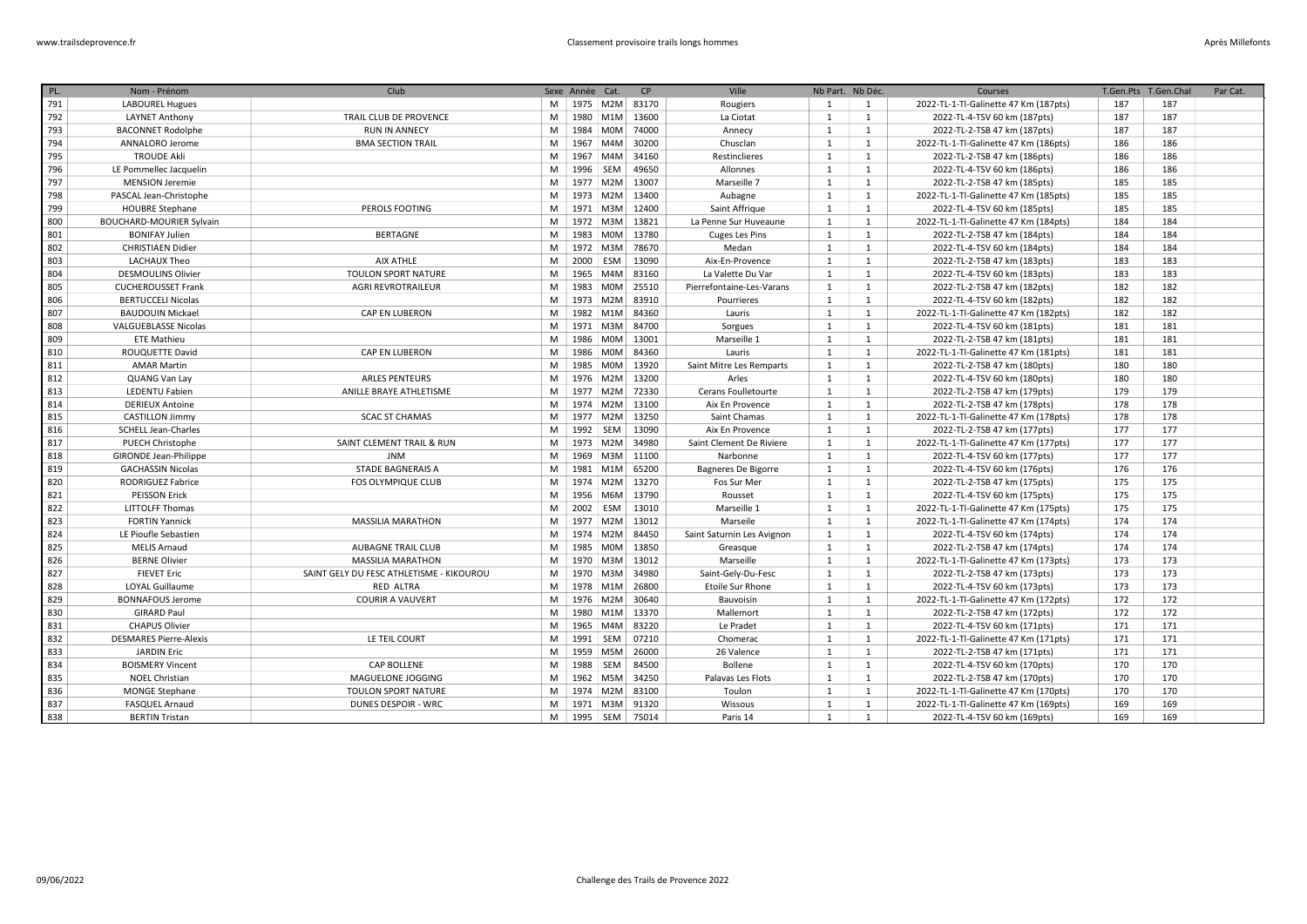| PL. | Nom - Prénom                    | Club                                     |   | Sexe Année Cat. |                    | CP    | Ville                      | Nb Part. Nb Déc. |              | Courses                               | T.Gen.Pts | T.Gen.Chal | Par Cat. |
|-----|---------------------------------|------------------------------------------|---|-----------------|--------------------|-------|----------------------------|------------------|--------------|---------------------------------------|-----------|------------|----------|
| 791 | <b>LABOUREL Hugues</b>          |                                          | M |                 | 1975   M2M   83170 |       | Rougiers                   | 1                | 1            | 2022-TL-1-Tl-Galinette 47 Km (187pts) | 187       | 187        |          |
| 792 | <b>LAYNET Anthony</b>           | TRAIL CLUB DE PROVENCE                   | M |                 | 1980 M1M 13600     |       | La Ciotat                  | $\mathbf{1}$     | 1            | 2022-TL-4-TSV 60 km (187pts)          | 187       | 187        |          |
| 793 | <b>BACONNET Rodolphe</b>        | <b>RUN IN ANNECY</b>                     | M | 1984            | <b>MOM</b>         | 74000 | Annecy                     | $\mathbf{1}$     | 1            | 2022-TL-2-TSB 47 km (187pts)          | 187       | 187        |          |
| 794 | ANNALORO Jerome                 | <b>BMA SECTION TRAIL</b>                 | M | 1967            | M4M                | 30200 | Chusclan                   | 1                | 1            | 2022-TL-1-Tl-Galinette 47 Km (186pts) | 186       | 186        |          |
| 795 | <b>TROUDE Akli</b>              |                                          | M | 1967            | M4M                | 34160 | Restinclieres              | $\mathbf{1}$     | 1            | 2022-TL-2-TSB 47 km (186pts)          | 186       | 186        |          |
| 796 | LE Pommellec Jacquelin          |                                          | M | 1996            | SEM                | 49650 | Allonnes                   | 1                | 1            | 2022-TL-4-TSV 60 km (186pts)          | 186       | 186        |          |
| 797 | <b>MENSION Jeremie</b>          |                                          | M | 1977            | M2M                | 13007 | Marseille 7                | $\mathbf{1}$     | 1            | 2022-TL-2-TSB 47 km (185pts)          | 185       | 185        |          |
| 798 | PASCAL Jean-Christophe          |                                          | M | 1973            | M2M                | 13400 | Aubagne                    | 1                | 1            | 2022-TL-1-Tl-Galinette 47 Km (185pts) | 185       | 185        |          |
| 799 | <b>HOUBRE Stephane</b>          | PEROLS FOOTING                           | M | 1971            | M3M                | 12400 | Saint Affrique             | $\mathbf{1}$     | 1            | 2022-TL-4-TSV 60 km (185pts)          | 185       | 185        |          |
| 800 | <b>BOUCHARD-MOURIER Sylvain</b> |                                          | M | 1972            | M3M                | 13821 | La Penne Sur Huveaune      | 1                | 1            | 2022-TL-1-Tl-Galinette 47 Km (184pts) | 184       | 184        |          |
| 801 | <b>BONIFAY Julien</b>           | <b>BERTAGNE</b>                          | M | 1983            | M0M                | 13780 | Cuges Les Pins             | 1                | 1            | 2022-TL-2-TSB 47 km (184pts)          | 184       | 184        |          |
| 802 | <b>CHRISTIAEN Didier</b>        |                                          | M | 1972 M3M        |                    | 78670 | Medan                      | $\mathbf{1}$     | $\mathbf{1}$ | 2022-TL-4-TSV 60 km (184pts)          | 184       | 184        |          |
| 803 | <b>LACHAUX Theo</b>             | <b>AIX ATHLE</b>                         | M | 2000            | ESM                | 13090 | Aix-En-Provence            | 1                | 1            | 2022-TL-2-TSB 47 km (183pts)          | 183       | 183        |          |
| 804 | <b>DESMOULINS Olivier</b>       | <b>TOULON SPORT NATURE</b>               | M | 1965            | M4M                | 83160 | La Valette Du Var          | $\mathbf{1}$     | 1            | 2022-TL-4-TSV 60 km (183pts)          | 183       | 183        |          |
| 805 | <b>CUCHEROUSSET Frank</b>       | <b>AGRI REVROTRAILEUR</b>                | M | 1983            | <b>MOM</b>         | 25510 | Pierrefontaine-Les-Varans  | 1                | 1            | 2022-TL-2-TSB 47 km (182pts)          | 182       | 182        |          |
| 806 | <b>BERTUCCELI Nicolas</b>       |                                          | M |                 | 1973 M2M           | 83910 | Pourrieres                 | $\mathbf{1}$     | 1            | 2022-TL-4-TSV 60 km (182pts)          | 182       | 182        |          |
| 807 | <b>BAUDOUIN Mickael</b>         | CAP EN LUBERON                           | M |                 | 1982 M1M           | 84360 | Lauris                     | 1                | 1            | 2022-TL-1-Tl-Galinette 47 Km (182pts) | 182       | 182        |          |
| 808 | <b>VALGUEBLASSE Nicolas</b>     |                                          | M |                 | 1971 M3M           | 84700 | Sorgues                    | $\mathbf{1}$     | 1            | 2022-TL-4-TSV 60 km (181pts)          | 181       | 181        |          |
| 809 | <b>ETE Mathieu</b>              |                                          | M | 1986            | M0M                | 13001 | Marseille 1                | 1                | 1            | 2022-TL-2-TSB 47 km (181pts)          | 181       | 181        |          |
| 810 | ROUQUETTE David                 | CAP EN LUBERON                           | M | 1986            | M0M                | 84360 | Lauris                     | $\mathbf{1}$     | 1            | 2022-TL-1-Tl-Galinette 47 Km (181pts) | 181       | 181        |          |
| 811 | <b>AMAR Martin</b>              |                                          | M | 1985            | <b>MOM</b>         | 13920 | Saint Mitre Les Remparts   | 1                | 1            | 2022-TL-2-TSB 47 km (180pts)          | 180       | 180        |          |
| 812 | QUANG Van Lay                   | <b>ARLES PENTEURS</b>                    | M |                 | 1976 M2M           | 13200 | Arles                      | 1                | 1            | 2022-TL-4-TSV 60 km (180pts)          | 180       | 180        |          |
| 813 | LEDENTU Fabien                  | ANILLE BRAYE ATHLETISME                  | M |                 | 1977 M2M           | 72330 | Cerans Foulletourte        | 1                | 1            | 2022-TL-2-TSB 47 km (179pts)          | 179       | 179        |          |
| 814 | <b>DERIEUX Antoine</b>          |                                          | M |                 | 1974   M2M   13100 |       | Aix En Provence            | $\mathbf{1}$     | 1            | 2022-TL-2-TSB 47 km (178pts)          | 178       | 178        |          |
| 815 | <b>CASTILLON Jimmy</b>          | <b>SCAC ST CHAMAS</b>                    | M | 1977            | M2M                | 13250 | Saint Chamas               | 1                | 1            | 2022-TL-1-Tl-Galinette 47 Km (178pts) | 178       | 178        |          |
| 816 | SCHELL Jean-Charles             |                                          | M | 1992 SEM        |                    | 13090 | Aix En Provence            | $\mathbf{1}$     | 1            | 2022-TL-2-TSB 47 km (177pts)          | 177       | 177        |          |
| 817 | <b>PUECH Christophe</b>         | SAINT CLEMENT TRAIL & RUN                | M |                 | 1973 M2M           | 34980 | Saint Clement De Riviere   | $\mathbf{1}$     | 1            | 2022-TL-1-Tl-Galinette 47 Km (177pts) | 177       | 177        |          |
| 818 | <b>GIRONDE Jean-Philippe</b>    | <b>JNM</b>                               | M | 1969            | M3M                | 11100 | Narbonne                   | $\mathbf{1}$     | 1            | 2022-TL-4-TSV 60 km (177pts)          | 177       | 177        |          |
| 819 | <b>GACHASSIN Nicolas</b>        | <b>STADE BAGNERAIS A</b>                 | M | 1981 M1M        |                    | 65200 | Bagneres De Bigorre        | $\mathbf{1}$     | 1            | 2022-TL-4-TSV 60 km (176pts)          | 176       | 176        |          |
| 820 | RODRIGUEZ Fabrice               | <b>FOS OLYMPIQUE CLUB</b>                | M | 1974            | M2M                | 13270 | Fos Sur Mer                | $\mathbf{1}$     | 1            | 2022-TL-2-TSB 47 km (175pts)          | 175       | 175        |          |
| 821 | <b>PEISSON Erick</b>            |                                          | M | 1956            | M6M                | 13790 | Rousset                    | 1                | 1            | 2022-TL-4-TSV 60 km (175pts)          | 175       | 175        |          |
| 822 | <b>LITTOLFF Thomas</b>          |                                          | M | 2002            | ESM                | 13010 | Marseille 1                | 1                | 1            | 2022-TL-1-Tl-Galinette 47 Km (175pts) | 175       | 175        |          |
| 823 | <b>FORTIN Yannick</b>           | <b>MASSILIA MARATHON</b>                 | M |                 | 1977 M2M           | 13012 | Marseile                   | 1                | 1            | 2022-TL-1-Tl-Galinette 47 Km (174pts) | 174       | 174        |          |
| 824 | LE Pioufle Sebastien            |                                          | M |                 | 1974 M2M           | 84450 | Saint Saturnin Les Avignon | $\mathbf{1}$     | 1            | 2022-TL-4-TSV 60 km (174pts)          | 174       | 174        |          |
| 825 | <b>MELIS Arnaud</b>             | <b>AUBAGNE TRAIL CLUB</b>                | M | 1985            | M0M                | 13850 | Greasque                   | 1                | 1            | 2022-TL-2-TSB 47 km (174pts)          | 174       | 174        |          |
| 826 | <b>BERNE Olivier</b>            | <b>MASSILIA MARATHON</b>                 | M | 1970            | M3M                | 13012 | Marseille                  | $\mathbf{1}$     | 1            | 2022-TL-1-Tl-Galinette 47 Km (173pts) | 173       | 173        |          |
| 827 | <b>FIEVET Eric</b>              | SAINT GELY DU FESC ATHLETISME - KIKOUROU | M | 1970            | M3M                | 34980 | Saint-Gely-Du-Fesc         | 1                | 1            | 2022-TL-2-TSB 47 km (173pts)          | 173       | 173        |          |
| 828 | LOYAL Guillaume                 | RED ALTRA                                | M | 1978            | M1M                | 26800 | <b>Etoile Sur Rhone</b>    | 1                | 1            | 2022-TL-4-TSV 60 km (173pts)          | 173       | 173        |          |
| 829 | <b>BONNAFOUS Jerome</b>         | <b>COURIR A VAUVERT</b>                  | M | 1976            | M2M                | 30640 | Bauvoisin                  | 1                | 1            | 2022-TL-1-Tl-Galinette 47 Km (172pts) | 172       | 172        |          |
| 830 | <b>GIRARD Paul</b>              |                                          | M | 1980            | M1M                | 13370 | Mallemort                  | $\mathbf{1}$     | 1            | 2022-TL-2-TSB 47 km (172pts)          | 172       | 172        |          |
| 831 | <b>CHAPUS Olivier</b>           |                                          | M | 1965            | M4M                | 83220 | Le Pradet                  | $\mathbf{1}$     | $\mathbf{1}$ | 2022-TL-4-TSV 60 km (171pts)          | 171       | 171        |          |
| 832 | <b>DESMARES Pierre-Alexis</b>   | LE TEIL COURT                            | M | 1991            | SEM                | 07210 | Chomerac                   | $\mathbf{1}$     | 1            | 2022-TL-1-Tl-Galinette 47 Km (171pts) | 171       | 171        |          |
| 833 | <b>JARDIN Eric</b>              |                                          | M | 1959            | M5M                | 26000 | 26 Valence                 | 1                | 1            | 2022-TL-2-TSB 47 km (171pts)          | 171       | 171        |          |
| 834 | <b>BOISMERY Vincent</b>         | <b>CAP BOLLENE</b>                       | M | 1988            | SEM                | 84500 | <b>Bollene</b>             | $\mathbf{1}$     | 1            | 2022-TL-4-TSV 60 km (170pts)          | 170       | 170        |          |
| 835 | <b>NOEL Christian</b>           | MAGUELONE JOGGING                        | M |                 | 1962 M5M           | 34250 | Palavas Les Flots          | 1                | 1            | 2022-TL-2-TSB 47 km (170pts)          | 170       | 170        |          |
| 836 | <b>MONGE Stephane</b>           | TOULON SPORT NATURE                      | M |                 | 1974 M2M           | 83100 | Toulon                     | 1                | 1            | 2022-TL-1-Tl-Galinette 47 Km (170pts) | 170       | 170        |          |
| 837 | FASQUEL Arnaud                  | <b>DUNES DESPOIR - WRC</b>               | M |                 | 1971   M3M   91320 |       | Wissous                    | $\mathbf{1}$     | 1            | 2022-TL-1-Tl-Galinette 47 Km (169pts) | 169       | 169        |          |
| 838 | <b>BERTIN Tristan</b>           |                                          | M | 1995 SEM        |                    | 75014 | Paris 14                   | $\mathbf{1}$     | 1            | 2022-TL-4-TSV 60 km (169pts)          | 169       | 169        |          |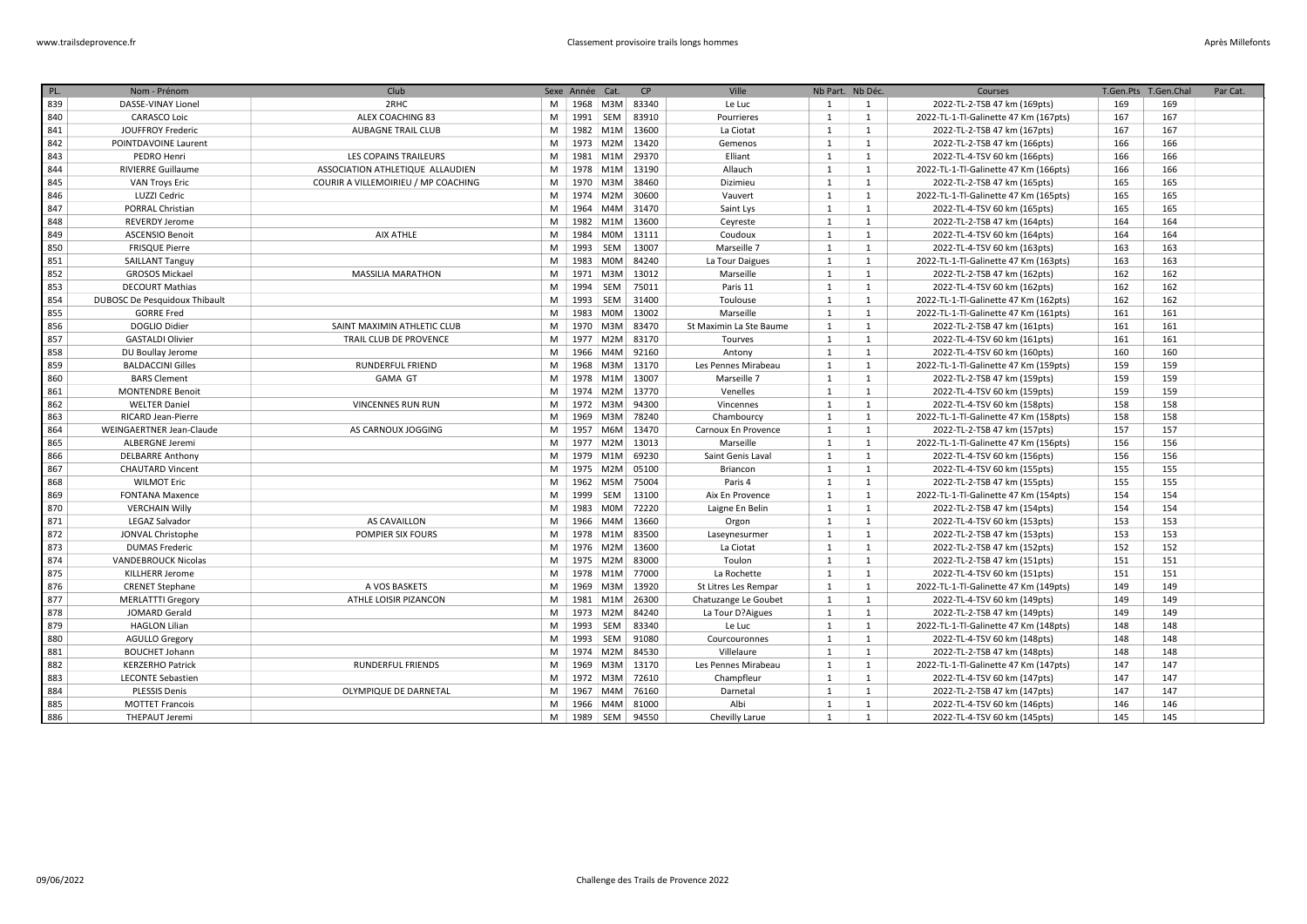| PL. | Nom - Prénom                  | Club                                |   | Sexe Année Cat. |                  | CP    | Ville                   | Nb Part. Nb Déc. |              | Courses                               | T.Gen.Pts | T.Gen.Chal | Par Cat. |
|-----|-------------------------------|-------------------------------------|---|-----------------|------------------|-------|-------------------------|------------------|--------------|---------------------------------------|-----------|------------|----------|
| 839 | DASSE-VINAY Lionel            | 2RHC                                | M |                 | 1968 M3M         | 83340 | Le Luc                  | 1                | $\mathbf{1}$ | 2022-TL-2-TSB 47 km (169pts)          | 169       | 169        |          |
| 840 | <b>CARASCO Loic</b>           | ALEX COACHING 83                    | M | 1991 SEM        |                  | 83910 | Pourrieres              | 1                | 1            | 2022-TL-1-Tl-Galinette 47 Km (167pts) | 167       | 167        |          |
| 841 | <b>JOUFFROY Frederic</b>      | <b>AUBAGNE TRAIL CLUB</b>           | M | 1982            | M1M              | 13600 | La Ciotat               | 1                | 1            | 2022-TL-2-TSB 47 km (167pts)          | 167       | 167        |          |
| 842 | POINTDAVOINE Laurent          |                                     | M |                 | 1973 M2M         | 13420 | Gemenos                 | 1                | 1            | 2022-TL-2-TSB 47 km (166pts)          | 166       | 166        |          |
| 843 | PEDRO Henri                   | LES COPAINS TRAILEURS               | M | 1981            | M1M              | 29370 | Elliant                 | $\mathbf{1}$     | 1            | 2022-TL-4-TSV 60 km (166pts)          | 166       | 166        |          |
| 844 | <b>RIVIERRE Guillaume</b>     | ASSOCIATION ATHLETIQUE ALLAUDIEN    | M | 1978            | M1M              | 13190 | Allauch                 | $\mathbf{1}$     | <sup>1</sup> | 2022-TL-1-Tl-Galinette 47 Km (166pts) | 166       | 166        |          |
| 845 | <b>VAN Troys Eric</b>         | COURIR A VILLEMOIRIEU / MP COACHING | M | 1970            | M3M              | 38460 | Dizimieu                | 1                | $\mathbf{1}$ | 2022-TL-2-TSB 47 km (165pts)          | 165       | 165        |          |
| 846 | LUZZI Cedric                  |                                     | M | 1974 M2M        |                  | 30600 | Vauvert                 | 1                | 1            | 2022-TL-1-Tl-Galinette 47 Km (165pts) | 165       | 165        |          |
| 847 | PORRAL Christian              |                                     | M | 1964            | M4M              | 31470 | Saint Lys               | $\mathbf{1}$     | <sup>1</sup> | 2022-TL-4-TSV 60 km (165pts)          | 165       | 165        |          |
| 848 | <b>REVERDY Jerome</b>         |                                     | M |                 | 1982 M1M         | 13600 | Ceyreste                | $\mathbf{1}$     | <sup>1</sup> | 2022-TL-2-TSB 47 km (164pts)          | 164       | 164        |          |
| 849 | <b>ASCENSIO Benoit</b>        | <b>AIX ATHLE</b>                    | M | 1984            | <b>MOM</b>       | 13111 | Coudoux                 | 1                | 1            | 2022-TL-4-TSV 60 km (164pts)          | 164       | 164        |          |
| 850 | <b>FRISQUE Pierre</b>         |                                     | M | 1993 SEM        |                  | 13007 | Marseille 7             | $\mathbf{1}$     | $\mathbf{1}$ | 2022-TL-4-TSV 60 km (163pts)          | 163       | 163        |          |
| 851 | <b>SAILLANT Tanguy</b>        |                                     | M |                 | 1983 M0M         | 84240 | La Tour Daigues         | 1                | <sup>1</sup> | 2022-TL-1-Tl-Galinette 47 Km (163pts) | 163       | 163        |          |
| 852 | <b>GROSOS Mickael</b>         | <b>MASSILIA MARATHON</b>            | M |                 | 1971 M3M         | 13012 | Marseille               | 1                | 1            | 2022-TL-2-TSB 47 km (162pts)          | 162       | 162        |          |
| 853 | <b>DECOURT Mathias</b>        |                                     | M | 1994            | SEM              | 75011 | Paris 11                | 1                | 1            | 2022-TL-4-TSV 60 km (162pts)          | 162       | 162        |          |
| 854 | DUBOSC De Pesquidoux Thibault |                                     | M | 1993 SEM        |                  | 31400 | Toulouse                | 1                | 1            | 2022-TL-1-Tl-Galinette 47 Km (162pts) | 162       | 162        |          |
| 855 | <b>GORRE Fred</b>             |                                     | M |                 | 1983 M0M         | 13002 | Marseille               | 1                | <sup>1</sup> | 2022-TL-1-Tl-Galinette 47 Km (161pts) | 161       | 161        |          |
| 856 | DOGLIO Didier                 | SAINT MAXIMIN ATHLETIC CLUB         | M |                 | 1970 M3M         | 83470 | St Maximin La Ste Baume | 1                | <sup>1</sup> | 2022-TL-2-TSB 47 km (161pts)          | 161       | 161        |          |
| 857 | <b>GASTALDI Olivier</b>       | TRAIL CLUB DE PROVENCE              | M | 1977            | M2M              | 83170 | Tourves                 | 1                | <sup>1</sup> | 2022-TL-4-TSV 60 km (161pts)          | 161       | 161        |          |
| 858 | DU Boullay Jerome             |                                     | M | 1966            | M4M              | 92160 | Antony                  | 1                | 1            | 2022-TL-4-TSV 60 km (160pts)          | 160       | 160        |          |
| 859 | <b>BALDACCINI Gilles</b>      | RUNDERFUL FRIEND                    | M | 1968            | M3M              | 13170 | Les Pennes Mirabeau     | 1                | <sup>1</sup> | 2022-TL-1-Tl-Galinette 47 Km (159pts) | 159       | 159        |          |
| 860 | <b>BARS Clement</b>           | <b>GAMA GT</b>                      | M | 1978            | M <sub>1</sub> M | 13007 | Marseille 7             | 1                | 1            | 2022-TL-2-TSB 47 km (159pts)          | 159       | 159        |          |
| 861 | <b>MONTENDRE Benoit</b>       |                                     | M | 1974            | M2M              | 13770 | Venelles                | 1                | <sup>1</sup> | 2022-TL-4-TSV 60 km (159pts)          | 159       | 159        |          |
| 862 | <b>WELTER Daniel</b>          | <b>VINCENNES RUN RUN</b>            | M | 1972            | M3M              | 94300 | Vincennes               | 1                | <sup>1</sup> | 2022-TL-4-TSV 60 km (158pts)          | 158       | 158        |          |
| 863 | RICARD Jean-Pierre            |                                     | M | 1969            | M3M              | 78240 | Chambourcy              | $\mathbf{1}$     | <sup>1</sup> | 2022-TL-1-Tl-Galinette 47 Km (158pts) | 158       | 158        |          |
| 864 | WEINGAERTNER Jean-Claude      | AS CARNOUX JOGGING                  | M | 1957            | M6M              | 13470 | Carnoux En Provence     | 1                | <sup>1</sup> | 2022-TL-2-TSB 47 km (157pts)          | 157       | 157        |          |
| 865 | <b>ALBERGNE Jeremi</b>        |                                     | M |                 | 1977 M2M         | 13013 | Marseille               | 1                | <sup>1</sup> | 2022-TL-1-Tl-Galinette 47 Km (156pts) | 156       | 156        |          |
| 866 | <b>DELBARRE Anthony</b>       |                                     | M | 1979            | M1M              | 69230 | Saint Genis Laval       | 1                | <sup>1</sup> | 2022-TL-4-TSV 60 km (156pts)          | 156       | 156        |          |
| 867 | <b>CHAUTARD Vincent</b>       |                                     | M | 1975 M2M        |                  | 05100 | Briancon                | 1                | 1            | 2022-TL-4-TSV 60 km (155pts)          | 155       | 155        |          |
| 868 | <b>WILMOT Eric</b>            |                                     | M | 1962            | M5M              | 75004 | Paris 4                 | 1                | 1            | 2022-TL-2-TSB 47 km (155pts)          | 155       | 155        |          |
| 869 | <b>FONTANA Maxence</b>        |                                     | M | 1999            | SEM              | 13100 | Aix En Provence         | 1                | <sup>1</sup> | 2022-TL-1-Tl-Galinette 47 Km (154pts) | 154       | 154        |          |
| 870 | <b>VERCHAIN Willy</b>         |                                     | M | 1983            | <b>MOM</b>       | 72220 | Laigne En Belin         | 1                | 1            | 2022-TL-2-TSB 47 km (154pts)          | 154       | 154        |          |
| 871 | LEGAZ Salvador                | AS CAVAILLON                        | M | 1966            | M4M              | 13660 | Orgon                   | 1                | <sup>1</sup> | 2022-TL-4-TSV 60 km (153pts)          | 153       | 153        |          |
| 872 | JONVAL Christophe             | POMPIER SIX FOURS                   | M | 1978            | M1M              | 83500 | Laseynesurmer           | $\mathbf{1}$     | <sup>1</sup> | 2022-TL-2-TSB 47 km (153pts)          | 153       | 153        |          |
| 873 | <b>DUMAS Frederic</b>         |                                     | M | 1976            | M2M              | 13600 | La Ciotat               | 1                | 1            | 2022-TL-2-TSB 47 km (152pts)          | 152       | 152        |          |
| 874 | <b>VANDEBROUCK Nicolas</b>    |                                     | M | 1975            | M2M              | 83000 | Toulon                  | 1                | <sup>1</sup> | 2022-TL-2-TSB 47 km (151pts)          | 151       | 151        |          |
| 875 | KILLHERR Jerome               |                                     | M | 1978 M1M        |                  | 77000 | La Rochette             | 1                | 1            | 2022-TL-4-TSV 60 km (151pts)          | 151       | 151        |          |
| 876 | <b>CRENET Stephane</b>        | A VOS BASKETS                       | M | 1969            | M3M              | 13920 | St Litres Les Rempar    | 1                | 1            | 2022-TL-1-Tl-Galinette 47 Km (149pts) | 149       | 149        |          |
| 877 | <b>MERLATTTI Gregory</b>      | ATHLE LOISIR PIZANCON               | M |                 | 1981 M1M         | 26300 | Chatuzange Le Goubet    | $\mathbf{1}$     | 1            | 2022-TL-4-TSV 60 km (149pts)          | 149       | 149        |          |
| 878 | JOMARD Gerald                 |                                     | M | 1973            | M2M              | 84240 | La Tour D?Aigues        | $\mathbf{1}$     | 1            | 2022-TL-2-TSB 47 km (149pts)          | 149       | 149        |          |
| 879 | <b>HAGLON Lilian</b>          |                                     | M | 1993 SEM        |                  | 83340 | Le Luc                  | 1                | $\mathbf{1}$ | 2022-TL-1-Tl-Galinette 47 Km (148pts) | 148       | 148        |          |
| 880 | <b>AGULLO Gregory</b>         |                                     | M | 1993            | SEM              | 91080 | Courcouronnes           | $\mathbf{1}$     | $\mathbf{1}$ | 2022-TL-4-TSV 60 km (148pts)          | 148       | 148        |          |
| 881 | <b>BOUCHET Johann</b>         |                                     | M |                 | 1974 M2M         | 84530 | Villelaure              | 1                | 1            | 2022-TL-2-TSB 47 km (148pts)          | 148       | 148        |          |
| 882 | <b>KERZERHO Patrick</b>       | <b>RUNDERFUL FRIENDS</b>            | M | 1969            | M3M              | 13170 | Les Pennes Mirabeau     | 1                | 1            | 2022-TL-1-Tl-Galinette 47 Km (147pts) | 147       | 147        |          |
| 883 | <b>LECONTE Sebastien</b>      |                                     | M |                 | 1972 M3M         | 72610 | Champfleur              | $\mathbf{1}$     | 1            | 2022-TL-4-TSV 60 km (147pts)          | 147       | 147        |          |
| 884 | <b>PLESSIS Denis</b>          | OLYMPIQUE DE DARNETAL               | M | 1967            | M4M              | 76160 | Darnetal                | 1                | <sup>1</sup> | 2022-TL-2-TSB 47 km (147pts)          | 147       | 147        |          |
| 885 | <b>MOTTET Francois</b>        |                                     | M |                 | 1966 M4M         | 81000 | Albi                    | 1                | 1            | 2022-TL-4-TSV 60 km (146pts)          | 146       | 146        |          |
| 886 | THEPAUT Jeremi                |                                     | M | 1989 SEM        |                  | 94550 | Chevilly Larue          | 1                | $\mathbf{1}$ | 2022-TL-4-TSV 60 km (145pts)          | 145       | 145        |          |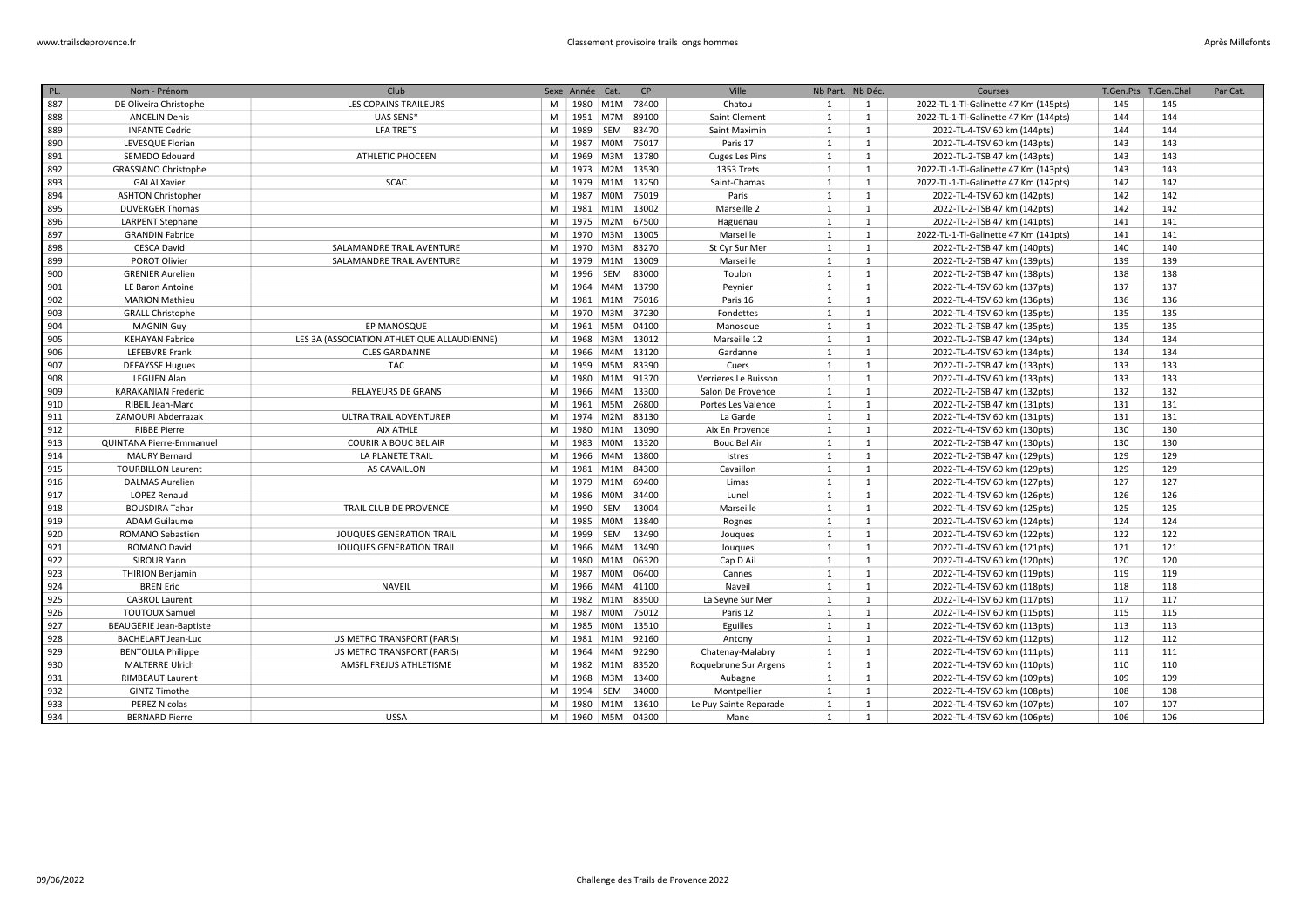| PL. | Nom - Prénom                   | Club                                        |   | Sexe Année Cat. |                    | CP    | Ville                  | Nb Part. Nb Déc. |              | Courses                               | T.Gen.Pts T.Gen.Chal |     | Par Cat. |
|-----|--------------------------------|---------------------------------------------|---|-----------------|--------------------|-------|------------------------|------------------|--------------|---------------------------------------|----------------------|-----|----------|
| 887 | DE Oliveira Christophe         | LES COPAINS TRAILEURS                       | M |                 | 1980   M1M   78400 |       | Chatou                 | 1                | 1            | 2022-TL-1-Tl-Galinette 47 Km (145pts) | 145                  | 145 |          |
| 888 | <b>ANCELIN Denis</b>           | UAS SENS*                                   | M | 1951 M7M        |                    | 89100 | Saint Clement          | $\mathbf{1}$     | 1            | 2022-TL-1-Tl-Galinette 47 Km (144pts) | 144                  | 144 |          |
| 889 | <b>INFANTE Cedric</b>          | <b>LFA TRETS</b>                            | M | 1989            | SEM                | 83470 | Saint Maximin          | 1                | 1            | 2022-TL-4-TSV 60 km (144pts)          | 144                  | 144 |          |
| 890 | LEVESQUE Florian               |                                             | M | 1987 M0M        |                    | 75017 | Paris 17               | 1                | 1            | 2022-TL-4-TSV 60 km (143pts)          | 143                  | 143 |          |
| 891 | SEMEDO Edouard                 | <b>ATHLETIC PHOCEEN</b>                     | M | 1969            | M3M                | 13780 | Cuges Les Pins         | $\mathbf{1}$     | 1            | 2022-TL-2-TSB 47 km (143pts)          | 143                  | 143 |          |
| 892 | <b>GRASSIANO Christophe</b>    |                                             | M | 1973            | M2M                | 13530 | 1353 Trets             | $\mathbf{1}$     | 1            | 2022-TL-1-Tl-Galinette 47 Km (143pts) | 143                  | 143 |          |
| 893 | <b>GALAI Xavier</b>            | <b>SCAC</b>                                 | M | 1979            | M <sub>1</sub> M   | 13250 | Saint-Chamas           | $\mathbf{1}$     | 1            | 2022-TL-1-Tl-Galinette 47 Km (142pts) | 142                  | 142 |          |
| 894 | <b>ASHTON Christopher</b>      |                                             | M | 1987 M0M        |                    | 75019 | Paris                  | $\mathbf{1}$     | 1            | 2022-TL-4-TSV 60 km (142pts)          | 142                  | 142 |          |
| 895 | <b>DUVERGER Thomas</b>         |                                             | M | 1981 M1M        |                    | 13002 | Marseille 2            | 1                | 1            | 2022-TL-2-TSB 47 km (142pts)          | 142                  | 142 |          |
| 896 | <b>LARPENT Stephane</b>        |                                             | M |                 | 1975 M2M           | 67500 | Haguenau               | 1                | 1            | 2022-TL-2-TSB 47 km (141pts)          | 141                  | 141 |          |
| 897 | <b>GRANDIN Fabrice</b>         |                                             | M | 1970            | M3M                | 13005 | Marseille              | 1                | 1            | 2022-TL-1-Tl-Galinette 47 Km (141pts) | 141                  | 141 |          |
| 898 | <b>CESCA David</b>             | SALAMANDRE TRAIL AVENTURE                   | M | 1970 M3M        |                    | 83270 | St Cyr Sur Mer         | $\mathbf{1}$     | 1            | 2022-TL-2-TSB 47 km (140pts)          | 140                  | 140 |          |
| 899 | POROT Olivier                  | SALAMANDRE TRAIL AVENTURE                   | M | 1979            | M1M                | 13009 | Marseille              | 1                | 1            | 2022-TL-2-TSB 47 km (139pts)          | 139                  | 139 |          |
| 900 | <b>GRENIER Aurelien</b>        |                                             | M | 1996            | SEM                | 83000 | Toulon                 | $\mathbf{1}$     | 1            | 2022-TL-2-TSB 47 km (138pts)          | 138                  | 138 |          |
| 901 | LE Baron Antoine               |                                             | M | 1964            | M4M                | 13790 | Peynier                | $\mathbf{1}$     | 1            | 2022-TL-4-TSV 60 km (137pts)          | 137                  | 137 |          |
| 902 | <b>MARION Mathieu</b>          |                                             | M |                 | 1981 M1M           | 75016 | Paris 16               | 1                | 1            | 2022-TL-4-TSV 60 km (136pts)          | 136                  | 136 |          |
| 903 | <b>GRALL Christophe</b>        |                                             | M |                 | 1970   M3M   37230 |       | Fondettes              | $\mathbf{1}$     | 1            | 2022-TL-4-TSV 60 km (135pts)          | 135                  | 135 |          |
| 904 | <b>MAGNIN Guy</b>              | EP MANOSQUE                                 | M | 1961            | M5M                | 04100 | Manosque               | $\mathbf{1}$     | 1            | 2022-TL-2-TSB 47 km (135pts)          | 135                  | 135 |          |
| 905 | <b>KEHAYAN Fabrice</b>         | LES 3A (ASSOCIATION ATHLETIQUE ALLAUDIENNE) | M | 1968            | M3M                | 13012 | Marseille 12           | $\mathbf{1}$     | 1            | 2022-TL-2-TSB 47 km (134pts)          | 134                  | 134 |          |
| 906 | <b>LEFEBVRE Frank</b>          | <b>CLES GARDANNE</b>                        | M | 1966            | M4M                | 13120 | Gardanne               | $\mathbf{1}$     | 1            | 2022-TL-4-TSV 60 km (134pts)          | 134                  | 134 |          |
| 907 | <b>DEFAYSSE Hugues</b>         | <b>TAC</b>                                  | M | 1959            | M5M                | 83390 | Cuers                  | $\mathbf{1}$     | 1            | 2022-TL-2-TSB 47 km (133pts)          | 133                  | 133 |          |
| 908 | LEGUEN Alan                    |                                             | M | 1980            | M1M                | 91370 | Verrieres Le Buisson   | $\mathbf{1}$     | $\mathbf{1}$ | 2022-TL-4-TSV 60 km (133pts)          | 133                  | 133 |          |
| 909 | <b>KARAKANIAN Frederic</b>     | <b>RELAYEURS DE GRANS</b>                   | M | 1966            | M4M                | 13300 | Salon De Provence      | $\mathbf{1}$     | 1            | 2022-TL-2-TSB 47 km (132pts)          | 132                  | 132 |          |
| 910 | RIBEIL Jean-Marc               |                                             | M | 1961            | M5M                | 26800 | Portes Les Valence     | $\mathbf{1}$     | 1            | 2022-TL-2-TSB 47 km (131pts)          | 131                  | 131 |          |
| 911 | ZAMOURI Abderrazak             | ULTRA TRAIL ADVENTURER                      | M | 1974 M2M        |                    | 83130 | La Garde               | 1                | 1            | 2022-TL-4-TSV 60 km (131pts)          | 131                  | 131 |          |
| 912 | <b>RIBBE Pierre</b>            | AIX ATHLE                                   | M | 1980            | M1M                | 13090 | Aix En Provence        | 1                | 1            | 2022-TL-4-TSV 60 km (130pts)          | 130                  | 130 |          |
| 913 | QUINTANA Pierre-Emmanuel       | <b>COURIR A BOUC BEL AIR</b>                | M | 1983            | M0M                | 13320 | <b>Bouc Bel Air</b>    | 1                | 1            | 2022-TL-2-TSB 47 km (130pts)          | 130                  | 130 |          |
| 914 | <b>MAURY Bernard</b>           | LA PLANETE TRAIL                            | M | 1966            | M4M                | 13800 | Istres                 | 1                | 1            | 2022-TL-2-TSB 47 km (129pts)          | 129                  | 129 |          |
| 915 | <b>TOURBILLON Laurent</b>      | <b>AS CAVAILLON</b>                         | M | 1981 M1M        |                    | 84300 | Cavaillon              | 1                | 1            | 2022-TL-4-TSV 60 km (129pts)          | 129                  | 129 |          |
| 916 | <b>DALMAS Aurelien</b>         |                                             | M | 1979            | M1M                | 69400 | Limas                  | 1                | 1            | 2022-TL-4-TSV 60 km (127pts)          | 127                  | 127 |          |
| 917 | <b>LOPEZ Renaud</b>            |                                             | M | 1986            | M0M                | 34400 | Lunel                  | $\mathbf{1}$     | 1            | 2022-TL-4-TSV 60 km (126pts)          | 126                  | 126 |          |
| 918 | <b>BOUSDIRA Tahar</b>          | TRAIL CLUB DE PROVENCE                      | M | 1990            | SEM                | 13004 | Marseille              | 1                | 1            | 2022-TL-4-TSV 60 km (125pts)          | 125                  | 125 |          |
| 919 | <b>ADAM Guilaume</b>           |                                             | M | 1985            | <b>MOM</b>         | 13840 | Rognes                 | 1                | 1            | 2022-TL-4-TSV 60 km (124pts)          | 124                  | 124 |          |
| 920 | ROMANO Sebastien               | JOUQUES GENERATION TRAIL                    | M | 1999            | SEM                | 13490 | Jouques                | $\mathbf{1}$     | 1            | 2022-TL-4-TSV 60 km (122pts)          | 122                  | 122 |          |
| 921 | <b>ROMANO David</b>            | <b>JOUQUES GENERATION TRAIL</b>             | M | 1966            | M4M                | 13490 | Jouques                | 1                | 1            | 2022-TL-4-TSV 60 km (121pts)          | 121                  | 121 |          |
| 922 | SIROUR Yann                    |                                             | M | 1980            | M <sub>1</sub> M   | 06320 | Cap D Ail              | 1                | 1            | 2022-TL-4-TSV 60 km (120pts)          | 120                  | 120 |          |
| 923 | <b>THIRION Benjamin</b>        |                                             | M | 1987 M0M        |                    | 06400 | Cannes                 | 1                | 1            | 2022-TL-4-TSV 60 km (119pts)          | 119                  | 119 |          |
| 924 | <b>BREN Eric</b>               | <b>NAVEIL</b>                               | M | 1966            | M4M                | 41100 | Naveil                 | 1                | 1            | 2022-TL-4-TSV 60 km (118pts)          | 118                  | 118 |          |
| 925 | <b>CABROL Laurent</b>          |                                             | M | 1982 M1M        |                    | 83500 | La Seyne Sur Mer       | 1                | 1            | 2022-TL-4-TSV 60 km (117pts)          | 117                  | 117 |          |
| 926 | <b>TOUTOUX Samuel</b>          |                                             | M |                 | 1987 M0M           | 75012 | Paris 12               | 1                | 1            | 2022-TL-4-TSV 60 km (115pts)          | 115                  | 115 |          |
| 927 | <b>BEAUGERIE Jean-Baptiste</b> |                                             | M | 1985            | M0M                | 13510 | Eguilles               | $\mathbf{1}$     | 1            | 2022-TL-4-TSV 60 km (113pts)          | 113                  | 113 |          |
| 928 | <b>BACHELART Jean-Luc</b>      | US METRO TRANSPORT (PARIS)                  | M |                 | 1981 M1M           | 92160 | Antony                 | 1                | 1            | 2022-TL-4-TSV 60 km (112pts)          | 112                  | 112 |          |
| 929 | <b>BENTOLILA Philippe</b>      | US METRO TRANSPORT (PARIS)                  | M | 1964            | M4M                | 92290 | Chatenay-Malabry       | 1                | 1            | 2022-TL-4-TSV 60 km (111pts)          | 111                  | 111 |          |
| 930 | <b>MALTERRE Ulrich</b>         | AMSFL FREJUS ATHLETISME                     | M | 1982            | M1M                | 83520 | Roquebrune Sur Argens  | $\mathbf{1}$     | 1            | 2022-TL-4-TSV 60 km (110pts)          | 110                  | 110 |          |
| 931 | <b>RIMBEAUT Laurent</b>        |                                             | M | 1968            | M3M                | 13400 | Aubagne                | 1                | 1            | 2022-TL-4-TSV 60 km (109pts)          | 109                  | 109 |          |
| 932 | GINTZ Timothe                  |                                             | M | 1994            | SEM                | 34000 | Montpellier            | $\mathbf{1}$     | 1            | 2022-TL-4-TSV 60 km (108pts)          | 108                  | 108 |          |
| 933 | <b>PEREZ Nicolas</b>           |                                             | M | 1980 M1M        |                    | 13610 | Le Puy Sainte Reparade | $\mathbf{1}$     | 1            | 2022-TL-4-TSV 60 km (107pts)          | 107                  | 107 |          |
| 934 | <b>BERNARD Pierre</b>          | <b>USSA</b>                                 | M | 1960 M5M        |                    | 04300 | Mane                   | $\mathbf{1}$     | $\mathbf{1}$ | 2022-TL-4-TSV 60 km (106pts)          | 106                  | 106 |          |